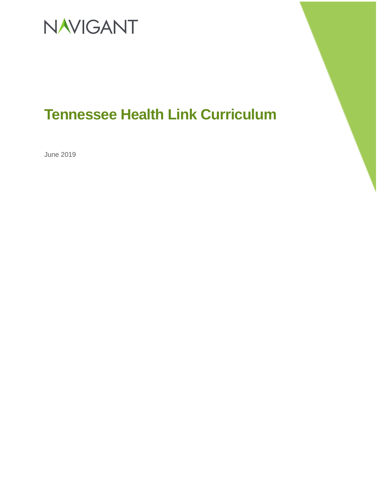

### **Tennessee Health Link Curriculum**

June 2019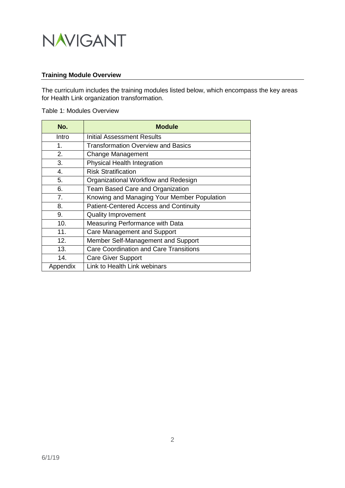

#### **Training Module Overview**

The curriculum includes the training modules listed below, which encompass the key areas for Health Link organization transformation.

#### Table 1: Modules Overview

| No.            | <b>Module</b>                                 |
|----------------|-----------------------------------------------|
| Intro          | Initial Assessment Results                    |
| 1.             | <b>Transformation Overview and Basics</b>     |
| 2.             | Change Management                             |
| 3.             | <b>Physical Health Integration</b>            |
| 4.             | <b>Risk Stratification</b>                    |
| 5.             | Organizational Workflow and Redesign          |
| 6.             | Team Based Care and Organization              |
| 7 <sub>1</sub> | Knowing and Managing Your Member Population   |
| 8.             | <b>Patient-Centered Access and Continuity</b> |
| 9.             | <b>Quality Improvement</b>                    |
| 10.            | Measuring Performance with Data               |
| 11.            | Care Management and Support                   |
| 12.            | Member Self-Management and Support            |
| 13.            | <b>Care Coordination and Care Transitions</b> |
| 14.            | <b>Care Giver Support</b>                     |
| Appendix       | Link to Health Link webinars                  |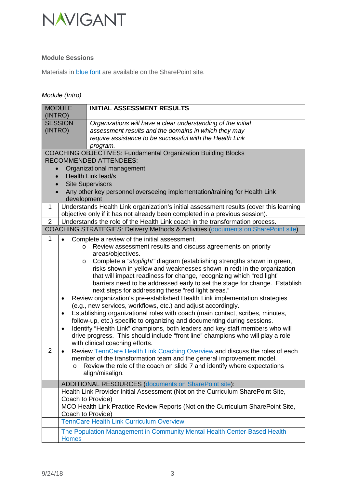

### **Module Sessions**

Materials in blue font are available on the SharePoint site.

### *Module (Intro)*

| <b>MODULE</b><br>(INTRO)                                                                 | <b>INITIAL ASSESSMENT RESULTS</b>                                                                                                                                     |  |  |  |  |
|------------------------------------------------------------------------------------------|-----------------------------------------------------------------------------------------------------------------------------------------------------------------------|--|--|--|--|
| <b>SESSION</b>                                                                           | Organizations will have a clear understanding of the initial                                                                                                          |  |  |  |  |
| (INTRO)                                                                                  | assessment results and the domains in which they may                                                                                                                  |  |  |  |  |
|                                                                                          | require assistance to be successful with the Health Link                                                                                                              |  |  |  |  |
|                                                                                          | program.                                                                                                                                                              |  |  |  |  |
|                                                                                          | <b>COACHING OBJECTIVES: Fundamental Organization Building Blocks</b>                                                                                                  |  |  |  |  |
|                                                                                          | <b>RECOMMENDED ATTENDEES:</b>                                                                                                                                         |  |  |  |  |
|                                                                                          | Organizational management                                                                                                                                             |  |  |  |  |
|                                                                                          | <b>Health Link lead/s</b>                                                                                                                                             |  |  |  |  |
|                                                                                          | <b>Site Supervisors</b>                                                                                                                                               |  |  |  |  |
|                                                                                          | Any other key personnel overseeing implementation/training for Health Link                                                                                            |  |  |  |  |
|                                                                                          | development                                                                                                                                                           |  |  |  |  |
| 1                                                                                        | Understands Health Link organization's initial assessment results (cover this learning<br>objective only if it has not already been completed in a previous session). |  |  |  |  |
| $\overline{2}$                                                                           | Understands the role of the Health Link coach in the transformation process.                                                                                          |  |  |  |  |
|                                                                                          | COACHING STRATEGIES: Delivery Methods & Activities (documents on SharePoint site)                                                                                     |  |  |  |  |
| 1                                                                                        | Complete a review of the initial assessment.                                                                                                                          |  |  |  |  |
|                                                                                          | Review assessment results and discuss agreements on priority<br>$\circ$                                                                                               |  |  |  |  |
|                                                                                          | areas/objectives.                                                                                                                                                     |  |  |  |  |
|                                                                                          | Complete a "stoplight" diagram (establishing strengths shown in green,<br>$\circ$                                                                                     |  |  |  |  |
|                                                                                          | risks shown in yellow and weaknesses shown in red) in the organization                                                                                                |  |  |  |  |
|                                                                                          | that will impact readiness for change, recognizing which "red light"                                                                                                  |  |  |  |  |
|                                                                                          | barriers need to be addressed early to set the stage for change. Establish                                                                                            |  |  |  |  |
|                                                                                          | next steps for addressing these "red light areas."                                                                                                                    |  |  |  |  |
| Review organization's pre-established Health Link implementation strategies<br>$\bullet$ |                                                                                                                                                                       |  |  |  |  |
|                                                                                          | (e.g., new services, workflows, etc.) and adjust accordingly.                                                                                                         |  |  |  |  |
| $\bullet$                                                                                | Establishing organizational roles with coach (main contact, scribes, minutes,                                                                                         |  |  |  |  |
|                                                                                          | follow-up, etc.) specific to organizing and documenting during sessions.                                                                                              |  |  |  |  |
| $\bullet$                                                                                | Identify "Health Link" champions, both leaders and key staff members who will                                                                                         |  |  |  |  |
|                                                                                          | drive progress. This should include "front line" champions who will play a role                                                                                       |  |  |  |  |
| $\overline{2}$<br>$\bullet$                                                              | with clinical coaching efforts.<br>Review TennCare Health Link Coaching Overview and discuss the roles of each                                                        |  |  |  |  |
|                                                                                          | member of the transformation team and the general improvement model.                                                                                                  |  |  |  |  |
|                                                                                          | o Review the role of the coach on slide 7 and identify where expectations                                                                                             |  |  |  |  |
|                                                                                          | align/misalign.                                                                                                                                                       |  |  |  |  |
|                                                                                          |                                                                                                                                                                       |  |  |  |  |
|                                                                                          | <b>ADDITIONAL RESOURCES (documents on SharePoint site):</b>                                                                                                           |  |  |  |  |
|                                                                                          | Health Link Provider Initial Assessment (Not on the Curriculum SharePoint Site,<br>Coach to Provide)                                                                  |  |  |  |  |
|                                                                                          | MCO Health Link Practice Review Reports (Not on the Curriculum SharePoint Site,                                                                                       |  |  |  |  |
|                                                                                          | Coach to Provide)                                                                                                                                                     |  |  |  |  |
|                                                                                          | <b>TennCare Health Link Curriculum Overview</b>                                                                                                                       |  |  |  |  |
|                                                                                          | The Population Management in Community Mental Health Center-Based Health                                                                                              |  |  |  |  |
| <b>Homes</b>                                                                             |                                                                                                                                                                       |  |  |  |  |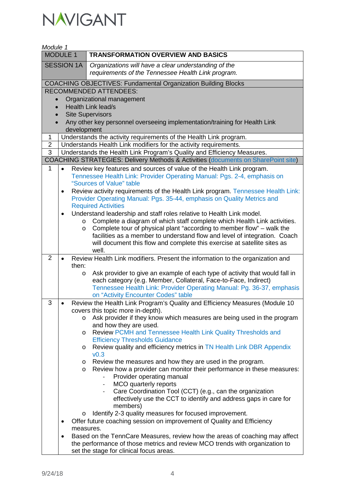

| Module 1                                                     |             |                                                                                                                                                                        |
|--------------------------------------------------------------|-------------|------------------------------------------------------------------------------------------------------------------------------------------------------------------------|
| <b>MODULE 1</b><br><b>TRANSFORMATION OVERVIEW AND BASICS</b> |             |                                                                                                                                                                        |
| <b>SESSION 1A</b>                                            |             | Organizations will have a clear understanding of the                                                                                                                   |
|                                                              |             | requirements of the Tennessee Health Link program.                                                                                                                     |
|                                                              |             | <b>COACHING OBJECTIVES: Fundamental Organization Building Blocks</b>                                                                                                   |
|                                                              |             | <b>RECOMMENDED ATTENDEES:</b>                                                                                                                                          |
| $\bullet$                                                    |             | Organizational management                                                                                                                                              |
|                                                              |             | <b>Health Link lead/s</b>                                                                                                                                              |
|                                                              |             | <b>Site Supervisors</b>                                                                                                                                                |
|                                                              |             | Any other key personnel overseeing implementation/training for Health Link                                                                                             |
|                                                              | development |                                                                                                                                                                        |
| 1                                                            |             | Understands the activity requirements of the Health Link program.                                                                                                      |
| $\overline{2}$<br>3                                          |             | Understands Health Link modifiers for the activity requirements.                                                                                                       |
|                                                              |             | Understands the Health Link Program's Quality and Efficiency Measures.<br><b>COACHING STRATEGIES: Delivery Methods &amp; Activities (documents on SharePoint site)</b> |
| 1                                                            |             |                                                                                                                                                                        |
|                                                              |             | Review key features and sources of value of the Health Link program.<br>Tennessee Health Link: Provider Operating Manual: Pgs. 2-4, emphasis on                        |
|                                                              |             | "Sources of Value" table                                                                                                                                               |
|                                                              | $\bullet$   | Review activity requirements of the Health Link program. Tennessee Health Link:                                                                                        |
|                                                              |             | Provider Operating Manual: Pgs. 35-44, emphasis on Quality Metrics and                                                                                                 |
|                                                              |             | <b>Required Activities</b>                                                                                                                                             |
|                                                              | $\bullet$   | Understand leadership and staff roles relative to Health Link model.                                                                                                   |
|                                                              | $\circ$     | Complete a diagram of which staff complete which Health Link activities.                                                                                               |
|                                                              | O           | Complete tour of physical plant "according to member flow" – walk the                                                                                                  |
|                                                              |             | facilities as a member to understand flow and level of integration. Coach                                                                                              |
|                                                              |             | will document this flow and complete this exercise at satellite sites as<br>well.                                                                                      |
| $\overline{2}$                                               |             | Review Health Link modifiers. Present the information to the organization and                                                                                          |
|                                                              | then:       |                                                                                                                                                                        |
|                                                              | O           | Ask provider to give an example of each type of activity that would fall in                                                                                            |
|                                                              |             | each category (e.g. Member, Collateral, Face-to-Face, Indirect)                                                                                                        |
|                                                              |             | Tennessee Health Link: Provider Operating Manual: Pg. 36-37, emphasis                                                                                                  |
|                                                              |             | on "Activity Encounter Codes" table                                                                                                                                    |
| 3                                                            |             | Review the Health Link Program's Quality and Efficiency Measures (Module 10                                                                                            |
|                                                              | $\circ$     | covers this topic more in-depth).<br>Ask provider if they know which measures are being used in the program                                                            |
|                                                              |             | and how they are used.                                                                                                                                                 |
|                                                              | O           | Review PCMH and Tennessee Health Link Quality Thresholds and                                                                                                           |
|                                                              |             | <b>Efficiency Thresholds Guidance</b>                                                                                                                                  |
|                                                              | O           | Review quality and efficiency metrics in TN Health Link DBR Appendix                                                                                                   |
|                                                              |             | v0.3                                                                                                                                                                   |
|                                                              | $\circ$     | Review the measures and how they are used in the program.                                                                                                              |
|                                                              | $\circ$     | Review how a provider can monitor their performance in these measures:                                                                                                 |
|                                                              |             | Provider operating manual<br>MCO quarterly reports                                                                                                                     |
|                                                              |             | Care Coordination Tool (CCT) (e.g., can the organization                                                                                                               |
|                                                              |             | effectively use the CCT to identify and address gaps in care for                                                                                                       |
|                                                              |             | members)                                                                                                                                                               |
|                                                              | $\circ$     | Identify 2-3 quality measures for focused improvement.                                                                                                                 |
|                                                              |             | Offer future coaching session on improvement of Quality and Efficiency                                                                                                 |
|                                                              |             | measures.                                                                                                                                                              |
|                                                              | ٠           | Based on the TennCare Measures, review how the areas of coaching may affect                                                                                            |
|                                                              |             | the performance of those metrics and review MCO trends with organization to                                                                                            |
|                                                              |             | set the stage for clinical focus areas.                                                                                                                                |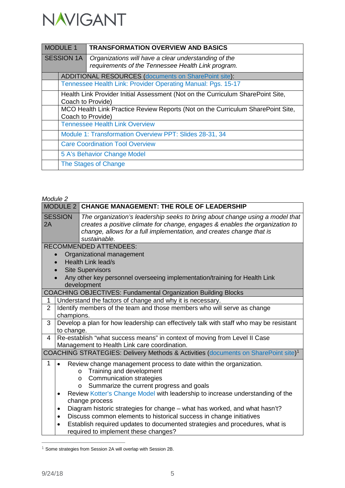

| <b>MODULE 1</b>   |                                                                                                      | <b>TRANSFORMATION OVERVIEW AND BASICS</b>                                                                  |  |
|-------------------|------------------------------------------------------------------------------------------------------|------------------------------------------------------------------------------------------------------------|--|
| <b>SESSION 1A</b> |                                                                                                      | Organizations will have a clear understanding of the<br>requirements of the Tennessee Health Link program. |  |
|                   |                                                                                                      | ADDITIONAL RESOURCES (documents on SharePoint site):                                                       |  |
|                   |                                                                                                      | Tennessee Health Link: Provider Operating Manual: Pgs. 15-17                                               |  |
|                   | Health Link Provider Initial Assessment (Not on the Curriculum SharePoint Site,<br>Coach to Provide) |                                                                                                            |  |
|                   |                                                                                                      | MCO Health Link Practice Review Reports (Not on the Curriculum SharePoint Site,                            |  |
|                   |                                                                                                      | Coach to Provide)                                                                                          |  |
|                   |                                                                                                      | <b>Tennessee Health Link Overview</b>                                                                      |  |
|                   |                                                                                                      | Module 1: Transformation Overview PPT: Slides 28-31, 34                                                    |  |
|                   |                                                                                                      | <b>Care Coordination Tool Overview</b>                                                                     |  |
|                   |                                                                                                      | 5 A's Behavior Change Model                                                                                |  |
|                   |                                                                                                      | The Stages of Change                                                                                       |  |

|                      | Module 2                                         |                                                                                                                                                                                                                                                                                                                                                                                                                                                                                                                                                                                              |  |
|----------------------|--------------------------------------------------|----------------------------------------------------------------------------------------------------------------------------------------------------------------------------------------------------------------------------------------------------------------------------------------------------------------------------------------------------------------------------------------------------------------------------------------------------------------------------------------------------------------------------------------------------------------------------------------------|--|
|                      | MODULE 2                                         | <b>CHANGE MANAGEMENT: THE ROLE OF LEADERSHIP</b>                                                                                                                                                                                                                                                                                                                                                                                                                                                                                                                                             |  |
| <b>SESSION</b><br>2A |                                                  | The organization's leadership seeks to bring about change using a model that<br>creates a positive climate for change, engages & enables the organization to<br>change, allows for a full implementation, and creates change that is<br>sustainable.                                                                                                                                                                                                                                                                                                                                         |  |
|                      |                                                  | <b>RECOMMENDED ATTENDEES:</b>                                                                                                                                                                                                                                                                                                                                                                                                                                                                                                                                                                |  |
|                      |                                                  | Organizational management<br><b>Health Link lead/s</b>                                                                                                                                                                                                                                                                                                                                                                                                                                                                                                                                       |  |
|                      |                                                  | <b>Site Supervisors</b>                                                                                                                                                                                                                                                                                                                                                                                                                                                                                                                                                                      |  |
|                      |                                                  | Any other key personnel overseeing implementation/training for Health Link<br>development                                                                                                                                                                                                                                                                                                                                                                                                                                                                                                    |  |
|                      |                                                  | <b>COACHING OBJECTIVES: Fundamental Organization Building Blocks</b>                                                                                                                                                                                                                                                                                                                                                                                                                                                                                                                         |  |
| 1                    |                                                  | Understand the factors of change and why it is necessary.                                                                                                                                                                                                                                                                                                                                                                                                                                                                                                                                    |  |
| $\overline{2}$       | champions.                                       | Identify members of the team and those members who will serve as change                                                                                                                                                                                                                                                                                                                                                                                                                                                                                                                      |  |
| 3                    | to change.                                       | Develop a plan for how leadership can effectively talk with staff who may be resistant                                                                                                                                                                                                                                                                                                                                                                                                                                                                                                       |  |
| 4                    |                                                  | Re-establish "what success means" in context of moving from Level II Case<br>Management to Health Link care coordination.                                                                                                                                                                                                                                                                                                                                                                                                                                                                    |  |
|                      |                                                  | COACHING STRATEGIES: Delivery Methods & Activities (documents on SharePoint site) <sup>1</sup>                                                                                                                                                                                                                                                                                                                                                                                                                                                                                               |  |
| 1                    | $\bullet$<br>$\bullet$<br>$\bullet$<br>$\bullet$ | Review change management process to date within the organization.<br>Training and development<br>$\circ$<br><b>Communication strategies</b><br>$\circ$<br>Summarize the current progress and goals<br>$\circ$<br>Review Kotter's Change Model with leadership to increase understanding of the<br>change process<br>Diagram historic strategies for change – what has worked, and what hasn't?<br>Discuss common elements to historical success in change initiatives<br>Establish required updates to documented strategies and procedures, what is<br>required to implement these changes? |  |

<span id="page-4-0"></span> $^1$  Some strategies from Session 2A will overlap with Session 2B.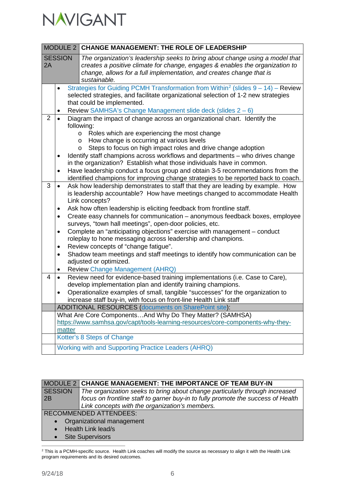

|                      |                                                                                                                                                                                                                                                                                                                                                                                                                                                                                                                                                                  | MODULE 2 CHANGE MANAGEMENT: THE ROLE OF LEADERSHIP                                                                                                                                                                                                                                                                                                                                                                                                                                                                                                                                                                                                                                                                                                                                                                            |  |
|----------------------|------------------------------------------------------------------------------------------------------------------------------------------------------------------------------------------------------------------------------------------------------------------------------------------------------------------------------------------------------------------------------------------------------------------------------------------------------------------------------------------------------------------------------------------------------------------|-------------------------------------------------------------------------------------------------------------------------------------------------------------------------------------------------------------------------------------------------------------------------------------------------------------------------------------------------------------------------------------------------------------------------------------------------------------------------------------------------------------------------------------------------------------------------------------------------------------------------------------------------------------------------------------------------------------------------------------------------------------------------------------------------------------------------------|--|
| <b>SESSION</b><br>2A |                                                                                                                                                                                                                                                                                                                                                                                                                                                                                                                                                                  | The organization's leadership seeks to bring about change using a model that<br>creates a positive climate for change, engages & enables the organization to<br>change, allows for a full implementation, and creates change that is<br>sustainable.                                                                                                                                                                                                                                                                                                                                                                                                                                                                                                                                                                          |  |
|                      | Strategies for Guiding PCMH Transformation from Within <sup>2</sup> (slides $9 - 14$ ) - Review<br>$\bullet$<br>selected strategies, and facilitate organizational selection of 1-2 new strategies<br>that could be implemented.<br>Review SAMHSA's Change Management slide deck (slides 2 - 6)<br>٠                                                                                                                                                                                                                                                             |                                                                                                                                                                                                                                                                                                                                                                                                                                                                                                                                                                                                                                                                                                                                                                                                                               |  |
| $\overline{2}$       | Diagram the impact of change across an organizational chart. Identify the<br>$\bullet$<br>following:<br>Roles which are experiencing the most change<br>$\circ$<br>How change is occurring at various levels<br>$\circ$<br>Steps to focus on high impact roles and drive change adoption<br>$\circ$<br>Identify staff champions across workflows and departments - who drives change<br>٠<br>in the organization? Establish what those individuals have in common.<br>Have leadership conduct a focus group and obtain 3-5 recommendations from the<br>$\bullet$ |                                                                                                                                                                                                                                                                                                                                                                                                                                                                                                                                                                                                                                                                                                                                                                                                                               |  |
| 3                    | $\bullet$<br>٠<br>$\bullet$<br>$\bullet$<br>٠<br>$\bullet$<br>$\bullet$                                                                                                                                                                                                                                                                                                                                                                                                                                                                                          | identified champions for improving change strategies to be reported back to coach.<br>Ask how leadership demonstrates to staff that they are leading by example. How<br>is leadership accountable? How have meetings changed to accommodate Health<br>Link concepts?<br>Ask how often leadership is eliciting feedback from frontline staff.<br>Create easy channels for communication - anonymous feedback boxes, employee<br>surveys, "town hall meetings", open-door policies, etc.<br>Complete an "anticipating objections" exercise with management - conduct<br>roleplay to hone messaging across leadership and champions.<br>Review concepts of "change fatigue".<br>Shadow team meetings and staff meetings to identify how communication can be<br>adjusted or optimized.<br><b>Review Change Management (AHRQ)</b> |  |
| 4                    | $\bullet$<br>$\bullet$                                                                                                                                                                                                                                                                                                                                                                                                                                                                                                                                           | Review need for evidence-based training implementations (i.e. Case to Care),<br>develop implementation plan and identify training champions.<br>Operationalize examples of small, tangible "successes" for the organization to<br>increase staff buy-in, with focus on front-line Health Link staff                                                                                                                                                                                                                                                                                                                                                                                                                                                                                                                           |  |
|                      |                                                                                                                                                                                                                                                                                                                                                                                                                                                                                                                                                                  | <b>ADDITIONAL RESOURCES (documents on SharePoint site):</b>                                                                                                                                                                                                                                                                                                                                                                                                                                                                                                                                                                                                                                                                                                                                                                   |  |
|                      | matter                                                                                                                                                                                                                                                                                                                                                                                                                                                                                                                                                           | What Are Core ComponentsAnd Why Do They Matter? (SAMHSA)<br>https://www.samhsa.gov/capt/tools-learning-resources/core-components-why-they-                                                                                                                                                                                                                                                                                                                                                                                                                                                                                                                                                                                                                                                                                    |  |
|                      | Kotter's 8 Steps of Change                                                                                                                                                                                                                                                                                                                                                                                                                                                                                                                                       |                                                                                                                                                                                                                                                                                                                                                                                                                                                                                                                                                                                                                                                                                                                                                                                                                               |  |
|                      | Working with and Supporting Practice Leaders (AHRQ)                                                                                                                                                                                                                                                                                                                                                                                                                                                                                                              |                                                                                                                                                                                                                                                                                                                                                                                                                                                                                                                                                                                                                                                                                                                                                                                                                               |  |

|                | MODULE 2 CHANGE MANAGEMENT: THE IMPORTANCE OF TEAM BUY-IN                        |  |
|----------------|----------------------------------------------------------------------------------|--|
| <b>SESSION</b> | The organization seeks to bring about change particularly through increased      |  |
| 12B            | focus on frontline staff to garner buy-in to fully promote the success of Health |  |
|                | Link concepts with the organization's members.                                   |  |
|                | <b>RECOMMENDED ATTENDEES:</b>                                                    |  |
|                | Organizational management                                                        |  |
|                | Health Link lead/s                                                               |  |
|                | <b>Site Supervisors</b>                                                          |  |

<span id="page-5-0"></span> <sup>2</sup> This is a PCMH-specific source. Health Link coaches will modify the source as necessary to align it with the Health Link program requirements and its desired outcomes.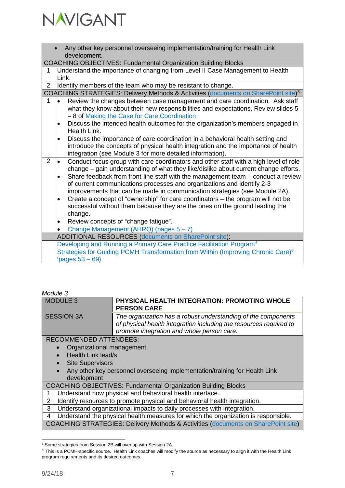

|                | Any other key personnel overseeing implementation/training for Health Link<br>development.                                                                 |
|----------------|------------------------------------------------------------------------------------------------------------------------------------------------------------|
|                | <b>COACHING OBJECTIVES: Fundamental Organization Building Blocks</b>                                                                                       |
| 1              | Understand the importance of changing from Level II Case Management to Health                                                                              |
|                | Link.                                                                                                                                                      |
| $\overline{2}$ | Identify members of the team who may be resistant to change.                                                                                               |
|                | COACHING STRATEGIES: Delivery Methods & Activities (documents on SharePoint site) <sup>3</sup>                                                             |
| 1              | Review the changes between case management and care coordination. Ask staff                                                                                |
|                | what they know about their new responsibilities and expectations. Review slides 5<br>- 8 of Making the Case for Care Coordination                          |
|                | Discuss the intended health outcomes for the organization's members engaged in                                                                             |
|                | Health Link.                                                                                                                                               |
|                | Discuss the importance of care coordination in a behavioral health setting and<br>$\bullet$                                                                |
|                | introduce the concepts of physical health integration and the importance of health                                                                         |
|                | integration (see Module 3 for more detailed information).                                                                                                  |
| 2              | Conduct focus group with care coordinators and other staff with a high level of role<br>$\bullet$                                                          |
|                | change – gain understanding of what they like/dislike about current change efforts.                                                                        |
|                | Share feedback from front-line staff with the management team - conduct a review<br>of current communications processes and organizations and identify 2-3 |
|                | improvements that can be made in communication strategies (see Module 2A).                                                                                 |
|                | Create a concept of "ownership" for care coordinators - the program will not be<br>$\bullet$                                                               |
|                | successful without them because they are the ones on the ground leading the                                                                                |
|                | change.                                                                                                                                                    |
|                | Review concepts of "change fatigue".<br>٠                                                                                                                  |
|                | Change Management (AHRQ) (pages 5-7)                                                                                                                       |
|                | <b>ADDITIONAL RESOURCES (documents on SharePoint site):</b>                                                                                                |
|                | Developing and Running a Primary Care Practice Facilitation Program <sup>4</sup>                                                                           |
|                | Strategies for Guiding PCMH Transformation from Within (Improving Chronic Care) <sup>6</sup>                                                               |
|                | (pages $53 - 69$ )                                                                                                                                         |

| wouuro o                        |                                                                                                                                                                                   |
|---------------------------------|-----------------------------------------------------------------------------------------------------------------------------------------------------------------------------------|
| <b>MODULE 3</b>                 | PHYSICAL HEALTH INTEGRATION: PROMOTING WHOLE<br><b>PERSON CARE</b>                                                                                                                |
| <b>SESSION 3A</b>               | The organization has a robust understanding of the components<br>of physical health integration including the resources required to<br>promote integration and whole person care. |
| <b>RECOMMENDED ATTENDEES:</b>   |                                                                                                                                                                                   |
| Organizational management       |                                                                                                                                                                                   |
| Health Link lead/s<br>$\bullet$ |                                                                                                                                                                                   |
| <b>Site Supervisors</b>         |                                                                                                                                                                                   |
| development                     | Any other key personnel overseeing implementation/training for Health Link                                                                                                        |
|                                 | <b>COACHING OBJECTIVES: Fundamental Organization Building Blocks</b>                                                                                                              |
|                                 | Understand how physical and behavioral health interface.                                                                                                                          |
| 2                               | Identify resources to promote physical and behavioral health integration.                                                                                                         |
| 3                               | Understand organizational impacts to daily processes with integration.                                                                                                            |
| 4                               | Understand the physical health measures for which the organization is responsible.                                                                                                |
|                                 | <b>COACHING STRATEGIES: Delivery Methods &amp; Activities (documents on SharePoint site)</b>                                                                                      |

<span id="page-6-0"></span> <sup>3</sup> Some strategies from Session 2B will overlap with Session 2A.

<span id="page-6-1"></span> $4$  This is a PCMH-specific source. Health Link coaches will modify the source as necessary to align it with the Health Link program requirements and its desired outcomes.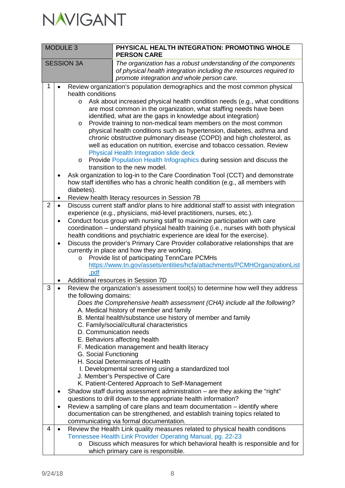

| <b>MODULE 3</b> |                                                                                     | PHYSICAL HEALTH INTEGRATION: PROMOTING WHOLE<br><b>PERSON CARE</b>                                                                                                                                                                                                                                                                                                                                                                                                                                                                                                                                                                                                                                                                                                                                                                                                                                                                                                                                                                                                                            |
|-----------------|-------------------------------------------------------------------------------------|-----------------------------------------------------------------------------------------------------------------------------------------------------------------------------------------------------------------------------------------------------------------------------------------------------------------------------------------------------------------------------------------------------------------------------------------------------------------------------------------------------------------------------------------------------------------------------------------------------------------------------------------------------------------------------------------------------------------------------------------------------------------------------------------------------------------------------------------------------------------------------------------------------------------------------------------------------------------------------------------------------------------------------------------------------------------------------------------------|
|                 | <b>SESSION 3A</b>                                                                   | The organization has a robust understanding of the components<br>of physical health integration including the resources required to<br>promote integration and whole person care.                                                                                                                                                                                                                                                                                                                                                                                                                                                                                                                                                                                                                                                                                                                                                                                                                                                                                                             |
| 1               | health conditions<br>$\circ$<br>O<br>$\circ$<br>diabetes).<br>$\bullet$             | Review organization's population demographics and the most common physical<br>Ask about increased physical health condition needs (e.g., what conditions<br>are most common in the organization, what staffing needs have been<br>identified, what are the gaps in knowledge about integration)<br>Provide training to non-medical team members on the most common<br>physical health conditions such as hypertension, diabetes, asthma and<br>chronic obstructive pulmonary disease (COPD) and high cholesterol, as<br>well as education on nutrition, exercise and tobacco cessation. Review<br>Physical Health Integration slide deck<br>Provide Population Health Infographics during session and discuss the<br>transition to the new model.<br>Ask organization to log-in to the Care Coordination Tool (CCT) and demonstrate<br>how staff identifies who has a chronic health condition (e.g., all members with<br>Review health literacy resources in Session 7B                                                                                                                      |
| $\overline{2}$  | $\bullet$<br>$\bullet$<br>$\circ$<br>.pdf                                           | Discuss current staff and/or plans to hire additional staff to assist with integration<br>experience (e.g., physicians, mid-level practitioners, nurses, etc.).<br>Conduct focus group with nursing staff to maximize participation with care<br>coordination – understand physical health training (i.e., nurses with both physical<br>health conditions and psychiatric experience are ideal for the exercise).<br>Discuss the provider's Primary Care Provider collaborative relationships that are<br>currently in place and how they are working.<br>Provide list of participating TennCare PCMHs<br>https://www.tn.gov/assets/entities/hcfa/attachments/PCMHOrganizationList                                                                                                                                                                                                                                                                                                                                                                                                            |
| 3<br>4          | $\bullet$<br>the following domains:<br>G. Social Functioning<br>٠<br>٠<br>$\bullet$ | Additional resources in Session 7D<br>Review the organization's assessment tool(s) to determine how well they address<br>Does the Comprehensive health assessment (CHA) include all the following?<br>A. Medical history of member and family<br>B. Mental health/substance use history of member and family<br>C. Family/social/cultural characteristics<br>D. Communication needs<br>E. Behaviors affecting health<br>F. Medication management and health literacy<br>H. Social Determinants of Health<br>I. Developmental screening using a standardized tool<br>J. Member's Perspective of Care<br>K. Patient-Centered Approach to Self-Management<br>Shadow staff during assessment administration – are they asking the "right"<br>questions to drill down to the appropriate health information?<br>Review a sampling of care plans and team documentation – identify where<br>documentation can be strengthened, and establish training topics related to<br>communicating via formal documentation.<br>Review the Health Link quality measures related to physical health conditions |
|                 | $\circ$                                                                             | Tennessee Health Link Provider Operating Manual, pg. 22-23<br>Discuss which measures for which behavioral health is responsible and for<br>which primary care is responsible.                                                                                                                                                                                                                                                                                                                                                                                                                                                                                                                                                                                                                                                                                                                                                                                                                                                                                                                 |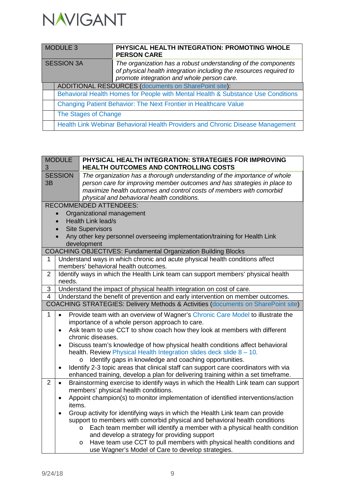

| MODULE 3   |                      | PHYSICAL HEALTH INTEGRATION: PROMOTING WHOLE<br><b>PERSON CARE</b>                                                                                                                |  |
|------------|----------------------|-----------------------------------------------------------------------------------------------------------------------------------------------------------------------------------|--|
| SESSION 3A |                      | The organization has a robust understanding of the components<br>of physical health integration including the resources required to<br>promote integration and whole person care. |  |
|            |                      | ADDITIONAL RESOURCES (documents on SharePoint site):                                                                                                                              |  |
|            |                      | Behavioral Health Homes for People with Mental Health & Substance Use Conditions                                                                                                  |  |
|            |                      | Changing Patient Behavior: The Next Frontier in Healthcare Value                                                                                                                  |  |
|            | The Stages of Change |                                                                                                                                                                                   |  |
|            |                      | Health Link Webinar Behavioral Health Providers and Chronic Disease Management                                                                                                    |  |

| <b>MODULE</b><br>3                                                                     |                                                                                                   | PHYSICAL HEALTH INTEGRATION: STRATEGIES FOR IMPROVING<br>HEALTH OUTCOMES AND CONTROLLING COSTS                                                                                                                                                                            |  |
|----------------------------------------------------------------------------------------|---------------------------------------------------------------------------------------------------|---------------------------------------------------------------------------------------------------------------------------------------------------------------------------------------------------------------------------------------------------------------------------|--|
| 3B                                                                                     | <b>SESSION</b>                                                                                    | The organization has a thorough understanding of the importance of whole<br>person care for improving member outcomes and has strategies in place to<br>maximize health outcomes and control costs of members with comorbid<br>physical and behavioral health conditions. |  |
|                                                                                        |                                                                                                   | <b>RECOMMENDED ATTENDEES:</b>                                                                                                                                                                                                                                             |  |
|                                                                                        | $\bullet$                                                                                         | Organizational management                                                                                                                                                                                                                                                 |  |
|                                                                                        |                                                                                                   | Health Link lead/s                                                                                                                                                                                                                                                        |  |
|                                                                                        |                                                                                                   | <b>Site Supervisors</b>                                                                                                                                                                                                                                                   |  |
|                                                                                        |                                                                                                   | Any other key personnel overseeing implementation/training for Health Link                                                                                                                                                                                                |  |
|                                                                                        |                                                                                                   | development<br><b>COACHING OBJECTIVES: Fundamental Organization Building Blocks</b>                                                                                                                                                                                       |  |
| 1                                                                                      |                                                                                                   | Understand ways in which chronic and acute physical health conditions affect                                                                                                                                                                                              |  |
|                                                                                        |                                                                                                   | members' behavioral health outcomes.                                                                                                                                                                                                                                      |  |
| $\overline{2}$                                                                         |                                                                                                   | Identify ways in which the Health Link team can support members' physical health                                                                                                                                                                                          |  |
|                                                                                        | needs.                                                                                            |                                                                                                                                                                                                                                                                           |  |
| 3                                                                                      |                                                                                                   | Understand the impact of physical health integration on cost of care.                                                                                                                                                                                                     |  |
|                                                                                        | Understand the benefit of prevention and early intervention on member outcomes.<br>$\overline{4}$ |                                                                                                                                                                                                                                                                           |  |
|                                                                                        |                                                                                                   | <b>COACHING STRATEGIES: Delivery Methods &amp; Activities (documents on SharePoint site)</b>                                                                                                                                                                              |  |
| $\mathbf{1}$                                                                           | Provide team with an overview of Wagner's Chronic Care Model to illustrate the<br>$\bullet$       |                                                                                                                                                                                                                                                                           |  |
|                                                                                        |                                                                                                   | importance of a whole person approach to care.                                                                                                                                                                                                                            |  |
| Ask team to use CCT to show coach how they look at members with different<br>$\bullet$ |                                                                                                   |                                                                                                                                                                                                                                                                           |  |
|                                                                                        |                                                                                                   | chronic diseases.                                                                                                                                                                                                                                                         |  |
|                                                                                        | $\bullet$                                                                                         | Discuss team's knowledge of how physical health conditions affect behavioral                                                                                                                                                                                              |  |
|                                                                                        |                                                                                                   | health. Review Physical Health Integration slides deck slide 8 - 10.                                                                                                                                                                                                      |  |
|                                                                                        |                                                                                                   | Identify gaps in knowledge and coaching opportunities.<br>$\circ$                                                                                                                                                                                                         |  |
|                                                                                        | $\bullet$                                                                                         | Identify 2-3 topic areas that clinical staff can support care coordinators with via                                                                                                                                                                                       |  |
| $\overline{2}$                                                                         | $\bullet$                                                                                         | enhanced training, develop a plan for delivering training within a set timeframe.<br>Brainstorming exercise to identify ways in which the Health Link team can support                                                                                                    |  |
|                                                                                        |                                                                                                   | members' physical health conditions.                                                                                                                                                                                                                                      |  |
|                                                                                        | $\bullet$                                                                                         | Appoint champion(s) to monitor implementation of identified interventions/action                                                                                                                                                                                          |  |
|                                                                                        |                                                                                                   | items.                                                                                                                                                                                                                                                                    |  |
|                                                                                        | $\bullet$                                                                                         | Group activity for identifying ways in which the Health Link team can provide                                                                                                                                                                                             |  |
|                                                                                        |                                                                                                   | support to members with comorbid physical and behavioral health conditions                                                                                                                                                                                                |  |
|                                                                                        |                                                                                                   | Each team member will identify a member with a physical health condition<br>$\circ$                                                                                                                                                                                       |  |
|                                                                                        |                                                                                                   | and develop a strategy for providing support                                                                                                                                                                                                                              |  |
|                                                                                        |                                                                                                   | Have team use CCT to pull members with physical health conditions and<br>$\circ$                                                                                                                                                                                          |  |
|                                                                                        |                                                                                                   | use Wagner's Model of Care to develop strategies.                                                                                                                                                                                                                         |  |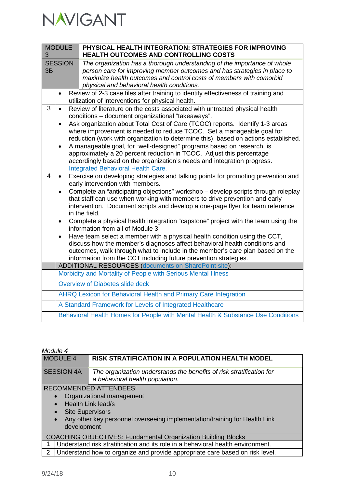| <b>MODULE</b><br>3   |                                                  | PHYSICAL HEALTH INTEGRATION: STRATEGIES FOR IMPROVING<br><b>HEALTH OUTCOMES AND CONTROLLING COSTS</b>                                                                                                                                                                                                                                                                                                                                                                                                                                                                                                                                                                                                                                                                                                                                 |  |  |  |
|----------------------|--------------------------------------------------|---------------------------------------------------------------------------------------------------------------------------------------------------------------------------------------------------------------------------------------------------------------------------------------------------------------------------------------------------------------------------------------------------------------------------------------------------------------------------------------------------------------------------------------------------------------------------------------------------------------------------------------------------------------------------------------------------------------------------------------------------------------------------------------------------------------------------------------|--|--|--|
| <b>SESSION</b><br>3B |                                                  | The organization has a thorough understanding of the importance of whole<br>person care for improving member outcomes and has strategies in place to<br>maximize health outcomes and control costs of members with comorbid<br>physical and behavioral health conditions.                                                                                                                                                                                                                                                                                                                                                                                                                                                                                                                                                             |  |  |  |
|                      | $\bullet$                                        | Review of 2-3 case files after training to identify effectiveness of training and<br>utilization of interventions for physical health.                                                                                                                                                                                                                                                                                                                                                                                                                                                                                                                                                                                                                                                                                                |  |  |  |
| 3                    | $\bullet$<br>$\bullet$<br>$\bullet$              | Review of literature on the costs associated with untreated physical health<br>conditions - document organizational "takeaways".<br>Ask organization about Total Cost of Care (TCOC) reports. Identify 1-3 areas<br>where improvement is needed to reduce TCOC. Set a manageable goal for<br>reduction (work with organization to determine this), based on actions established.<br>A manageable goal, for "well-designed" programs based on research, is<br>approximately a 20 percent reduction in TCOC. Adjust this percentage<br>accordingly based on the organization's needs and integration progress.<br><b>Integrated Behavioral Health Care.</b>                                                                                                                                                                             |  |  |  |
| 4                    | $\bullet$<br>$\bullet$<br>$\bullet$<br>$\bullet$ | Exercise on developing strategies and talking points for promoting prevention and<br>early intervention with members.<br>Complete an "anticipating objections" workshop - develop scripts through roleplay<br>that staff can use when working with members to drive prevention and early<br>intervention. Document scripts and develop a one-page flyer for team reference<br>in the field.<br>Complete a physical health integration "capstone" project with the team using the<br>information from all of Module 3.<br>Have team select a member with a physical health condition using the CCT,<br>discuss how the member's diagnoses affect behavioral health conditions and<br>outcomes, walk through what to include in the member's care plan based on the<br>information from the CCT including future prevention strategies. |  |  |  |
|                      |                                                  | <b>ADDITIONAL RESOURCES (documents on SharePoint site):</b>                                                                                                                                                                                                                                                                                                                                                                                                                                                                                                                                                                                                                                                                                                                                                                           |  |  |  |
|                      |                                                  | Morbidity and Mortality of People with Serious Mental Illness                                                                                                                                                                                                                                                                                                                                                                                                                                                                                                                                                                                                                                                                                                                                                                         |  |  |  |
|                      |                                                  | Overview of Diabetes slide deck                                                                                                                                                                                                                                                                                                                                                                                                                                                                                                                                                                                                                                                                                                                                                                                                       |  |  |  |
|                      |                                                  | AHRQ Lexicon for Behavioral Health and Primary Care Integration                                                                                                                                                                                                                                                                                                                                                                                                                                                                                                                                                                                                                                                                                                                                                                       |  |  |  |
|                      |                                                  | A Standard Framework for Levels of Integrated Healthcare                                                                                                                                                                                                                                                                                                                                                                                                                                                                                                                                                                                                                                                                                                                                                                              |  |  |  |
|                      |                                                  | Behavioral Health Homes for People with Mental Health & Substance Use Conditions                                                                                                                                                                                                                                                                                                                                                                                                                                                                                                                                                                                                                                                                                                                                                      |  |  |  |

| Module 4          |                                        |                                                                                                                                                                |
|-------------------|----------------------------------------|----------------------------------------------------------------------------------------------------------------------------------------------------------------|
|                   | <b>MODULE 4</b>                        | RISK STRATIFICATION IN A POPULATION HEALTH MODEL                                                                                                               |
| <b>SESSION 4A</b> |                                        | The organization understands the benefits of risk stratification for<br>a behavioral health population.                                                        |
| $\bullet$         | <b>Site Supervisors</b><br>development | <b>RECOMMENDED ATTENDEES:</b><br>Organizational management<br>Health Link lead/s<br>Any other key personnel overseeing implementation/training for Health Link |
|                   |                                        | <b>COACHING OBJECTIVES: Fundamental Organization Building Blocks</b>                                                                                           |
| 1                 |                                        | Understand risk stratification and its role in a behavioral health environment.                                                                                |
| $\mathcal{P}$     |                                        | Understand how to organize and provide appropriate care based on risk level.                                                                                   |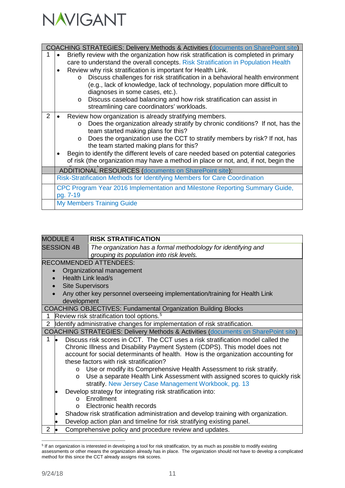

|               | <b>COACHING STRATEGIES: Delivery Methods &amp; Activities (documents on SharePoint site)</b> |
|---------------|----------------------------------------------------------------------------------------------|
|               | Briefly review with the organization how risk stratification is completed in primary         |
|               | care to understand the overall concepts. Risk Stratification in Population Health            |
|               | Review why risk stratification is important for Health Link.                                 |
|               | Discuss challenges for risk stratification in a behavioral health environment<br>$\Omega$    |
|               | (e.g., lack of knowledge, lack of technology, population more difficult to                   |
|               | diagnoses in some cases, etc.).                                                              |
|               | Discuss caseload balancing and how risk stratification can assist in<br>$\circ$              |
|               | streamlining care coordinators' workloads.                                                   |
| $\mathcal{P}$ | Review how organization is already stratifying members.                                      |
|               | Does the organization already stratify by chronic conditions? If not, has the<br>$\circ$     |
|               | team started making plans for this?                                                          |
|               | Does the organization use the CCT to stratify members by risk? If not, has<br>$\circ$        |
|               | the team started making plans for this?                                                      |
|               | Begin to identify the different levels of care needed based on potential categories          |
|               | of risk (the organization may have a method in place or not, and, if not, begin the          |
|               | <b>ADDITIONAL RESOURCES (documents on SharePoint site):</b>                                  |
|               | Risk-Stratification Methods for Identifying Members for Care Coordination                    |
|               | CPC Program Year 2016 Implementation and Milestone Reporting Summary Guide,                  |
|               | pg. 7-19                                                                                     |
|               | <b>My Members Training Guide</b>                                                             |

| <b>MODULE 4</b>         | <b>RISK STRATIFICATION</b>                                                                   |
|-------------------------|----------------------------------------------------------------------------------------------|
| <b>SESSION 4B</b>       | The organization has a formal methodology for identifying and                                |
|                         | grouping its population into risk levels.                                                    |
|                         | <b>RECOMMENDED ATTENDEES:</b>                                                                |
|                         | Organizational management                                                                    |
|                         | Health Link lead/s                                                                           |
| <b>Site Supervisors</b> |                                                                                              |
|                         | Any other key personnel overseeing implementation/training for Health Link                   |
| development             |                                                                                              |
|                         | <b>COACHING OBJECTIVES: Fundamental Organization Building Blocks</b>                         |
| 1                       | Review risk stratification tool options. <sup>5</sup>                                        |
| $\overline{2}$          | Identify administrative changes for implementation of risk stratification.                   |
|                         | <b>COACHING STRATEGIES: Delivery Methods &amp; Activities (documents on SharePoint site)</b> |
| 1                       | Discuss risk scores in CCT. The CCT uses a risk stratification model called the              |
|                         | Chronic Illness and Disability Payment System (CDPS). This model does not                    |
|                         | account for social determinants of health. How is the organization accounting for            |
|                         | these factors with risk stratification?                                                      |
| $\circ$                 | Use or modify its Comprehensive Health Assessment to risk stratify.                          |
| $\circ$                 | Use a separate Health Link Assessment with assigned scores to quickly risk                   |
|                         | stratify. New Jersey Case Management Workbook, pg. 13                                        |
|                         | Develop strategy for integrating risk stratification into:                                   |
| $\Omega$                | Enrollment                                                                                   |
| $\Omega$                | Electronic health records                                                                    |
|                         | Shadow risk stratification administration and develop training with organization.            |
|                         | Develop action plan and timeline for risk stratifying existing panel.                        |
| $\overline{2}$          | Comprehensive policy and procedure review and updates.                                       |

<span id="page-10-0"></span> <sup>5</sup> If an organization is interested in developing a tool for risk stratification, try as much as possible to modify existing assessments or other means the organization already has in place. The organization should not have to develop a complicated method for this since the CCT already assigns risk scores.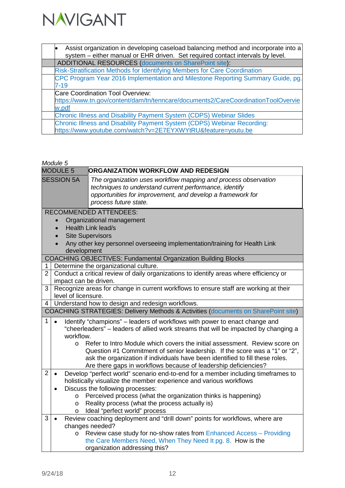

| Assist organization in developing caseload balancing method and incorporate into a |
|------------------------------------------------------------------------------------|
| system - either manual or EHR driven. Set required contact intervals by level.     |
| ADDITIONAL RESOURCES (documents on SharePoint site):                               |
| Risk-Stratification Methods for Identifying Members for Care Coordination          |
| CPC Program Year 2016 Implementation and Milestone Reporting Summary Guide, pg.    |
| $7 - 19$                                                                           |
| Care Coordination Tool Overview:                                                   |
| https://www.tn.gov/content/dam/tn/tenncare/documents2/CareCoordinationToolOvervie  |
| w.pdf                                                                              |
| <b>Chronic Illness and Disability Payment System (CDPS) Webinar Slides</b>         |
| Chronic Illness and Disability Payment System (CDPS) Webinar Recording:            |
| https://www.youtube.com/watch?v=2E7EYXWYtRU&feature=youtu.be                       |

|                | rviouure o |                     |                                                                                                                                                                                                                                                                                                               |
|----------------|------------|---------------------|---------------------------------------------------------------------------------------------------------------------------------------------------------------------------------------------------------------------------------------------------------------------------------------------------------------|
|                |            | <b>MODULE 5</b>     | ORGANIZATION WORKFLOW AND REDESIGN                                                                                                                                                                                                                                                                            |
|                |            | <b>SESSION 5A</b>   | The organization uses workflow mapping and process observation<br>techniques to understand current performance, identify<br>opportunities for improvement, and develop a framework for<br>process future state.                                                                                               |
|                |            |                     | <b>RECOMMENDED ATTENDEES:</b>                                                                                                                                                                                                                                                                                 |
|                |            |                     | Organizational management                                                                                                                                                                                                                                                                                     |
|                |            |                     | Health Link lead/s                                                                                                                                                                                                                                                                                            |
|                |            |                     | <b>Site Supervisors</b>                                                                                                                                                                                                                                                                                       |
|                |            | development         | Any other key personnel overseeing implementation/training for Health Link                                                                                                                                                                                                                                    |
|                |            |                     | <b>COACHING OBJECTIVES: Fundamental Organization Building Blocks</b>                                                                                                                                                                                                                                          |
| 1              |            |                     | Determine the organizational culture.                                                                                                                                                                                                                                                                         |
| 2 <sup>1</sup> |            |                     | Conduct a critical review of daily organizations to identify areas where efficiency or<br>impact can be driven.                                                                                                                                                                                               |
| 3              |            | level of licensure. | Recognize areas for change in current workflows to ensure staff are working at their                                                                                                                                                                                                                          |
| 4              |            |                     | Understand how to design and redesign workflows.                                                                                                                                                                                                                                                              |
|                |            |                     | COACHING STRATEGIES: Delivery Methods & Activities (documents on SharePoint site)                                                                                                                                                                                                                             |
| $\mathbf{1}$   | $\bullet$  | workflow.           | Identify "champions" – leaders of workflows with power to enact change and<br>"cheerleaders" - leaders of allied work streams that will be impacted by changing a                                                                                                                                             |
|                |            | $\circ$             | Refer to Intro Module which covers the initial assessment. Review score on<br>Question #1 Commitment of senior leadership. If the score was a "1" or "2",<br>ask the organization if individuals have been identified to fill these roles.<br>Are there gaps in workflows because of leadership deficiencies? |
| $\overline{2}$ | $\bullet$  |                     | Develop "perfect world" scenario end-to-end for a member including timeframes to<br>holistically visualize the member experience and various workflows                                                                                                                                                        |
|                |            | $\circ$             | Discuss the following processes:<br>Perceived process (what the organization thinks is happening)                                                                                                                                                                                                             |
|                |            | $\circ$             | Reality process (what the process actually is)                                                                                                                                                                                                                                                                |
|                |            | O                   | Ideal "perfect world" process                                                                                                                                                                                                                                                                                 |
| 3              | $\bullet$  |                     | Review coaching deployment and "drill down" points for workflows, where are                                                                                                                                                                                                                                   |
|                |            |                     | changes needed?                                                                                                                                                                                                                                                                                               |
|                |            | $\circ$             | Review case study for no-show rates from Enhanced Access - Providing                                                                                                                                                                                                                                          |
|                |            |                     | the Care Members Need, When They Need It pg. 8. How is the                                                                                                                                                                                                                                                    |
|                |            |                     | organization addressing this?                                                                                                                                                                                                                                                                                 |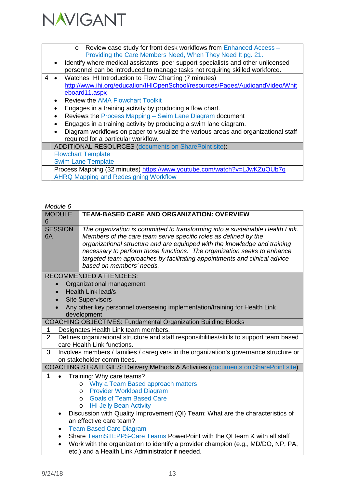

|   | Review case study for front desk workflows from Enhanced Access -<br>$\Omega$<br>Providing the Care Members Need, When They Need It pg. 21.                      |
|---|------------------------------------------------------------------------------------------------------------------------------------------------------------------|
|   | Identify where medical assistants, peer support specialists and other unlicensed<br>personnel can be introduced to manage tasks not requiring skilled workforce. |
| 4 | Watches IHI Introduction to Flow Charting (7 minutes)<br>http://www.ihi.org/education/IHIOpenSchool/resources/Pages/AudioandVideo/Whit<br>eboard11.aspx          |
|   | <b>Review the AMA Flowchart Toolkit</b><br>$\bullet$                                                                                                             |
|   | Engages in a training activity by producing a flow chart.<br>$\bullet$                                                                                           |
|   | Reviews the Process Mapping - Swim Lane Diagram document<br>$\bullet$                                                                                            |
|   | Engages in a training activity by producing a swim lane diagram.<br>$\bullet$                                                                                    |
|   | Diagram workflows on paper to visualize the various areas and organizational staff                                                                               |
|   | required for a particular workflow.                                                                                                                              |
|   | ADDITIONAL RESOURCES (documents on SharePoint site):                                                                                                             |
|   | <b>Flowchart Template</b>                                                                                                                                        |
|   | <b>Swim Lane Template</b>                                                                                                                                        |
|   | Process Mapping (32 minutes) https://www.youtube.com/watch?v=LJwKZuQUb7g                                                                                         |
|   | <b>AHRQ Mapping and Redesigning Workflow</b>                                                                                                                     |
|   |                                                                                                                                                                  |

| <b>MODULE</b>  |                | <b>TEAM-BASED CARE AND ORGANIZATION: OVERVIEW</b>                                                                                                                                                                                                                                                                                                                                                                 |
|----------------|----------------|-------------------------------------------------------------------------------------------------------------------------------------------------------------------------------------------------------------------------------------------------------------------------------------------------------------------------------------------------------------------------------------------------------------------|
| 6              |                |                                                                                                                                                                                                                                                                                                                                                                                                                   |
| 6A             | <b>SESSION</b> | The organization is committed to transforming into a sustainable Health Link.<br>Members of the care team serve specific roles as defined by the<br>organizational structure and are equipped with the knowledge and training<br>necessary to perform those functions. The organization seeks to enhance<br>targeted team approaches by facilitating appointments and clinical advice<br>based on members' needs. |
|                |                | <b>RECOMMENDED ATTENDEES:</b>                                                                                                                                                                                                                                                                                                                                                                                     |
|                |                | Organizational management                                                                                                                                                                                                                                                                                                                                                                                         |
|                |                | <b>Health Link lead/s</b>                                                                                                                                                                                                                                                                                                                                                                                         |
|                |                | <b>Site Supervisors</b>                                                                                                                                                                                                                                                                                                                                                                                           |
|                |                | Any other key personnel overseeing implementation/training for Health Link<br>development                                                                                                                                                                                                                                                                                                                         |
|                |                | <b>COACHING OBJECTIVES: Fundamental Organization Building Blocks</b>                                                                                                                                                                                                                                                                                                                                              |
| $\mathbf{1}$   |                | Designates Health Link team members.                                                                                                                                                                                                                                                                                                                                                                              |
| $\overline{2}$ |                | Defines organizational structure and staff responsibilities/skills to support team based<br>care Health Link functions.                                                                                                                                                                                                                                                                                           |
| 3              |                | Involves members / families / caregivers in the organization's governance structure or<br>on stakeholder committees.                                                                                                                                                                                                                                                                                              |
|                |                | COACHING STRATEGIES: Delivery Methods & Activities (documents on SharePoint site)                                                                                                                                                                                                                                                                                                                                 |
| 1              | $\bullet$      | Training: Why care teams?                                                                                                                                                                                                                                                                                                                                                                                         |
|                |                | o Why a Team Based approach matters                                                                                                                                                                                                                                                                                                                                                                               |
|                |                | <b>Provider Workload Diagram</b><br>$\circ$                                                                                                                                                                                                                                                                                                                                                                       |
|                |                | <b>Goals of Team Based Care</b><br>$\circ$                                                                                                                                                                                                                                                                                                                                                                        |
|                |                | <b>IHI Jelly Bean Activity</b><br>$\circ$                                                                                                                                                                                                                                                                                                                                                                         |
|                | ٠              | Discussion with Quality Improvement (QI) Team: What are the characteristics of                                                                                                                                                                                                                                                                                                                                    |
|                |                | an effective care team?                                                                                                                                                                                                                                                                                                                                                                                           |
|                | ٠              | <b>Team Based Care Diagram</b>                                                                                                                                                                                                                                                                                                                                                                                    |
|                | ٠              | Share TeamSTEPPS-Care Teams PowerPoint with the QI team & with all staff                                                                                                                                                                                                                                                                                                                                          |
|                |                | Work with the organization to identify a provider champion (e.g., MD/DO, NP, PA,<br>etc.) and a Health Link Administrator if needed.                                                                                                                                                                                                                                                                              |
|                |                |                                                                                                                                                                                                                                                                                                                                                                                                                   |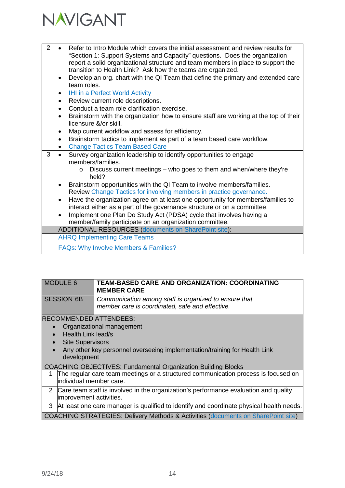

| $\overline{2}$ | Refer to Intro Module which covers the initial assessment and review results for<br>"Section 1: Support Systems and Capacity" questions. Does the organization<br>report a solid organizational structure and team members in place to support the<br>transition to Health Link? Ask how the teams are organized.<br>Develop an org. chart with the QI Team that define the primary and extended care |
|----------------|-------------------------------------------------------------------------------------------------------------------------------------------------------------------------------------------------------------------------------------------------------------------------------------------------------------------------------------------------------------------------------------------------------|
|                | team roles.                                                                                                                                                                                                                                                                                                                                                                                           |
|                | IHI in a Perfect World Activity<br>$\bullet$                                                                                                                                                                                                                                                                                                                                                          |
|                | Review current role descriptions.<br>$\bullet$                                                                                                                                                                                                                                                                                                                                                        |
|                | Conduct a team role clarification exercise.<br>$\bullet$                                                                                                                                                                                                                                                                                                                                              |
|                | Brainstorm with the organization how to ensure staff are working at the top of their<br>$\bullet$<br>licensure &/or skill.                                                                                                                                                                                                                                                                            |
|                | Map current workflow and assess for efficiency.<br>$\bullet$                                                                                                                                                                                                                                                                                                                                          |
|                | Brainstorm tactics to implement as part of a team based care workflow.<br>$\bullet$                                                                                                                                                                                                                                                                                                                   |
|                | <b>Change Tactics Team Based Care</b><br>$\bullet$                                                                                                                                                                                                                                                                                                                                                    |
| 3              | Survey organization leadership to identify opportunities to engage<br>members/families.                                                                                                                                                                                                                                                                                                               |
|                | Discuss current meetings – who goes to them and when/where they're<br>$\Omega$                                                                                                                                                                                                                                                                                                                        |
|                | held?                                                                                                                                                                                                                                                                                                                                                                                                 |
|                | Brainstorm opportunities with the QI Team to involve members/families.<br>٠                                                                                                                                                                                                                                                                                                                           |
|                | Review Change Tactics for involving members in practice governance.                                                                                                                                                                                                                                                                                                                                   |
|                | Have the organization agree on at least one opportunity for members/families to<br>٠                                                                                                                                                                                                                                                                                                                  |
|                | interact either as a part of the governance structure or on a committee.                                                                                                                                                                                                                                                                                                                              |
|                | Implement one Plan Do Study Act (PDSA) cycle that involves having a<br>$\bullet$                                                                                                                                                                                                                                                                                                                      |
|                | member/family participate on an organization committee.                                                                                                                                                                                                                                                                                                                                               |
|                | <b>ADDITIONAL RESOURCES (documents on SharePoint site):</b>                                                                                                                                                                                                                                                                                                                                           |
|                | <b>AHRQ Implementing Care Teams</b><br>FAQs: Why Involve Members & Families?                                                                                                                                                                                                                                                                                                                          |

|   | <b>MODULE 6</b>          | <b>TEAM-BASED CARE AND ORGANIZATION: COORDINATING</b><br><b>MEMBER CARE</b>                              |
|---|--------------------------|----------------------------------------------------------------------------------------------------------|
|   | <b>SESSION 6B</b>        | Communication among staff is organized to ensure that<br>member care is coordinated, safe and effective. |
|   |                          | <b>RECOMMENDED ATTENDEES:</b>                                                                            |
|   |                          | Organizational management                                                                                |
|   | Health Link lead/s       |                                                                                                          |
|   | <b>Site Supervisors</b>  |                                                                                                          |
|   | development              | Any other key personnel overseeing implementation/training for Health Link                               |
|   |                          | <b>COACHING OBJECTIVES: Fundamental Organization Building Blocks</b>                                     |
|   | lindividual member care. | The regular care team meetings or a structured communication process is focused on                       |
|   | improvement activities.  | 2 Care team staff is involved in the organization's performance evaluation and quality                   |
| 3 |                          | At least one care manager is qualified to identify and coordinate physical health needs                  |

COACHING STRATEGIES: Delivery Methods & Activities [\(documents on SharePoint site\)](https://navigant.sharepoint.com/sites/PCMH-HL-Training/default.aspx?RootFolder=%2Fsites%2FPCMH%2DHL%2DTraining%2FShared%20Documents%2FHealth%20Link%20Curriculum%20Final&FolderCTID=0x01200087E90177226ECA4D857F65F18D1935E8&View=%7BCD276324%2DAF17%2D4DBB%2DB4F9%2D3DACFB62784E%7D)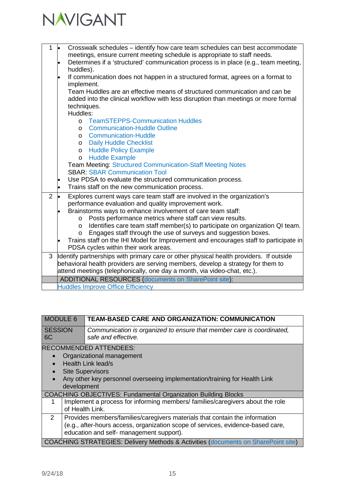

| $\mathbf{1}$   | Crosswalk schedules - identify how care team schedules can best accommodate<br>l.                                                                                       |  |  |
|----------------|-------------------------------------------------------------------------------------------------------------------------------------------------------------------------|--|--|
|                | meetings, ensure current meeting schedule is appropriate to staff needs.                                                                                                |  |  |
|                | Determines if a 'structured' communication process is in place (e.g., team meeting,<br>l.                                                                               |  |  |
|                | huddles).                                                                                                                                                               |  |  |
|                | If communication does not happen in a structured format, agrees on a format to<br>$\bullet$                                                                             |  |  |
|                | implement.<br>Team Huddles are an effective means of structured communication and can be                                                                                |  |  |
|                | added into the clinical workflow with less disruption than meetings or more formal                                                                                      |  |  |
|                | techniques.                                                                                                                                                             |  |  |
|                | Huddles:                                                                                                                                                                |  |  |
|                | <b>TeamSTEPPS-Communication Huddles</b><br>$\Omega$                                                                                                                     |  |  |
|                | <b>Communication-Huddle Outline</b><br>$\circ$                                                                                                                          |  |  |
|                | <b>Communication-Huddle</b><br>$\circ$                                                                                                                                  |  |  |
|                | <b>Daily Huddle Checklist</b><br>$\circ$                                                                                                                                |  |  |
|                | <b>Huddle Policy Example</b><br>$\circ$                                                                                                                                 |  |  |
|                | <b>Huddle Example</b><br>$\circ$                                                                                                                                        |  |  |
|                | <b>Team Meeting: Structured Communication-Staff Meeting Notes</b>                                                                                                       |  |  |
|                | <b>SBAR: SBAR Communication Tool</b>                                                                                                                                    |  |  |
|                | Use PDSA to evaluate the structured communication process.<br>$\bullet$                                                                                                 |  |  |
|                | Trains staff on the new communication process.<br>$\bullet$                                                                                                             |  |  |
| $\overline{2}$ | Explores current ways care team staff are involved in the organization's                                                                                                |  |  |
|                | performance evaluation and quality improvement work.                                                                                                                    |  |  |
|                | Brainstorms ways to enhance involvement of care team staff:                                                                                                             |  |  |
|                | Posts performance metrics where staff can view results.<br>$\Omega$                                                                                                     |  |  |
|                | Identifies care team staff member(s) to participate on organization QI team.<br>$\circ$                                                                                 |  |  |
|                | Engages staff through the use of surveys and suggestion boxes.<br>$\circ$<br>Trains staff on the IHI Model for Improvement and encourages staff to participate in<br>lo |  |  |
|                | PDSA cycles within their work areas.                                                                                                                                    |  |  |
| 3              | Identify partnerships with primary care or other physical health providers. If outside                                                                                  |  |  |
|                | behavioral health providers are serving members, develop a strategy for them to                                                                                         |  |  |
|                | attend meetings (telephonically, one day a month, via video-chat, etc.).                                                                                                |  |  |
|                | <b>ADDITIONAL RESOURCES (documents on SharePoint site):</b>                                                                                                             |  |  |
|                | <b>Huddles Improve Office Efficiency</b>                                                                                                                                |  |  |

| <b>MODULE 6</b>      |                 | <b>TEAM-BASED CARE AND ORGANIZATION: COMMUNICATION</b>                                       |
|----------------------|-----------------|----------------------------------------------------------------------------------------------|
| <b>SESSION</b><br>6C |                 | Communication is organized to ensure that member care is coordinated,<br>safe and effective. |
|                      |                 | <b>RECOMMENDED ATTENDEES:</b>                                                                |
| $\bullet$            |                 | Organizational management                                                                    |
|                      |                 | Health Link lead/s                                                                           |
| $\bullet$            |                 | <b>Site Supervisors</b>                                                                      |
|                      |                 | Any other key personnel overseeing implementation/training for Health Link                   |
|                      | development     |                                                                                              |
|                      |                 | <b>COACHING OBJECTIVES: Fundamental Organization Building Blocks</b>                         |
| 1                    |                 | Implement a process for informing members/ families/caregivers about the role                |
|                      | of Health Link. |                                                                                              |
| 2                    |                 | Provides members/families/caregivers materials that contain the information                  |
|                      |                 | (e.g., after-hours access, organization scope of services, evidence-based care,              |
|                      |                 | education and self- management support).                                                     |
|                      |                 | <b>COACHING STRATEGIES: Delivery Methods &amp; Activities (documents on SharePoint site)</b> |
|                      |                 |                                                                                              |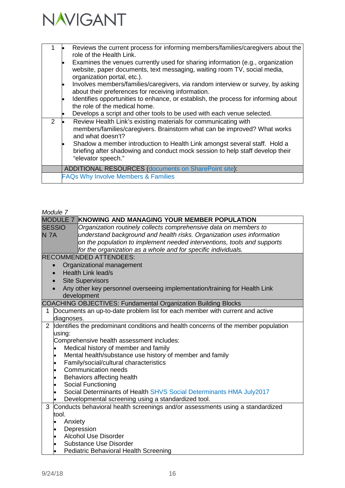

| $\mathcal{P}$ | Reviews the current process for informing members/families/caregivers about the<br>role of the Health Link.<br>Examines the venues currently used for sharing information (e.g., organization<br>website, paper documents, text messaging, waiting room TV, social media,<br>organization portal, etc.).<br>Involves members/families/caregivers, via random interview or survey, by asking<br>about their preferences for receiving information.<br>Identifies opportunities to enhance, or establish, the process for informing about<br>the role of the medical home.<br>Develops a script and other tools to be used with each venue selected.<br>Review Health Link's existing materials for communicating with<br>members/families/caregivers. Brainstorm what can be improved? What works<br>and what doesn't?<br>Shadow a member introduction to Health Link amongst several staff. Hold a |
|---------------|----------------------------------------------------------------------------------------------------------------------------------------------------------------------------------------------------------------------------------------------------------------------------------------------------------------------------------------------------------------------------------------------------------------------------------------------------------------------------------------------------------------------------------------------------------------------------------------------------------------------------------------------------------------------------------------------------------------------------------------------------------------------------------------------------------------------------------------------------------------------------------------------------|
|               | briefing after shadowing and conduct mock session to help staff develop their<br>"elevator speech."                                                                                                                                                                                                                                                                                                                                                                                                                                                                                                                                                                                                                                                                                                                                                                                                |
|               | <b>ADDITIONAL RESOURCES (documents on SharePoint site):</b>                                                                                                                                                                                                                                                                                                                                                                                                                                                                                                                                                                                                                                                                                                                                                                                                                                        |
|               | <b>FAQs Why Involve Members &amp; Families</b>                                                                                                                                                                                                                                                                                                                                                                                                                                                                                                                                                                                                                                                                                                                                                                                                                                                     |

|                |                      | <b>MODULE 7 KNOWING AND MANAGING YOUR MEMBER POPULATION</b>                        |
|----------------|----------------------|------------------------------------------------------------------------------------|
|                | <b>SESSIO</b>        | Organization routinely collects comprehensive data on members to                   |
| <b>N 7A</b>    |                      | understand background and health risks. Organization uses information              |
|                |                      | on the population to implement needed interventions, tools and supports            |
|                |                      | for the organization as a whole and for specific individuals.                      |
|                |                      | <b>RECOMMENDED ATTENDEES:</b>                                                      |
|                |                      | Organizational management                                                          |
|                | $\bullet$            | Health Link lead/s                                                                 |
|                |                      | <b>Site Supervisors</b>                                                            |
|                |                      | Any other key personnel overseeing implementation/training for Health Link         |
|                |                      | development                                                                        |
|                |                      | COACHING OBJECTIVES: Fundamental Organization Building Blocks                      |
| 1              |                      | Documents an up-to-date problem list for each member with current and active       |
|                | diagnoses.           |                                                                                    |
| $\overline{2}$ |                      | Identifies the predominant conditions and health concerns of the member population |
|                | using:               |                                                                                    |
|                |                      | Comprehensive health assessment includes:                                          |
|                |                      | Medical history of member and family                                               |
|                | $\bullet$            | Mental health/substance use history of member and family                           |
|                | $\bullet$            | Family/social/cultural characteristics                                             |
|                | $\bullet$            | Communication needs                                                                |
|                | ٠                    | Behaviors affecting health                                                         |
|                | $\bullet$            | Social Functioning                                                                 |
|                |                      | Social Determinants of Health SHVS Social Determinants HMA July2017                |
|                |                      | Developmental screening using a standardized tool.                                 |
| 3              |                      | Conducts behavioral health screenings and/or assessments using a standardized      |
|                | tool.                |                                                                                    |
|                | Anxiety<br>$\bullet$ | Depression                                                                         |
|                | ٠                    | <b>Alcohol Use Disorder</b>                                                        |
|                | $\bullet$            | <b>Substance Use Disorder</b>                                                      |
|                | $\bullet$            | Pediatric Behavioral Health Screening                                              |
|                |                      |                                                                                    |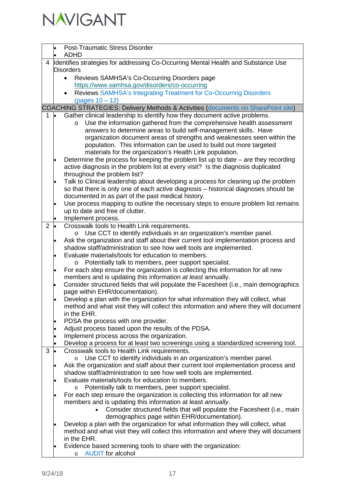

|                |                                                                                   | <b>Post-Traumatic Stress Disorder</b>                                                                                                               |  |
|----------------|-----------------------------------------------------------------------------------|-----------------------------------------------------------------------------------------------------------------------------------------------------|--|
|                |                                                                                   | <b>ADHD</b>                                                                                                                                         |  |
| 4              | Identifies strategies for addressing Co-Occurring Mental Health and Substance Use |                                                                                                                                                     |  |
|                | <b>Disorders</b>                                                                  |                                                                                                                                                     |  |
|                | Reviews SAMHSA's Co-Occurring Disorders page<br>$\bullet$                         |                                                                                                                                                     |  |
|                |                                                                                   | https://www.samhsa.gov/disorders/co-occurring                                                                                                       |  |
|                |                                                                                   | Reviews SAMHSA's Integrating Treatment for Co-Occurring Disorders                                                                                   |  |
|                |                                                                                   | (pages 10 – 12)                                                                                                                                     |  |
|                |                                                                                   | COACHING STRATEGIES: Delivery Methods & Activities (documents on SharePoint site)                                                                   |  |
| 1              | <b>le</b>                                                                         | Gather clinical leadership to identify how they document active problems.                                                                           |  |
|                |                                                                                   | Use the information gathered from the comprehensive health assessment<br>$\circ$                                                                    |  |
|                |                                                                                   | answers to determine areas to build self-management skills. Have                                                                                    |  |
|                |                                                                                   | organization document areas of strengths and weaknesses seen within the                                                                             |  |
|                |                                                                                   | population. This information can be used to build out more targeted<br>materials for the organization's Health Link population.                     |  |
|                |                                                                                   | Determine the process for keeping the problem list up to date $-$ are they recording                                                                |  |
|                | $\bullet$                                                                         | active diagnosis in the problem list at every visit? Is the diagnosis duplicated                                                                    |  |
|                |                                                                                   | throughout the problem list?                                                                                                                        |  |
|                |                                                                                   | Talk to Clinical leadership about developing a process for cleaning up the problem                                                                  |  |
|                |                                                                                   | so that there is only one of each active diagnosis - historical diagnoses should be                                                                 |  |
|                |                                                                                   | documented in as part of the past medical history.                                                                                                  |  |
|                |                                                                                   | Use process mapping to outline the necessary steps to ensure problem list remains                                                                   |  |
|                |                                                                                   | up to date and free of clutter.                                                                                                                     |  |
|                |                                                                                   | Implement process.                                                                                                                                  |  |
| $\overline{2}$ | $\bullet$                                                                         | Crosswalk tools to Health Link requirements.                                                                                                        |  |
|                |                                                                                   | Use CCT to identify individuals in an organization's member panel.<br>$\circ$                                                                       |  |
|                |                                                                                   | Ask the organization and staff about their current tool implementation process and                                                                  |  |
|                |                                                                                   | shadow staff/administration to see how well tools are implemented.                                                                                  |  |
|                |                                                                                   | Evaluate materials/tools for education to members.                                                                                                  |  |
|                |                                                                                   | o Potentially talk to members, peer support specialist.                                                                                             |  |
|                | $\bullet$                                                                         | For each step ensure the organization is collecting this information for all new                                                                    |  |
|                |                                                                                   | members and is updating this information at least annually.<br>Consider structured fields that will populate the Facesheet (i.e., main demographics |  |
|                |                                                                                   | page within EHR/documentation).                                                                                                                     |  |
|                |                                                                                   | Develop a plan with the organization for what information they will collect, what                                                                   |  |
|                |                                                                                   | method and what visit they will collect this information and where they will document                                                               |  |
|                |                                                                                   | in the EHR.                                                                                                                                         |  |
|                |                                                                                   | PDSA the process with one provider.                                                                                                                 |  |
|                |                                                                                   | Adjust process based upon the results of the PDSA.                                                                                                  |  |
|                |                                                                                   | Implement process across the organization.                                                                                                          |  |
|                |                                                                                   | Develop a process for at least two screenings using a standardized screening tool.                                                                  |  |
| 3              |                                                                                   | Crosswalk tools to Health Link requirements.                                                                                                        |  |
|                |                                                                                   | Use CCT to identify individuals in an organization's member panel.<br>$\circ$                                                                       |  |
|                |                                                                                   | Ask the organization and staff about their current tool implementation process and                                                                  |  |
|                |                                                                                   | shadow staff/administration to see how well tools are implemented.                                                                                  |  |
|                |                                                                                   | Evaluate materials/tools for education to members.                                                                                                  |  |
|                |                                                                                   | Potentially talk to members, peer support specialist.<br>$\circ$                                                                                    |  |
|                | $\bullet$                                                                         | For each step ensure the organization is collecting this information for all new                                                                    |  |
|                |                                                                                   | members and is updating this information at least annually.                                                                                         |  |
|                |                                                                                   | Consider structured fields that will populate the Facesheet (i.e., main<br>demographics page within EHR/documentation).                             |  |
|                |                                                                                   | Develop a plan with the organization for what information they will collect, what                                                                   |  |
|                |                                                                                   | method and what visit they will collect this information and where they will document                                                               |  |
|                |                                                                                   | in the EHR.                                                                                                                                         |  |
|                |                                                                                   | Evidence based screening tools to share with the organization:                                                                                      |  |
|                |                                                                                   | <b>AUDIT</b> for alcohol<br>O                                                                                                                       |  |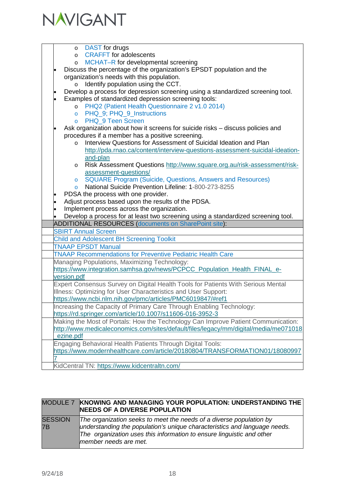

|  | DAST for drugs                                                                                                       |
|--|----------------------------------------------------------------------------------------------------------------------|
|  | $\circ$<br><b>CRAFFT</b> for adolescents                                                                             |
|  | $\circ$                                                                                                              |
|  | MCHAT-R for developmental screening<br>$\circ$                                                                       |
|  | Discuss the percentage of the organization's EPSDT population and the                                                |
|  | organization's needs with this population.                                                                           |
|  | Identify population using the CCT.<br>$\circ$                                                                        |
|  | Develop a process for depression screening using a standardized screening tool.                                      |
|  | Examples of standardized depression screening tools:                                                                 |
|  | PHQ2 (Patient Health Questionnaire 2 v1.0 2014)<br>$\circ$                                                           |
|  | PHQ 9; PHQ 9 Instructions<br>$\circ$                                                                                 |
|  | PHQ_9 Teen Screen<br>$\circ$                                                                                         |
|  | Ask organization about how it screens for suicide risks – discuss policies and                                       |
|  | procedures if a member has a positive screening.<br>Interview Questions for Assessment of Suicidal Ideation and Plan |
|  | $\circ$                                                                                                              |
|  | http://pda.rnao.ca/content/interview-questions-assessment-suicidal-ideation-<br>and-plan                             |
|  | Risk Assessment Questions http://www.square.org.au/risk-assessment/risk-                                             |
|  | $\circ$<br>assessment-questions/                                                                                     |
|  | <b>SQUARE Program (Suicide, Questions, Answers and Resources)</b><br>$\circ$                                         |
|  | National Suicide Prevention Lifeline: 1-800-273-8255<br>$\circ$                                                      |
|  | PDSA the process with one provider.                                                                                  |
|  | Adjust process based upon the results of the PDSA.                                                                   |
|  | Implement process across the organization.                                                                           |
|  | Develop a process for at least two screening using a standardized screening tool.                                    |
|  | <b>ADDITIONAL RESOURCES (documents on SharePoint site):</b>                                                          |
|  | <b>SBIRT Annual Screen</b>                                                                                           |
|  | <b>Child and Adolescent BH Screening Toolkit</b>                                                                     |
|  | <b>TNAAP EPSDT Manual</b>                                                                                            |
|  | <b>TNAAP Recommendations for Preventive Pediatric Health Care</b>                                                    |
|  | Managing Populations, Maximizing Technology:                                                                         |
|  | https://www.integration.samhsa.gov/news/PCPCC_Population_Health_FINAL_e-                                             |
|  | version.pdf                                                                                                          |
|  | Expert Consensus Survey on Digital Health Tools for Patients With Serious Mental                                     |
|  | Illness: Optimizing for User Characteristics and User Support:                                                       |
|  | https://www.ncbi.nlm.nih.gov/pmc/articles/PMC6019847/#ref1                                                           |
|  | Increasing the Capacity of Primary Care Through Enabling Technology:                                                 |
|  | https://rd.springer.com/article/10.1007/s11606-016-3952-3                                                            |
|  | Making the Most of Portals: How the Technology Can Improve Patient Communication:                                    |
|  | http://www.medicaleconomics.com/sites/default/files/legacy/mm/digital/media/me071018                                 |
|  | ezine.pdf                                                                                                            |
|  | Engaging Behavioral Health Patients Through Digital Tools:                                                           |
|  | https://www.modernhealthcare.com/article/20180804/TRANSFORMATION01/18080997                                          |
|  |                                                                                                                      |
|  | KidCentral TN: https://www.kidcentraltn.com/                                                                         |

|                      | MODULE 7 KNOWING AND MANAGING YOUR POPULATION: UNDERSTANDING THE<br><b>INEEDS OF A DIVERSE POPULATION</b>                                                                                                                                          |
|----------------------|----------------------------------------------------------------------------------------------------------------------------------------------------------------------------------------------------------------------------------------------------|
| <b>SESSION</b><br>7B | The organization seeks to meet the needs of a diverse population by<br>understanding the population's unique characteristics and language needs.<br>The organization uses this information to ensure linguistic and other<br>member needs are met. |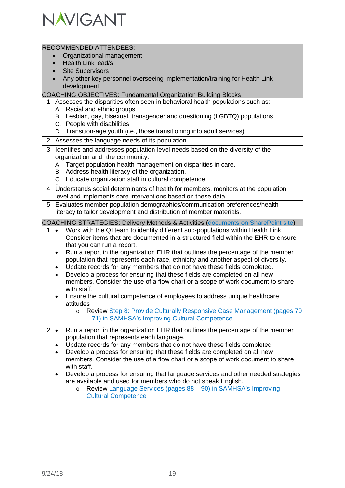

|                | <b>RECOMMENDED ATTENDEES:</b>                                                                |
|----------------|----------------------------------------------------------------------------------------------|
|                | Organizational management                                                                    |
|                | Health Link lead/s                                                                           |
|                | <b>Site Supervisors</b>                                                                      |
|                | Any other key personnel overseeing implementation/training for Health Link                   |
|                | development                                                                                  |
|                | <b>COACHING OBJECTIVES: Fundamental Organization Building Blocks</b>                         |
|                | Assesses the disparities often seen in behavioral health populations such as:                |
|                | A. Racial and ethnic groups                                                                  |
|                | B. Lesbian, gay, bisexual, transgender and questioning (LGBTQ) populations                   |
|                | C. People with disabilities                                                                  |
|                | D. Transition-age youth (i.e., those transitioning into adult services)                      |
| $\overline{2}$ | Assesses the language needs of its population.                                               |
| 3              |                                                                                              |
|                | Identifies and addresses population-level needs based on the diversity of the                |
|                | organization and the community.                                                              |
|                | A. Target population health management on disparities in care.                               |
|                | B. Address health literacy of the organization.                                              |
|                | C. Educate organization staff in cultural competence.                                        |
| 4              | Understands social determinants of health for members, monitors at the population            |
|                | level and implements care interventions based on these data.                                 |
| 5              | Evaluates member population demographics/communication preferences/health                    |
|                | literacy to tailor development and distribution of member materials.                         |
|                | <b>COACHING STRATEGIES: Delivery Methods &amp; Activities (documents on SharePoint site)</b> |
| 1              | Work with the QI team to identify different sub-populations within Health Link               |
|                | Consider items that are documented in a structured field within the EHR to ensure            |
|                | that you can run a report.                                                                   |
|                | Run a report in the organization EHR that outlines the percentage of the member              |
|                | population that represents each race, ethnicity and another aspect of diversity.             |
|                | Update records for any members that do not have these fields completed.                      |
|                | Develop a process for ensuring that these fields are completed on all new                    |
|                | members. Consider the use of a flow chart or a scope of work document to share               |
|                | with staff.                                                                                  |
|                | Ensure the cultural competence of employees to address unique healthcare                     |
|                | attitudes                                                                                    |
|                | Review Step 8: Provide Culturally Responsive Case Management (pages 70<br>$\circ$            |
|                | - 71) in SAMHSA's Improving Cultural Competence                                              |
| $\overline{2}$ | Run a report in the organization EHR that outlines the percentage of the member              |
|                | population that represents each language.                                                    |
|                | Update records for any members that do not have these fields completed                       |
|                | Develop a process for ensuring that these fields are completed on all new                    |
|                | members. Consider the use of a flow chart or a scope of work document to share               |
|                | with staff.                                                                                  |
|                | Develop a process for ensuring that language services and other needed strategies            |
|                | are available and used for members who do not speak English.                                 |
|                | Review Language Services (pages 88 - 90) in SAMHSA's Improving<br>$\circ$                    |
|                | <b>Cultural Competence</b>                                                                   |
|                |                                                                                              |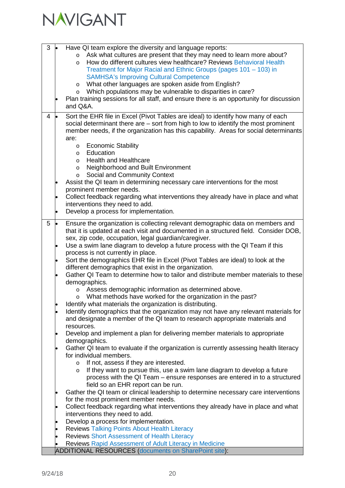

| 3 | <b>le</b> | Have QI team explore the diversity and language reports:                                |
|---|-----------|-----------------------------------------------------------------------------------------|
|   |           | Ask what cultures are present that they may need to learn more about?<br>$\circ$        |
|   |           | How do different cultures view healthcare? Reviews Behavioral Health<br>$\circ$         |
|   |           | Treatment for Major Racial and Ethnic Groups (pages 101 – 103) in                       |
|   |           | <b>SAMHSA's Improving Cultural Competence</b>                                           |
|   |           | What other languages are spoken aside from English?<br>$\circ$                          |
|   |           | Which populations may be vulnerable to disparities in care?                             |
|   |           | $\circ$                                                                                 |
|   |           | Plan training sessions for all staff, and ensure there is an opportunity for discussion |
|   |           | and Q&A.                                                                                |
| 4 | <b>le</b> | Sort the EHR file in Excel (Pivot Tables are ideal) to identify how many of each        |
|   |           | social determinant there are $-$ sort from high to low to identify the most prominent   |
|   |           | member needs, if the organization has this capability. Areas for social determinants    |
|   |           | are:                                                                                    |
|   |           | <b>Economic Stability</b><br>$\circ$                                                    |
|   |           | Education<br>$\circ$                                                                    |
|   |           | <b>Health and Healthcare</b><br>$\circ$                                                 |
|   |           | Neighborhood and Built Environment<br>$\circ$                                           |
|   |           | Social and Community Context<br>$\circ$                                                 |
|   |           | Assist the QI team in determining necessary care interventions for the most             |
|   |           | prominent member needs.                                                                 |
|   |           |                                                                                         |
|   |           | Collect feedback regarding what interventions they already have in place and what       |
|   |           | interventions they need to add.                                                         |
|   | $\bullet$ | Develop a process for implementation.                                                   |
| 5 | $\bullet$ | Ensure the organization is collecting relevant demographic data on members and          |
|   |           | that it is updated at each visit and documented in a structured field. Consider DOB,    |
|   |           | sex, zip code, occupation, legal guardian/caregiver.                                    |
|   |           | Use a swim lane diagram to develop a future process with the QI Team if this            |
|   |           | process is not currently in place.                                                      |
|   |           | Sort the demographics EHR file in Excel (Pivot Tables are ideal) to look at the         |
|   | $\bullet$ |                                                                                         |
|   |           | different demographics that exist in the organization.                                  |
|   |           | Gather QI Team to determine how to tailor and distribute member materials to these      |
|   |           | demographics.                                                                           |
|   |           | Assess demographic information as determined above.<br>$\circ$                          |
|   |           | What methods have worked for the organization in the past?                              |
|   |           | Identify what materials the organization is distributing.                               |
|   |           | Identify demographics that the organization may not have any relevant materials for     |
|   |           | and designate a member of the QI team to research appropriate materials and             |
|   |           | resources.                                                                              |
|   | $\bullet$ | Develop and implement a plan for delivering member materials to appropriate             |
|   |           | demographics.                                                                           |
|   |           | Gather QI team to evaluate if the organization is currently assessing health literacy   |
|   |           | for individual members.                                                                 |
|   |           | If not, assess if they are interested.<br>$\circ$                                       |
|   |           | If they want to pursue this, use a swim lane diagram to develop a future<br>$\circ$     |
|   |           | process with the QI Team – ensure responses are entered in to a structured              |
|   |           | field so an EHR report can be run.                                                      |
|   | $\bullet$ | Gather the QI team or clinical leadership to determine necessary care interventions     |
|   |           | for the most prominent member needs.                                                    |
|   | $\bullet$ | Collect feedback regarding what interventions they already have in place and what       |
|   |           | interventions they need to add.                                                         |
|   |           | Develop a process for implementation.                                                   |
|   |           | <b>Reviews Talking Points About Health Literacy</b>                                     |
|   |           |                                                                                         |
|   |           | <b>Reviews Short Assessment of Health Literacy</b>                                      |
|   |           | Reviews Rapid Assessment of Adult Literacy in Medicine                                  |
|   |           | <b>ADDITIONAL RESOURCES (documents on SharePoint site):</b>                             |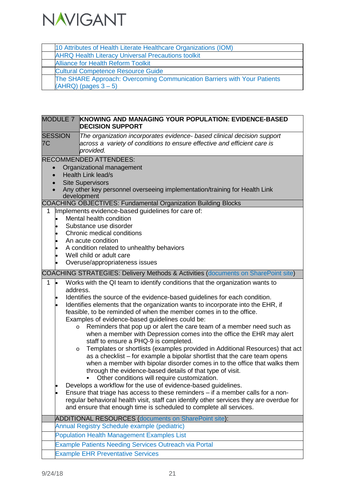

| 10 Attributes of Health Literate Healthcare Organizations (IOM)          |
|--------------------------------------------------------------------------|
| <b>AHRQ Health Literacy Universal Precautions toolkit</b>                |
| <b>Alliance for Health Reform Toolkit</b>                                |
| <b>Cultural Competence Resource Guide</b>                                |
| The SHARE Approach: Overcoming Communication Barriers with Your Patients |
| $(AHRQ)$ (pages $3-5$ )                                                  |
|                                                                          |

| <b>MODULE 7</b>                                               | KNOWING AND MANAGING YOUR POPULATION: EVIDENCE-BASED<br><b>DECISION SUPPORT</b>                                                                                                                                                                                                                                                                                                                                                                                                                                                                                                                                                                                                                                                                                                                                                                                                                                                                                                                                                                                                                                                                                                                                                                 |  |  |
|---------------------------------------------------------------|-------------------------------------------------------------------------------------------------------------------------------------------------------------------------------------------------------------------------------------------------------------------------------------------------------------------------------------------------------------------------------------------------------------------------------------------------------------------------------------------------------------------------------------------------------------------------------------------------------------------------------------------------------------------------------------------------------------------------------------------------------------------------------------------------------------------------------------------------------------------------------------------------------------------------------------------------------------------------------------------------------------------------------------------------------------------------------------------------------------------------------------------------------------------------------------------------------------------------------------------------|--|--|
| <b>SESSION</b><br>7C                                          | The organization incorporates evidence- based clinical decision support<br>across a variety of conditions to ensure effective and efficient care is<br>provided.                                                                                                                                                                                                                                                                                                                                                                                                                                                                                                                                                                                                                                                                                                                                                                                                                                                                                                                                                                                                                                                                                |  |  |
| $\bullet$<br>1                                                | <b>RECOMMENDED ATTENDEES:</b><br>Organizational management<br>Health Link lead/s<br><b>Site Supervisors</b><br>Any other key personnel overseeing implementation/training for Health Link<br>development<br>COACHING OBJECTIVES: Fundamental Organization Building Blocks<br>Implements evidence-based guidelines for care of:<br>Mental health condition<br>Substance use disorder<br>Chronic medical conditions<br>An acute condition<br>A condition related to unhealthy behaviors<br>Well child or adult care                                                                                                                                                                                                                                                                                                                                                                                                                                                                                                                                                                                                                                                                                                                               |  |  |
|                                                               | Overuse/appropriateness issues<br><b>COACHING STRATEGIES: Delivery Methods &amp; Activities (documents on SharePoint site)</b>                                                                                                                                                                                                                                                                                                                                                                                                                                                                                                                                                                                                                                                                                                                                                                                                                                                                                                                                                                                                                                                                                                                  |  |  |
| 1<br><b>lo</b><br>address.<br>$\circ$<br>$\circ$<br>$\bullet$ | Works with the QI team to identify conditions that the organization wants to<br>Identifies the source of the evidence-based guidelines for each condition.<br>Identifies elements that the organization wants to incorporate into the EHR, if<br>feasible, to be reminded of when the member comes in to the office.<br>Examples of evidence-based guidelines could be:<br>Reminders that pop up or alert the care team of a member need such as<br>when a member with Depression comes into the office the EHR may alert<br>staff to ensure a PHQ-9 is completed.<br>Templates or shortlists (examples provided in Additional Resources) that act<br>as a checklist – for example a bipolar shortlist that the care team opens<br>when a member with bipolar disorder comes in to the office that walks them<br>through the evidence-based details of that type of visit.<br>Other conditions will require customization.<br>Develops a workflow for the use of evidence-based guidelines.<br>Ensure that triage has access to these reminders - if a member calls for a non-<br>regular behavioral health visit, staff can identify other services they are overdue for<br>and ensure that enough time is scheduled to complete all services. |  |  |
|                                                               | <b>ADDITIONAL RESOURCES (documents on SharePoint site):</b><br><b>Annual Registry Schedule example (pediatric)</b>                                                                                                                                                                                                                                                                                                                                                                                                                                                                                                                                                                                                                                                                                                                                                                                                                                                                                                                                                                                                                                                                                                                              |  |  |
|                                                               | <b>Population Health Management Examples List</b>                                                                                                                                                                                                                                                                                                                                                                                                                                                                                                                                                                                                                                                                                                                                                                                                                                                                                                                                                                                                                                                                                                                                                                                               |  |  |
|                                                               | <b>Example Patients Needing Services Outreach via Portal</b>                                                                                                                                                                                                                                                                                                                                                                                                                                                                                                                                                                                                                                                                                                                                                                                                                                                                                                                                                                                                                                                                                                                                                                                    |  |  |
|                                                               | <b>Example EHR Preventative Services</b>                                                                                                                                                                                                                                                                                                                                                                                                                                                                                                                                                                                                                                                                                                                                                                                                                                                                                                                                                                                                                                                                                                                                                                                                        |  |  |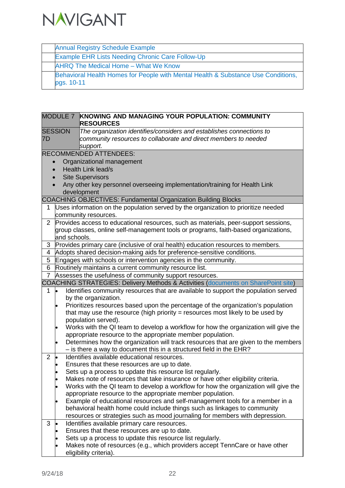

Annual Registry Schedule Example

|                |           |                 | <b>Example EHR Lists Needing Chronic Care Follow-Up</b>                                                                                          |
|----------------|-----------|-----------------|--------------------------------------------------------------------------------------------------------------------------------------------------|
|                |           |                 | AHRQ The Medical Home - What We Know                                                                                                             |
|                |           |                 | Behavioral Health Homes for People with Mental Health & Substance Use Conditions,                                                                |
|                |           | pgs. 10-11      |                                                                                                                                                  |
|                |           |                 |                                                                                                                                                  |
|                |           |                 |                                                                                                                                                  |
|                |           |                 |                                                                                                                                                  |
|                |           | <b>MODULE 7</b> | <b>KNOWING AND MANAGING YOUR POPULATION: COMMUNITY</b>                                                                                           |
|                |           |                 | <b>RESOURCES</b>                                                                                                                                 |
| <b>SESSION</b> |           |                 | The organization identifies/considers and establishes connections to                                                                             |
| 7D             |           |                 | community resources to collaborate and direct members to needed                                                                                  |
|                |           |                 | support.                                                                                                                                         |
|                |           |                 | <b>RECOMMENDED ATTENDEES:</b>                                                                                                                    |
|                |           |                 | Organizational management                                                                                                                        |
|                |           |                 | <b>Health Link lead/s</b>                                                                                                                        |
|                |           |                 | <b>Site Supervisors</b>                                                                                                                          |
|                |           |                 | Any other key personnel overseeing implementation/training for Health Link                                                                       |
|                |           |                 | development                                                                                                                                      |
|                |           |                 | <b>COACHING OBJECTIVES: Fundamental Organization Building Blocks</b>                                                                             |
| 1.             |           |                 | Uses information on the population served by the organization to prioritize needed<br>community resources.                                       |
| $\overline{2}$ |           |                 | Provides access to educational resources, such as materials, peer-support sessions,                                                              |
|                |           |                 | group classes, online self-management tools or programs, faith-based organizations,                                                              |
|                |           | and schools.    |                                                                                                                                                  |
| 3              |           |                 | Provides primary care (inclusive of oral health) education resources to members.                                                                 |
| 4              |           |                 | Adopts shared decision-making aids for preference-sensitive conditions.                                                                          |
| 5              |           |                 | Engages with schools or intervention agencies in the community.                                                                                  |
| 6              |           |                 | Routinely maintains a current community resource list.                                                                                           |
| $\overline{7}$ |           |                 | Assesses the usefulness of community support resources.                                                                                          |
|                |           |                 | <b>COACHING STRATEGIES: Delivery Methods &amp; Activities (documents on SharePoint site)</b>                                                     |
| 1              | $\bullet$ |                 | Identifies community resources that are available to support the population served                                                               |
|                |           |                 | by the organization.                                                                                                                             |
|                |           |                 | Prioritizes resources based upon the percentage of the organization's population                                                                 |
|                |           |                 | that may use the resource (high priority $=$ resources most likely to be used by                                                                 |
|                |           |                 | population served).                                                                                                                              |
|                |           |                 | Works with the QI team to develop a workflow for how the organization will give the                                                              |
|                |           |                 | appropriate resource to the appropriate member population.<br>Determines how the organization will track resources that are given to the members |
|                |           |                 | - is there a way to document this in a structured field in the EHR?                                                                              |
| $\overline{2}$ | þ         |                 | Identifies available educational resources.                                                                                                      |
|                |           |                 | Ensures that these resources are up to date.                                                                                                     |
|                |           |                 | Sets up a process to update this resource list regularly.                                                                                        |
|                |           |                 | Makes note of resources that take insurance or have other eligibility criteria.                                                                  |
|                |           |                 | Works with the QI team to develop a workflow for how the organization will give the                                                              |
|                |           |                 | appropriate resource to the appropriate member population.                                                                                       |
|                |           |                 | Example of educational resources and self-management tools for a member in a                                                                     |
|                |           |                 | behavioral health home could include things such as linkages to community                                                                        |
|                |           |                 | resources or strategies such as mood journaling for members with depression.                                                                     |
| 3              | lo        |                 | Identifies available primary care resources.                                                                                                     |
|                | $\bullet$ |                 | Ensures that these resources are up to date.                                                                                                     |
|                |           |                 | Sets up a process to update this resource list regularly.                                                                                        |
|                |           |                 | Makes note of resources (e.g., which providers accept TennCare or have other                                                                     |
|                |           |                 | eligibility criteria).                                                                                                                           |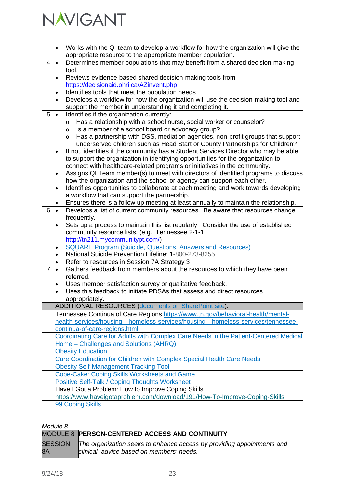

|                |           | Works with the QI team to develop a workflow for how the organization will give the<br>appropriate resource to the appropriate member population.                      |
|----------------|-----------|------------------------------------------------------------------------------------------------------------------------------------------------------------------------|
| 4              |           | Determines member populations that may benefit from a shared decision-making                                                                                           |
|                |           | tool.                                                                                                                                                                  |
|                |           | Reviews evidence-based shared decision-making tools from                                                                                                               |
|                |           | https://decisionaid.ohri.ca/AZinvent.php.                                                                                                                              |
|                |           | Identifies tools that meet the population needs                                                                                                                        |
|                |           | Develops a workflow for how the organization will use the decision-making tool and                                                                                     |
| 5              |           | support the member in understanding it and completing it.<br>Identifies if the organization currently:                                                                 |
|                | <b>le</b> | Has a relationship with a school nurse, social worker or counselor?<br>$\circ$                                                                                         |
|                |           | Is a member of a school board or advocacy group?<br>$\circ$                                                                                                            |
|                |           | Has a partnership with DSS, mediation agencies, non-profit groups that support<br>$\circ$                                                                              |
|                |           | underserved children such as Head Start or County Partnerships for Children?                                                                                           |
|                | lo        | If not, identifies if the community has a Student Services Director who may be able                                                                                    |
|                |           | to support the organization in identifying opportunities for the organization to                                                                                       |
|                |           | connect with healthcare-related programs or initiatives in the community.                                                                                              |
|                |           | Assigns QI Team member(s) to meet with directors of identified programs to discuss                                                                                     |
|                |           | how the organization and the school or agency can support each other.                                                                                                  |
|                |           | Identifies opportunities to collaborate at each meeting and work towards developing                                                                                    |
|                |           | a workflow that can support the partnership.                                                                                                                           |
| 6              | $\bullet$ | Ensures there is a follow up meeting at least annually to maintain the relationship.<br>Develops a list of current community resources. Be aware that resources change |
|                |           | frequently.                                                                                                                                                            |
|                |           | Sets up a process to maintain this list regularly. Consider the use of established                                                                                     |
|                |           | community resource lists. (e.g., Tennessee 2-1-1                                                                                                                       |
|                |           | http://tn211.mycommunitypt.com/)                                                                                                                                       |
|                |           | <b>SQUARE Program (Suicide, Questions, Answers and Resources)</b>                                                                                                      |
|                |           | National Suicide Prevention Lifeline: 1-800-273-8255                                                                                                                   |
|                |           | Refer to resources in Session 7A Strategy 3                                                                                                                            |
| $\overline{7}$ |           | Gathers feedback from members about the resources to which they have been                                                                                              |
|                |           | referred.<br>Uses member satisfaction survey or qualitative feedback.                                                                                                  |
|                |           | Uses this feedback to initiate PDSAs that assess and direct resources                                                                                                  |
|                |           | appropriately.                                                                                                                                                         |
|                |           | <b>ADDITIONAL RESOURCES (documents on SharePoint site):</b>                                                                                                            |
|                |           | Tennessee Continua of Care Regions https://www.tn.gov/behavioral-health/mental-                                                                                        |
|                |           | health-services/housing---homeless-services/housing---homeless-services/tennessee-                                                                                     |
|                |           | continua-of-care-regions.html                                                                                                                                          |
|                |           | Coordinating Care for Adults with Complex Care Needs in the Patient-Centered Medical                                                                                   |
|                |           | Home - Challenges and Solutions (AHRQ)                                                                                                                                 |
|                |           | <b>Obesity Education</b>                                                                                                                                               |
|                |           | Care Coordination for Children with Complex Special Health Care Needs                                                                                                  |
|                |           | <b>Obesity Self-Management Tracking Tool</b>                                                                                                                           |
|                |           | Cope-Cake: Coping Skills Worksheets and Game<br>Positive Self-Talk / Coping Thoughts Worksheet                                                                         |
|                |           | Have I Got a Problem: How to Improve Coping Skills                                                                                                                     |
|                |           | https://www.haveigotaproblem.com/download/191/How-To-Improve-Coping-Skills                                                                                             |
|                |           | 99 Coping Skills                                                                                                                                                       |

| <i>IVI</i> vuuv v |                                                                                                                            |
|-------------------|----------------------------------------------------------------------------------------------------------------------------|
|                   | MODULE 8 PERSON-CENTERED ACCESS AND CONTINUITY                                                                             |
| 8A                | SESSION The organization seeks to enhance access by providing appointments and<br>clinical advice based on members' needs. |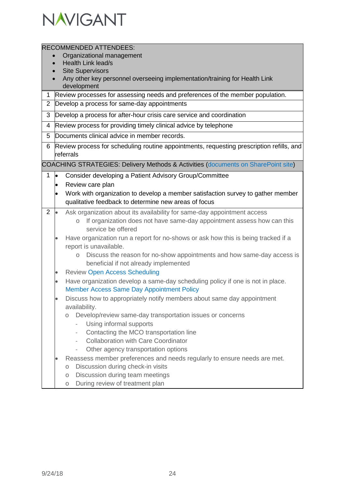

|                |                                                                                           | <b>RECOMMENDED ATTENDEES:</b>                                                                           |  |  |
|----------------|-------------------------------------------------------------------------------------------|---------------------------------------------------------------------------------------------------------|--|--|
|                | Organizational management                                                                 |                                                                                                         |  |  |
|                | Health Link lead/s                                                                        |                                                                                                         |  |  |
|                | <b>Site Supervisors</b>                                                                   |                                                                                                         |  |  |
|                | Any other key personnel overseeing implementation/training for Health Link<br>development |                                                                                                         |  |  |
| $\mathbf 1$    |                                                                                           | Review processes for assessing needs and preferences of the member population.                          |  |  |
| $\overline{2}$ |                                                                                           | Develop a process for same-day appointments                                                             |  |  |
| 3              |                                                                                           | Develop a process for after-hour crisis care service and coordination                                   |  |  |
| 4              |                                                                                           | Review process for providing timely clinical advice by telephone                                        |  |  |
| 5              |                                                                                           | Documents clinical advice in member records.                                                            |  |  |
| 6              |                                                                                           | Review process for scheduling routine appointments, requesting prescription refills, and                |  |  |
|                |                                                                                           | referrals                                                                                               |  |  |
|                |                                                                                           | COACHING STRATEGIES: Delivery Methods & Activities (documents on SharePoint site)                       |  |  |
| 1              | þ                                                                                         | Consider developing a Patient Advisory Group/Committee                                                  |  |  |
|                | $\bullet$                                                                                 | Review care plan                                                                                        |  |  |
|                | $\bullet$                                                                                 | Work with organization to develop a member satisfaction survey to gather member                         |  |  |
|                |                                                                                           | qualitative feedback to determine new areas of focus                                                    |  |  |
| $\overline{2}$ | <b>lo</b>                                                                                 | Ask organization about its availability for same-day appointment access                                 |  |  |
|                |                                                                                           | If organization does not have same-day appointment assess how can this<br>$\circ$<br>service be offered |  |  |
|                |                                                                                           | Have organization run a report for no-shows or ask how this is being tracked if a                       |  |  |
|                |                                                                                           | report is unavailable.                                                                                  |  |  |
|                |                                                                                           | Discuss the reason for no-show appointments and how same-day access is                                  |  |  |
|                |                                                                                           | beneficial if not already implemented                                                                   |  |  |
|                | $\bullet$                                                                                 | <b>Review Open Access Scheduling</b>                                                                    |  |  |
|                | $\bullet$                                                                                 | Have organization develop a same-day scheduling policy if one is not in place.                          |  |  |
|                |                                                                                           | <b>Member Access Same Day Appointment Policy</b>                                                        |  |  |
|                |                                                                                           | Discuss how to appropriately notify members about same day appointment                                  |  |  |
|                |                                                                                           | availability.                                                                                           |  |  |
|                |                                                                                           | Develop/review same-day transportation issues or concerns<br>$\circ$                                    |  |  |
|                |                                                                                           | Using informal supports                                                                                 |  |  |
|                |                                                                                           | Contacting the MCO transportation line<br>$\overline{\phantom{a}}$                                      |  |  |
|                |                                                                                           | <b>Collaboration with Care Coordinator</b><br>$\overline{\phantom{a}}$                                  |  |  |
|                |                                                                                           | Other agency transportation options                                                                     |  |  |
|                |                                                                                           | Reassess member preferences and needs regularly to ensure needs are met.                                |  |  |
|                |                                                                                           | Discussion during check-in visits<br>$\circ$                                                            |  |  |
|                |                                                                                           | Discussion during team meetings<br>$\circ$                                                              |  |  |
|                |                                                                                           | During review of treatment plan<br>$\bigcirc$                                                           |  |  |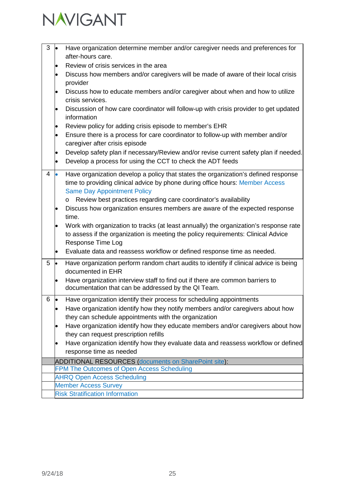

| 3 |                                                      | Have organization determine member and/or caregiver needs and preferences for<br>after-hours care.                                                                                                             |  |
|---|------------------------------------------------------|----------------------------------------------------------------------------------------------------------------------------------------------------------------------------------------------------------------|--|
|   |                                                      | Review of crisis services in the area                                                                                                                                                                          |  |
|   |                                                      | Discuss how members and/or caregivers will be made of aware of their local crisis<br>provider                                                                                                                  |  |
|   |                                                      | Discuss how to educate members and/or caregiver about when and how to utilize<br>crisis services.                                                                                                              |  |
|   |                                                      | Discussion of how care coordinator will follow-up with crisis provider to get updated<br>information                                                                                                           |  |
|   |                                                      | Review policy for adding crisis episode to member's EHR                                                                                                                                                        |  |
|   |                                                      | Ensure there is a process for care coordinator to follow-up with member and/or<br>caregiver after crisis episode                                                                                               |  |
|   |                                                      | Develop safety plan if necessary/Review and/or revise current safety plan if needed.<br>Develop a process for using the CCT to check the ADT feeds                                                             |  |
| 4 |                                                      | Have organization develop a policy that states the organization's defined response<br>time to providing clinical advice by phone during office hours: Member Access<br><b>Same Day Appointment Policy</b>      |  |
|   |                                                      | Review best practices regarding care coordinator's availability<br>$\circ$                                                                                                                                     |  |
|   |                                                      | Discuss how organization ensures members are aware of the expected response<br>time.                                                                                                                           |  |
|   |                                                      | Work with organization to tracks (at least annually) the organization's response rate<br>to assess if the organization is meeting the policy requirements: Clinical Advice<br>Response Time Log                |  |
|   |                                                      | Evaluate data and reassess workflow or defined response time as needed.                                                                                                                                        |  |
| 5 |                                                      | Have organization perform random chart audits to identify if clinical advice is being<br>documented in EHR                                                                                                     |  |
|   |                                                      | Have organization interview staff to find out if there are common barriers to<br>documentation that can be addressed by the QI Team.                                                                           |  |
| 6 |                                                      | Have organization identify their process for scheduling appointments<br>Have organization identify how they notify members and/or caregivers about how<br>they can schedule appointments with the organization |  |
|   |                                                      | Have organization identify how they educate members and/or caregivers about how<br>they can request prescription refills                                                                                       |  |
|   |                                                      | Have organization identify how they evaluate data and reassess workflow or defined                                                                                                                             |  |
|   |                                                      | response time as needed                                                                                                                                                                                        |  |
|   | ADDITIONAL RESOURCES (documents on SharePoint site): |                                                                                                                                                                                                                |  |
|   |                                                      | FPM The Outcomes of Open Access Scheduling                                                                                                                                                                     |  |
|   | <b>AHRQ Open Access Scheduling</b>                   |                                                                                                                                                                                                                |  |
|   | <b>Member Access Survey</b>                          |                                                                                                                                                                                                                |  |
|   | <b>Risk Stratification Information</b>               |                                                                                                                                                                                                                |  |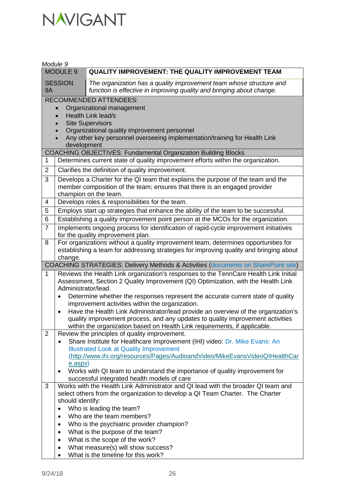| Module 9                                        |                                                                                    |                                                                                                                                                                                        |  |  |  |
|-------------------------------------------------|------------------------------------------------------------------------------------|----------------------------------------------------------------------------------------------------------------------------------------------------------------------------------------|--|--|--|
| MODULE <sub>9</sub>                             |                                                                                    | <b>QUALITY IMPROVEMENT: THE QUALITY IMPROVEMENT TEAM</b>                                                                                                                               |  |  |  |
| <b>SESSION</b><br><b>9A</b>                     |                                                                                    | The organization has a quality improvement team whose structure and<br>function is effective in improving quality and bringing about change.                                           |  |  |  |
|                                                 |                                                                                    | <b>RECOMMENDED ATTENDEES:</b>                                                                                                                                                          |  |  |  |
|                                                 |                                                                                    | Organizational management                                                                                                                                                              |  |  |  |
|                                                 |                                                                                    | Health Link lead/s                                                                                                                                                                     |  |  |  |
|                                                 |                                                                                    | <b>Site Supervisors</b>                                                                                                                                                                |  |  |  |
|                                                 |                                                                                    | Organizational quality improvement personnel                                                                                                                                           |  |  |  |
|                                                 |                                                                                    | Any other key personnel overseeing implementation/training for Health Link                                                                                                             |  |  |  |
|                                                 | development                                                                        | <b>COACHING OBJECTIVES: Fundamental Organization Building Blocks</b>                                                                                                                   |  |  |  |
| 1                                               |                                                                                    | Determines current state of quality improvement efforts within the organization.                                                                                                       |  |  |  |
| $\overline{2}$                                  |                                                                                    | Clarifies the definition of quality improvement.                                                                                                                                       |  |  |  |
|                                                 |                                                                                    |                                                                                                                                                                                        |  |  |  |
| 3                                               |                                                                                    | Develops a Charter for the QI team that explains the purpose of the team and the<br>member composition of the team; ensures that there is an engaged provider<br>champion on the team. |  |  |  |
| 4                                               |                                                                                    | Develops roles & responsibilities for the team.                                                                                                                                        |  |  |  |
| 5                                               |                                                                                    | Employs start up strategies that enhance the ability of the team to be successful.                                                                                                     |  |  |  |
| 6                                               |                                                                                    | Establishing a quality improvement point person at the MCOs for the organization.                                                                                                      |  |  |  |
| $\overline{7}$                                  |                                                                                    | Implements ongoing process for identification of rapid-cycle improvement initiatives                                                                                                   |  |  |  |
|                                                 |                                                                                    | for the quality improvement plan.                                                                                                                                                      |  |  |  |
| 8                                               | For organizations without a quality improvement team, determines opportunities for |                                                                                                                                                                                        |  |  |  |
|                                                 |                                                                                    | establishing a team for addressing strategies for improving quality and bringing about                                                                                                 |  |  |  |
|                                                 | change.                                                                            |                                                                                                                                                                                        |  |  |  |
|                                                 |                                                                                    | <b>COACHING STRATEGIES: Delivery Methods &amp; Activities (documents on SharePoint site)</b>                                                                                           |  |  |  |
| 1                                               |                                                                                    | Reviews the Health Link organization's responses to the TennCare Health Link Initial<br>Assessment, Section 2 Quality Improvement (QI) Optimization, with the Health Link              |  |  |  |
|                                                 | Administrator/lead.                                                                |                                                                                                                                                                                        |  |  |  |
|                                                 | $\bullet$                                                                          | Determine whether the responses represent the accurate current state of quality                                                                                                        |  |  |  |
|                                                 |                                                                                    | improvement activities within the organization.                                                                                                                                        |  |  |  |
|                                                 | $\bullet$                                                                          | Have the Health Link Administrator/lead provide an overview of the organization's                                                                                                      |  |  |  |
|                                                 |                                                                                    | quality improvement process, and any updates to quality improvement activities                                                                                                         |  |  |  |
|                                                 |                                                                                    | within the organization based on Health Link requirements, if applicable.                                                                                                              |  |  |  |
| $\overline{2}$                                  |                                                                                    | Review the principles of quality improvement.                                                                                                                                          |  |  |  |
|                                                 | $\bullet$                                                                          | Share Institute for Healthcare Improvement (IHI) video: Dr. Mike Evans: An                                                                                                             |  |  |  |
|                                                 |                                                                                    | <b>Illustrated Look at Quality Improvement</b>                                                                                                                                         |  |  |  |
|                                                 |                                                                                    | (http://www.ihi.org/resources/Pages/AudioandVideo/MikeEvansVideoQIHealthCar                                                                                                            |  |  |  |
|                                                 | e.aspx)                                                                            |                                                                                                                                                                                        |  |  |  |
|                                                 |                                                                                    | Works with QI team to understand the importance of quality improvement for                                                                                                             |  |  |  |
| 3                                               |                                                                                    | successful integrated health models of care<br>Works with the Health Link Administrator and QI lead with the broader QI team and                                                       |  |  |  |
|                                                 |                                                                                    | select others from the organization to develop a QI Team Charter. The Charter                                                                                                          |  |  |  |
|                                                 | should identify:                                                                   |                                                                                                                                                                                        |  |  |  |
|                                                 | $\bullet$                                                                          | Who is leading the team?                                                                                                                                                               |  |  |  |
| Who are the team members?<br>$\bullet$          |                                                                                    |                                                                                                                                                                                        |  |  |  |
|                                                 | $\bullet$                                                                          | Who is the psychiatric provider champion?                                                                                                                                              |  |  |  |
|                                                 | $\bullet$                                                                          | What is the purpose of the team?                                                                                                                                                       |  |  |  |
|                                                 | What is the scope of the work?<br>$\bullet$                                        |                                                                                                                                                                                        |  |  |  |
| What measure(s) will show success?<br>$\bullet$ |                                                                                    |                                                                                                                                                                                        |  |  |  |
|                                                 | $\bullet$                                                                          | What is the timeline for this work?                                                                                                                                                    |  |  |  |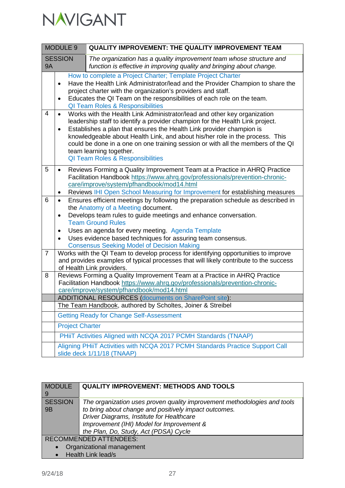

| <b>MODULE 9</b>             |                                                                                                                                                                                                                                                               | <b>QUALITY IMPROVEMENT: THE QUALITY IMPROVEMENT TEAM</b>                                                                                                                                                                                                                                                                                                                                                                                                                        |  |
|-----------------------------|---------------------------------------------------------------------------------------------------------------------------------------------------------------------------------------------------------------------------------------------------------------|---------------------------------------------------------------------------------------------------------------------------------------------------------------------------------------------------------------------------------------------------------------------------------------------------------------------------------------------------------------------------------------------------------------------------------------------------------------------------------|--|
| <b>SESSION</b><br><b>9A</b> |                                                                                                                                                                                                                                                               | The organization has a quality improvement team whose structure and<br>function is effective in improving quality and bringing about change.                                                                                                                                                                                                                                                                                                                                    |  |
|                             | $\bullet$<br>$\bullet$                                                                                                                                                                                                                                        | How to complete a Project Charter; Template Project Charter<br>Have the Health Link Administrator/lead and the Provider Champion to share the<br>project charter with the organization's providers and staff.<br>Educates the QI Team on the responsibilities of each role on the team.<br><b>QI Team Roles &amp; Responsibilities</b>                                                                                                                                          |  |
| 4                           | $\bullet$<br>$\bullet$                                                                                                                                                                                                                                        | Works with the Health Link Administrator/lead and other key organization<br>leadership staff to identify a provider champion for the Health Link project.<br>Establishes a plan that ensures the Health Link provider champion is<br>knowledgeable about Health Link, and about his/her role in the process. This<br>could be done in a one on one training session or with all the members of the QI<br>team learning together.<br><b>QI Team Roles &amp; Responsibilities</b> |  |
| 5                           | $\bullet$<br>$\bullet$                                                                                                                                                                                                                                        | Reviews Forming a Quality Improvement Team at a Practice in AHRQ Practice<br>Facilitation Handbook https://www.ahrq.gov/professionals/prevention-chronic-<br>care/improve/system/pfhandbook/mod14.html<br>Reviews IHI Open School Measuring for Improvement for establishing measures                                                                                                                                                                                           |  |
| 6                           | $\bullet$<br>٠<br>$\bullet$                                                                                                                                                                                                                                   | Ensures efficient meetings by following the preparation schedule as described in<br>the Anatomy of a Meeting document.<br>Develops team rules to guide meetings and enhance conversation.<br><b>Team Ground Rules</b><br>Uses an agenda for every meeting. Agenda Template<br>Uses evidence based techniques for assuring team consensus.                                                                                                                                       |  |
| $\overline{7}$              | <b>Consensus Seeking Model of Decision Making</b><br>Works with the QI Team to develop process for identifying opportunities to improve<br>and provides examples of typical processes that will likely contribute to the success<br>of Health Link providers. |                                                                                                                                                                                                                                                                                                                                                                                                                                                                                 |  |
| 8                           |                                                                                                                                                                                                                                                               | Reviews Forming a Quality Improvement Team at a Practice in AHRQ Practice<br>Facilitation Handbook https://www.ahrq.gov/professionals/prevention-chronic-<br>care/improve/system/pfhandbook/mod14.html                                                                                                                                                                                                                                                                          |  |
|                             |                                                                                                                                                                                                                                                               | <b>ADDITIONAL RESOURCES (documents on SharePoint site):</b>                                                                                                                                                                                                                                                                                                                                                                                                                     |  |
|                             |                                                                                                                                                                                                                                                               | The Team Handbook, authored by Scholtes, Joiner & Streibel                                                                                                                                                                                                                                                                                                                                                                                                                      |  |
|                             |                                                                                                                                                                                                                                                               | <b>Getting Ready for Change Self-Assessment</b>                                                                                                                                                                                                                                                                                                                                                                                                                                 |  |
|                             | <b>Project Charter</b>                                                                                                                                                                                                                                        |                                                                                                                                                                                                                                                                                                                                                                                                                                                                                 |  |
|                             |                                                                                                                                                                                                                                                               | PHiiT Activities Aligned with NCQA 2017 PCMH Standards (TNAAP)                                                                                                                                                                                                                                                                                                                                                                                                                  |  |
|                             |                                                                                                                                                                                                                                                               | Aligning PHiiT Activities with NCQA 2017 PCMH Standards Practice Support Call<br>slide deck 1/11/18 (TNAAP)                                                                                                                                                                                                                                                                                                                                                                     |  |

| <b>MODULE</b><br>9   | <b>QUALITY IMPROVEMENT: METHODS AND TOOLS</b>                                                                                                                                                                                                                        |
|----------------------|----------------------------------------------------------------------------------------------------------------------------------------------------------------------------------------------------------------------------------------------------------------------|
| <b>SESSION</b><br>9B | The organization uses proven quality improvement methodologies and tools<br>to bring about change and positively impact outcomes.<br>Driver Diagrams, Institute for Healthcare<br>Improvement (IHI) Model for Improvement &<br>the Plan, Do, Study, Act (PDSA) Cycle |
|                      | <b>RECOMMENDED ATTENDEES:</b>                                                                                                                                                                                                                                        |
|                      | Organizational management                                                                                                                                                                                                                                            |
|                      | Health Link lead/s                                                                                                                                                                                                                                                   |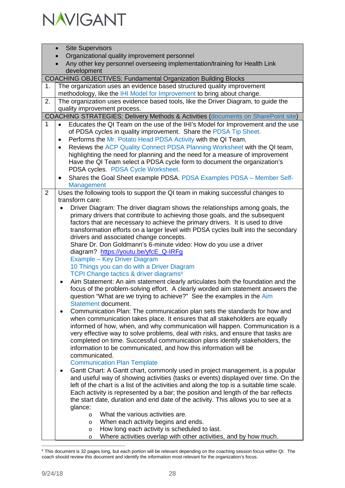

|    | <b>Site Supervisors</b>                                                                            |
|----|----------------------------------------------------------------------------------------------------|
|    | Organizational quality improvement personnel                                                       |
|    | Any other key personnel overseeing implementation/training for Health Link                         |
|    | development                                                                                        |
|    | <b>COACHING OBJECTIVES: Fundamental Organization Building Blocks</b>                               |
| 1. | The organization uses an evidence based structured quality improvement                             |
|    | methodology, like the IHI Model for Improvement to bring about change.                             |
| 2. | The organization uses evidence based tools, like the Driver Diagram, to guide the                  |
|    | quality improvement process.                                                                       |
|    | <b>COACHING STRATEGIES: Delivery Methods &amp; Activities (documents on SharePoint site)</b>       |
| 1  | Educates the QI Team on the use of the IHI's Model for Improvement and the use                     |
|    | of PDSA cycles in quality improvement. Share the PDSA Tip Sheet.                                   |
|    | Performs the Mr. Potato Head PDSA Activity with the QI Team.<br>$\bullet$                          |
|    | Reviews the ACP Quality Connect PDSA Planning Worksheet with the QI team,<br>$\bullet$             |
|    | highlighting the need for planning and the need for a measure of improvement                       |
|    | Have the QI Team select a PDSA cycle form to document the organization's                           |
|    | PDSA cycles. PDSA Cycle Worksheet.                                                                 |
|    | Shares the Goal Sheet example PDSA. PDSA Examples PDSA - Member Self-<br>$\bullet$                 |
| 2  | Management                                                                                         |
|    | Uses the following tools to support the QI team in making successful changes to<br>transform care: |
|    | Driver Diagram: The driver diagram shows the relationships among goals, the                        |
|    | primary drivers that contribute to achieving those goals, and the subsequent                       |
|    | factors that are necessary to achieve the primary drivers. It is used to drive                     |
|    | transformation efforts on a larger level with PDSA cycles built into the secondary                 |
|    | drivers and associated change concepts.                                                            |
|    | Share Dr. Don Goldmann's 6-minute video: How do you use a driver                                   |
|    | diagram? https://youtu.be/yfcE_Q-IRFg                                                              |
|    | Example - Key Driver Diagram                                                                       |
|    | 10 Things you can do with a Driver Diagram                                                         |
|    | TCPI Change tactics & driver diagrams <sup>6</sup>                                                 |
|    | Aim Statement: An aim statement clearly articulates both the foundation and the<br>$\bullet$       |
|    | focus of the problem-solving effort. A clearly worded aim statement answers the                    |
|    | question "What are we trying to achieve?" See the examples in the Aim<br>Statement document.       |
|    | Communication Plan: The communication plan sets the standards for how and<br>٠                     |
|    | when communication takes place. It ensures that all stakeholders are equally                       |
|    | informed of how, when, and why communication will happen. Communication is a                       |
|    | very effective way to solve problems, deal with risks, and ensure that tasks are                   |
|    | completed on time. Successful communication plans identify stakeholders, the                       |
|    | information to be communicated, and how this information will be                                   |
|    | communicated.                                                                                      |
|    | <b>Communication Plan Template</b>                                                                 |
|    | Gantt Chart: A Gantt chart, commonly used in project management, is a popular<br>$\bullet$         |
|    | and useful way of showing activities (tasks or events) displayed over time. On the                 |
|    | left of the chart is a list of the activities and along the top is a suitable time scale.          |
|    | Each activity is represented by a bar; the position and length of the bar reflects                 |
|    | the start date, duration and end date of the activity. This allows you to see at a<br>glance:      |
|    | What the various activities are.<br>$\circ$                                                        |
|    | When each activity begins and ends.<br>$\circ$                                                     |
|    | How long each activity is scheduled to last.<br>$\circ$                                            |
|    |                                                                                                    |

o Where activities overlap with other activities, and by how much.

<span id="page-27-0"></span> <sup>6</sup> This document is 32 pages long, but each portion will be relevant depending on the coaching session focus within QI. The coach should review this document and identify the information most relevant for the organization's focus.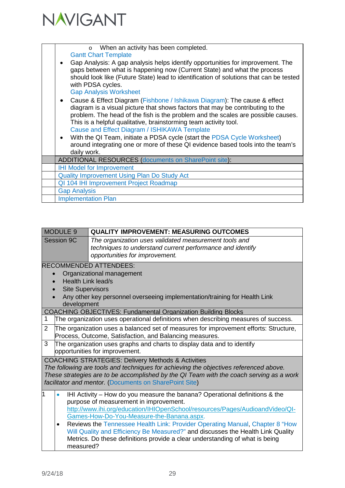

| o When an activity has been completed.<br><b>Gantt Chart Template</b><br>Gap Analysis: A gap analysis helps identify opportunities for improvement. The<br>gaps between what is happening now (Current State) and what the process<br>should look like (Future State) lead to identification of solutions that can be tested<br>with PDSA cycles.<br><b>Gap Analysis Worksheet</b><br>Cause & Effect Diagram (Fishbone / Ishikawa Diagram): The cause & effect<br>diagram is a visual picture that shows factors that may be contributing to the<br>problem. The head of the fish is the problem and the scales are possible causes.<br>This is a helpful qualitative, brainstorming team activity tool.<br>Cause and Effect Diagram / ISHIKAWA Template<br>With the QI Team, initiate a PDSA cycle (start the PDSA Cycle Worksheet)<br>around integrating one or more of these QI evidence based tools into the team's<br>daily work. |
|----------------------------------------------------------------------------------------------------------------------------------------------------------------------------------------------------------------------------------------------------------------------------------------------------------------------------------------------------------------------------------------------------------------------------------------------------------------------------------------------------------------------------------------------------------------------------------------------------------------------------------------------------------------------------------------------------------------------------------------------------------------------------------------------------------------------------------------------------------------------------------------------------------------------------------------|
| <b>ADDITIONAL RESOURCES (documents on SharePoint site):</b>                                                                                                                                                                                                                                                                                                                                                                                                                                                                                                                                                                                                                                                                                                                                                                                                                                                                            |
| <b>IHI Model for Improvement</b>                                                                                                                                                                                                                                                                                                                                                                                                                                                                                                                                                                                                                                                                                                                                                                                                                                                                                                       |
|                                                                                                                                                                                                                                                                                                                                                                                                                                                                                                                                                                                                                                                                                                                                                                                                                                                                                                                                        |
| <b>Quality Improvement Using Plan Do Study Act</b>                                                                                                                                                                                                                                                                                                                                                                                                                                                                                                                                                                                                                                                                                                                                                                                                                                                                                     |
| QI 104 IHI Improvement Project Roadmap                                                                                                                                                                                                                                                                                                                                                                                                                                                                                                                                                                                                                                                                                                                                                                                                                                                                                                 |
| <b>Gap Analysis</b>                                                                                                                                                                                                                                                                                                                                                                                                                                                                                                                                                                                                                                                                                                                                                                                                                                                                                                                    |
| <b>Implementation Plan</b>                                                                                                                                                                                                                                                                                                                                                                                                                                                                                                                                                                                                                                                                                                                                                                                                                                                                                                             |

| MODULE 9      |                         | <b>QUALITY IMPROVEMENT: MEASURING OUTCOMES</b>                                                                                                       |
|---------------|-------------------------|------------------------------------------------------------------------------------------------------------------------------------------------------|
| Session 9C    |                         | The organization uses validated measurement tools and<br>techniques to understand current performance and identify<br>opportunities for improvement. |
|               |                         | <b>RECOMMENDED ATTENDEES:</b>                                                                                                                        |
|               |                         | Organizational management                                                                                                                            |
|               | Health Link lead/s      |                                                                                                                                                      |
| $\bullet$     | <b>Site Supervisors</b> |                                                                                                                                                      |
|               |                         | Any other key personnel overseeing implementation/training for Health Link                                                                           |
|               | development             |                                                                                                                                                      |
|               |                         | <b>COACHING OBJECTIVES: Fundamental Organization Building Blocks</b>                                                                                 |
|               |                         | The organization uses operational definitions when describing measures of success.                                                                   |
| $\mathcal{P}$ |                         | The organization uses a balanced set of measures for improvement efforts: Structure,                                                                 |
|               |                         | Process, Outcome, Satisfaction, and Balancing measures.                                                                                              |
|               |                         |                                                                                                                                                      |

3 The organization uses graphs and charts to display data and to identify opportunities for improvement.

COACHING STRATEGIES: Delivery Methods & Activities

*The following are tools and techniques for achieving the objectives referenced above. These strategies are to be accomplished by the QI Team with the coach serving as a work facilitator and mentor.* [\(Documents on SharePoint Site\)](https://navigant.sharepoint.com/sites/PCMH-HL-Training/default.aspx?RootFolder=%2Fsites%2FPCMH%2DHL%2DTraining%2FShared%20Documents%2FHealth%20Link%20Curriculum%20Final&FolderCTID=0x01200087E90177226ECA4D857F65F18D1935E8&View=%7BCD276324%2DAF17%2D4DBB%2DB4F9%2D3DACFB62784E%7D)

• IHI Activity – How do you measure the banana? Operational definitions & the purpose of measurement in improvement. [http://www.ihi.org/education/IHIOpenSchool/resources/Pages/AudioandVideo/QI-](http://www.ihi.org/education/IHIOpenSchool/resources/Pages/AudioandVideo/QI-Games-How-Do-You-Measure-the-Banana.aspx)[Games-How-Do-You-Measure-the-Banana.aspx.](http://www.ihi.org/education/IHIOpenSchool/resources/Pages/AudioandVideo/QI-Games-How-Do-You-Measure-the-Banana.aspx) • Reviews the Tennessee Health Link: Provider Operating Manual, Chapter 8 "How

Will Quality and Efficiency Be Measured?" and discusses the Health Link Quality Metrics. Do these definitions provide a clear understanding of what is being measured?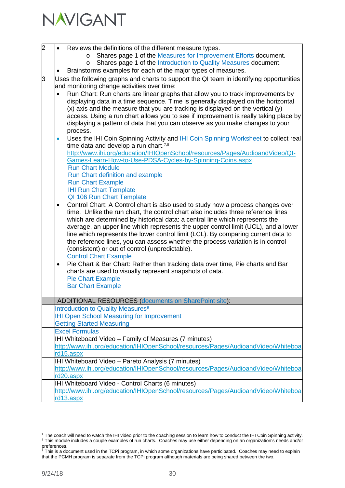| 2 |           | Reviews the definitions of the different measure types.                                                                                                                 |
|---|-----------|-------------------------------------------------------------------------------------------------------------------------------------------------------------------------|
|   |           | Shares page 1 of the Measures for Improvement Efforts document.<br>$\circ$                                                                                              |
|   |           | Shares page 1 of the Introduction to Quality Measures document.<br>O                                                                                                    |
|   |           | Brainstorms examples for each of the major types of measures.                                                                                                           |
| 3 |           | Uses the following graphs and charts to support the QI team in identifying opportunities                                                                                |
|   |           | and monitoring change activities over time:                                                                                                                             |
|   |           | Run Chart: Run charts are linear graphs that allow you to track improvements by                                                                                         |
|   |           | displaying data in a time sequence. Time is generally displayed on the horizontal                                                                                       |
|   |           | (x) axis and the measure that you are tracking is displayed on the vertical (y)<br>access. Using a run chart allows you to see if improvement is really taking place by |
|   |           | displaying a pattern of data that you can observe as you make changes to your                                                                                           |
|   |           | process.                                                                                                                                                                |
|   | $\bullet$ | Uses the IHI Coin Spinning Activity and IHI Coin Spinning Worksheet to collect real                                                                                     |
|   |           | time data and develop a run chart. <sup>7,8</sup>                                                                                                                       |
|   |           | http://www.ihi.org/education/IHIOpenSchool/resources/Pages/AudioandVideo/QI-                                                                                            |
|   |           | Games-Learn-How-to-Use-PDSA-Cycles-by-Spinning-Coins.aspx.                                                                                                              |
|   |           | <b>Run Chart Module</b>                                                                                                                                                 |
|   |           | Run Chart definition and example                                                                                                                                        |
|   |           | <b>Run Chart Example</b>                                                                                                                                                |
|   |           | <b>IHI Run Chart Template</b>                                                                                                                                           |
|   |           | QI 106 Run Chart Template                                                                                                                                               |
|   | $\bullet$ | Control Chart: A Control chart is also used to study how a process changes over                                                                                         |
|   |           | time. Unlike the run chart, the control chart also includes three reference lines<br>which are determined by historical data: a central line which represents the       |
|   |           | average, an upper line which represents the upper control limit (UCL), and a lower                                                                                      |
|   |           | line which represents the lower control limit (LCL). By comparing current data to                                                                                       |
|   |           | the reference lines, you can assess whether the process variation is in control                                                                                         |
|   |           | (consistent) or out of control (unpredictable).                                                                                                                         |
|   |           | <b>Control Chart Example</b>                                                                                                                                            |
|   | $\bullet$ | Pie Chart & Bar Chart: Rather than tracking data over time, Pie charts and Bar                                                                                          |
|   |           | charts are used to visually represent snapshots of data.                                                                                                                |
|   |           | <b>Pie Chart Example</b>                                                                                                                                                |
|   |           | <b>Bar Chart Example</b>                                                                                                                                                |
|   |           | <b>ADDITIONAL RESOURCES (documents on SharePoint site):</b>                                                                                                             |
|   |           | Introduction to Quality Measures <sup>9</sup>                                                                                                                           |
|   |           | <b>IHI Open School Measuring for Improvement</b>                                                                                                                        |
|   |           | <b>Getting Started Measuring</b>                                                                                                                                        |
|   |           | <b>Excel Formulas</b>                                                                                                                                                   |
|   |           | HI Whiteboard Video - Family of Measures (7 minutes)                                                                                                                    |
|   |           | http://www.ihi.org/education/IHIOpenSchool/resources/Pages/AudioandVideo/Whiteboa                                                                                       |
|   |           | rd <sub>15.aspx</sub>                                                                                                                                                   |
|   |           | IHI Whiteboard Video - Pareto Analysis (7 minutes)                                                                                                                      |
|   |           | http://www.ihi.org/education/IHIOpenSchool/resources/Pages/AudioandVideo/Whiteboa                                                                                       |
|   |           | rd20.aspx                                                                                                                                                               |
|   |           | IHI Whiteboard Video - Control Charts (6 minutes)                                                                                                                       |
|   |           | http://www.ihi.org/education/IHIOpenSchool/resources/Pages/AudioandVideo/Whiteboa                                                                                       |
|   |           | rd13.aspx                                                                                                                                                               |

<span id="page-29-0"></span> <sup>7</sup> The coach will need to watch the IHI video prior to the coaching session to learn how to conduct the IHI Coin Spinning activity.  $8$  This module includes a couple examples of run charts. Coaches may use either depending on an organization's needs and/or preferences.

<span id="page-29-2"></span><span id="page-29-1"></span><sup>&</sup>lt;sup>9</sup> This is a document used in the TCPi program, in which some organizations have participated. Coaches may need to explain that the PCMH program is separate from the TCPi program although materials are being shared between the two.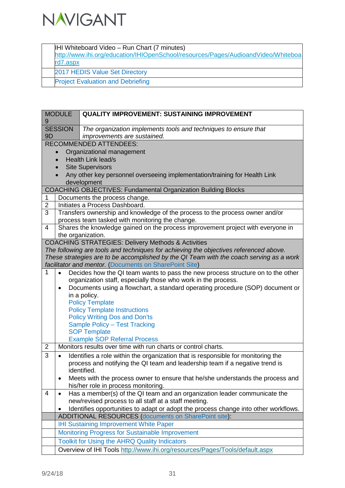

IHI Whiteboard Video – Run Chart (7 minutes)

[http://www.ihi.org/education/IHIOpenSchool/resources/Pages/AudioandVideo/Whiteboa](http://www.ihi.org/education/IHIOpenSchool/resources/Pages/AudioandVideo/Whiteboard7.aspx) [rd7.aspx](http://www.ihi.org/education/IHIOpenSchool/resources/Pages/AudioandVideo/Whiteboard7.aspx)

2017 HEDIS Value Set Directory

Project Evaluation and Debriefing

| 9              | <b>MODULE</b>               | <b>QUALITY IMPROVEMENT: SUSTAINING IMPROVEMENT</b>                                      |  |  |
|----------------|-----------------------------|-----------------------------------------------------------------------------------------|--|--|
|                | <b>SESSION</b>              | The organization implements tools and techniques to ensure that                         |  |  |
| 9 <sub>D</sub> | improvements are sustained. |                                                                                         |  |  |
|                |                             | <b>RECOMMENDED ATTENDEES:</b>                                                           |  |  |
|                | $\bullet$                   | Organizational management                                                               |  |  |
|                |                             | <b>Health Link lead/s</b>                                                               |  |  |
|                |                             | <b>Site Supervisors</b>                                                                 |  |  |
|                |                             | Any other key personnel overseeing implementation/training for Health Link              |  |  |
|                |                             | development                                                                             |  |  |
|                |                             | <b>COACHING OBJECTIVES: Fundamental Organization Building Blocks</b>                    |  |  |
| 1              |                             | Documents the process change.                                                           |  |  |
| $\overline{c}$ |                             | Initiates a Process Dashboard.                                                          |  |  |
| 3              |                             | Transfers ownership and knowledge of the process to the process owner and/or            |  |  |
|                |                             | process team tasked with monitoring the change.                                         |  |  |
| 4              |                             | Shares the knowledge gained on the process improvement project with everyone in         |  |  |
|                |                             | the organization.                                                                       |  |  |
|                |                             | <b>COACHING STRATEGIES: Delivery Methods &amp; Activities</b>                           |  |  |
|                |                             | The following are tools and techniques for achieving the objectives referenced above.   |  |  |
|                |                             | These strategies are to be accomplished by the QI Team with the coach serving as a work |  |  |
|                |                             | facilitator and mentor. (Documents on SharePoint Site)                                  |  |  |
| 1              | $\bullet$                   | Decides how the QI team wants to pass the new process structure on to the other         |  |  |
|                |                             | organization staff, especially those who work in the process.                           |  |  |
|                | ٠                           | Documents using a flowchart, a standard operating procedure (SOP) document or           |  |  |
|                |                             | in a policy.                                                                            |  |  |
|                |                             | <b>Policy Template</b>                                                                  |  |  |
|                |                             | <b>Policy Template Instructions</b><br><b>Policy Writing Dos and Don'ts</b>             |  |  |
|                |                             | Sample Policy - Test Tracking                                                           |  |  |
|                |                             | <b>SOP Template</b>                                                                     |  |  |
|                |                             | <b>Example SOP Referral Process</b>                                                     |  |  |
| $\overline{2}$ |                             | Monitors results over time with run charts or control charts.                           |  |  |
| 3              |                             | Identifies a role within the organization that is responsible for monitoring the        |  |  |
|                |                             | process and notifying the QI team and leadership team if a negative trend is            |  |  |
|                |                             | identified.                                                                             |  |  |
|                |                             | Meets with the process owner to ensure that he/she understands the process and          |  |  |
|                |                             | his/her role in process monitoring.                                                     |  |  |
| 4              | ٠                           | Has a member(s) of the QI team and an organization leader communicate the               |  |  |
|                |                             | new/revised process to all staff at a staff meeting.                                    |  |  |
|                |                             | Identifies opportunities to adapt or adopt the process change into other workflows.     |  |  |
|                |                             | <b>ADDITIONAL RESOURCES (documents on SharePoint site):</b>                             |  |  |
|                |                             | <b>IHI Sustaining Improvement White Paper</b>                                           |  |  |
|                |                             | Monitoring Progress for Sustainable Improvement                                         |  |  |
|                |                             | <b>Toolkit for Using the AHRQ Quality Indicators</b>                                    |  |  |
|                |                             | Overview of IHI Tools http://www.ihi.org/resources/Pages/Tools/default.aspx             |  |  |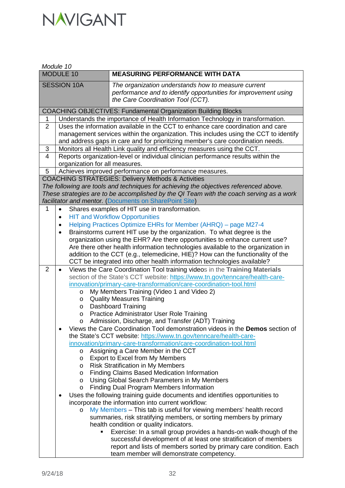|                    | Module 10                      |                                                                                                                                                             |  |  |  |
|--------------------|--------------------------------|-------------------------------------------------------------------------------------------------------------------------------------------------------------|--|--|--|
|                    | MODULE 10                      | <b>MEASURING PERFORMANCE WITH DATA</b>                                                                                                                      |  |  |  |
| <b>SESSION 10A</b> |                                | The organization understands how to measure current<br>performance and to identify opportunities for improvement using<br>the Care Coordination Tool (CCT). |  |  |  |
|                    |                                | <b>COACHING OBJECTIVES: Fundamental Organization Building Blocks</b>                                                                                        |  |  |  |
| 1                  |                                | Understands the importance of Health Information Technology in transformation.                                                                              |  |  |  |
| $\overline{2}$     |                                | Uses the information available in the CCT to enhance care coordination and care                                                                             |  |  |  |
|                    |                                | management services within the organization. This includes using the CCT to identify                                                                        |  |  |  |
|                    |                                | and address gaps in care and for prioritizing member's care coordination needs.                                                                             |  |  |  |
| 3                  |                                | Monitors all Health Link quality and efficiency measures using the CCT.                                                                                     |  |  |  |
| $\overline{4}$     |                                | Reports organization-level or individual clinician performance results within the                                                                           |  |  |  |
| 5                  | organization for all measures. |                                                                                                                                                             |  |  |  |
|                    |                                | Achieves improved performance on performance measures.<br><b>COACHING STRATEGIES: Delivery Methods &amp; Activities</b>                                     |  |  |  |
|                    |                                | The following are tools and techniques for achieving the objectives referenced above.                                                                       |  |  |  |
|                    |                                | These strategies are to be accomplished by the QI Team with the coach serving as a work                                                                     |  |  |  |
|                    |                                | facilitator and mentor. (Documents on SharePoint Site)                                                                                                      |  |  |  |
| 1                  | $\bullet$                      | Shares examples of HIT use in transformation.                                                                                                               |  |  |  |
|                    | $\bullet$                      | <b>HIT and Workflow Opportunities</b>                                                                                                                       |  |  |  |
|                    | $\bullet$                      | Helping Practices Optimize EHRs for Member (AHRQ) - page M27-4                                                                                              |  |  |  |
|                    | $\bullet$                      | Brainstorms current HIT use by the organization. To what degree is the                                                                                      |  |  |  |
|                    |                                | organization using the EHR? Are there opportunities to enhance current use?                                                                                 |  |  |  |
|                    |                                | Are there other health information technologies available to the organization in                                                                            |  |  |  |
|                    |                                | addition to the CCT (e.g., telemedicine, HIE)? How can the functionality of the                                                                             |  |  |  |
| 2                  | $\bullet$                      | CCT be integrated into other health information technologies available?<br>Views the Care Coordination Tool training videos in the Training Materials       |  |  |  |
|                    |                                | section of the State's CCT website: https://www.tn.gov/tenncare/health-care-                                                                                |  |  |  |
|                    |                                | innovation/primary-care-transformation/care-coordination-tool.html                                                                                          |  |  |  |
|                    | $\circ$                        | My Members Training (Video 1 and Video 2)                                                                                                                   |  |  |  |
|                    | O                              | <b>Quality Measures Training</b>                                                                                                                            |  |  |  |
|                    | O                              | <b>Dashboard Training</b>                                                                                                                                   |  |  |  |
|                    | O                              | Practice Administrator User Role Training                                                                                                                   |  |  |  |
|                    | O                              | Admission, Discharge, and Transfer (ADT) Training                                                                                                           |  |  |  |
|                    |                                | Views the Care Coordination Tool demonstration videos in the Demos section of                                                                               |  |  |  |
|                    |                                | the State's CCT website: https://www.tn.gov/tenncare/health-care-                                                                                           |  |  |  |
|                    | $\circ$                        | innovation/primary-care-transformation/care-coordination-tool.html<br>Assigning a Care Member in the CCT                                                    |  |  |  |
|                    | O                              | Export to Excel from My Members                                                                                                                             |  |  |  |
|                    | O                              | <b>Risk Stratification in My Members</b>                                                                                                                    |  |  |  |
|                    | O                              | <b>Finding Claims Based Medication Information</b>                                                                                                          |  |  |  |
|                    | O                              | Using Global Search Parameters in My Members                                                                                                                |  |  |  |
|                    | O                              | <b>Finding Dual Program Members Information</b>                                                                                                             |  |  |  |
|                    |                                | Uses the following training guide documents and identifies opportunities to                                                                                 |  |  |  |
|                    |                                | incorporate the information into current workflow:                                                                                                          |  |  |  |
|                    | O                              | My Members - This tab is useful for viewing members' health record                                                                                          |  |  |  |
|                    |                                | summaries, risk stratifying members, or sorting members by primary                                                                                          |  |  |  |
|                    |                                | health condition or quality indicators.<br>Exercise: In a small group provides a hands-on walk-though of the                                                |  |  |  |
|                    |                                | successful development of at least one stratification of members                                                                                            |  |  |  |
|                    |                                | report and lists of members sorted by primary care condition. Each                                                                                          |  |  |  |
|                    |                                | team member will demonstrate competency.                                                                                                                    |  |  |  |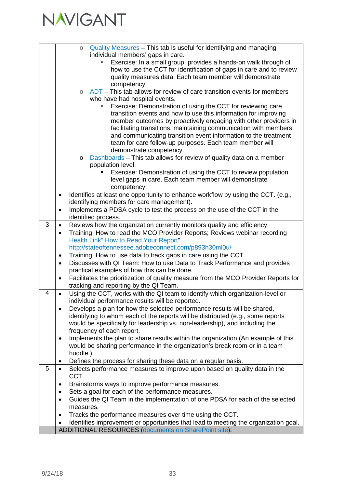

|   | Quality Measures - This tab is useful for identifying and managing<br>$\circ$                    |
|---|--------------------------------------------------------------------------------------------------|
|   | individual members' gaps in care.                                                                |
|   | Exercise: In a small group, provides a hands-on walk through of                                  |
|   | how to use the CCT for identification of gaps in care and to review                              |
|   | quality measures data. Each team member will demonstrate                                         |
|   | competency.                                                                                      |
|   | ADT – This tab allows for review of care transition events for members<br>$\circ$                |
|   | who have had hospital events.                                                                    |
|   | Exercise: Demonstration of using the CCT for reviewing care                                      |
|   | transition events and how to use this information for improving                                  |
|   | member outcomes by proactively engaging with other providers in                                  |
|   | facilitating transitions, maintaining communication with members,                                |
|   | and communicating transition event information to the treatment                                  |
|   | team for care follow-up purposes. Each team member will                                          |
|   | demonstrate competency.                                                                          |
|   | Dashboards – This tab allows for review of quality data on a member<br>$\circ$                   |
|   | population level.                                                                                |
|   | Exercise: Demonstration of using the CCT to review population                                    |
|   | level gaps in care. Each team member will demonstrate                                            |
|   | competency.<br>Identifies at least one opportunity to enhance workflow by using the CCT. (e.g.,  |
|   | identifying members for care management).                                                        |
|   | Implements a PDSA cycle to test the process on the use of the CCT in the<br>$\bullet$            |
|   | identified process.                                                                              |
| 3 | Reviews how the organization currently monitors quality and efficiency.<br>$\bullet$             |
|   | Training: How to read the MCO Provider Reports; Reviews webinar recording<br>$\bullet$           |
|   | Health Link" How to Read Your Report"                                                            |
|   | http://stateoftennessee.adobeconnect.com/p893h30ml0u/                                            |
|   | Training: How to use data to track gaps in care using the CCT.<br>$\bullet$                      |
|   | Discusses with QI Team: How to use Data to Track Performance and provides<br>$\bullet$           |
|   | practical examples of how this can be done.                                                      |
|   | Facilitates the prioritization of quality measure from the MCO Provider Reports for              |
|   | tracking and reporting by the QI Team.                                                           |
| 4 | Using the CCT, works with the QI team to identify which organization-level or<br>$\bullet$       |
|   | individual performance results will be reported.                                                 |
|   | Develops a plan for how the selected performance results will be shared,                         |
|   | identifying to whom each of the reports will be distributed (e.g., some reports                  |
|   | would be specifically for leadership vs. non-leadership), and including the                      |
|   | frequency of each report.                                                                        |
|   | Implements the plan to share results within the organization (An example of this<br>٠            |
|   | would be sharing performance in the organization's break room or in a team                       |
|   | huddle.)                                                                                         |
|   | Defines the process for sharing these data on a regular basis.<br>٠                              |
| 5 | Selects performance measures to improve upon based on quality data in the<br>$\bullet$           |
|   | CCT.                                                                                             |
|   | Brainstorms ways to improve performance measures.                                                |
|   | Sets a goal for each of the performance measures.<br>٠                                           |
|   | Guides the QI Team in the implementation of one PDSA for each of the selected<br>$\bullet$       |
|   | measures.                                                                                        |
|   | Tracks the performance measures over time using the CCT.                                         |
|   | Identifies improvement or opportunities that lead to meeting the organization goal.<br>$\bullet$ |
|   | <b>ADDITIONAL RESOURCES (documents on SharePoint site):</b>                                      |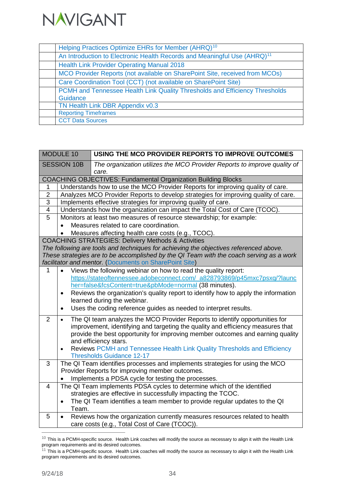

| Helping Practices Optimize EHRs for Member (AHRQ) <sup>10</sup>                      |
|--------------------------------------------------------------------------------------|
| An Introduction to Electronic Health Records and Meaningful Use (AHRQ) <sup>11</sup> |
| <b>Health Link Provider Operating Manual 2018</b>                                    |
| MCO Provider Reports (not available on SharePoint Site, received from MCOs)          |
| Care Coordination Tool (CCT) (not available on SharePoint Site)                      |
| PCMH and Tennessee Health Link Quality Thresholds and Efficiency Thresholds          |
| Guidance                                                                             |
| TN Health Link DBR Appendix v0.3                                                     |
| <b>Reporting Timeframes</b>                                                          |
| <b>CCT Data Sources</b>                                                              |

|                | MODULE 10          | USING THE MCO PROVIDER REPORTS TO IMPROVE OUTCOMES                                                           |
|----------------|--------------------|--------------------------------------------------------------------------------------------------------------|
|                | <b>SESSION 10B</b> | The organization utilizes the MCO Provider Reports to improve quality of                                     |
|                |                    | care.                                                                                                        |
|                |                    | <b>COACHING OBJECTIVES: Fundamental Organization Building Blocks</b>                                         |
| 1              |                    | Understands how to use the MCO Provider Reports for improving quality of care.                               |
| $\overline{2}$ |                    | Analyzes MCO Provider Reports to develop strategies for improving quality of care.                           |
| 3              |                    | Implements effective strategies for improving quality of care.                                               |
| 4              |                    | Understands how the organization can impact the Total Cost of Care (TCOC).                                   |
| $\overline{5}$ |                    | Monitors at least two measures of resource stewardship; for example:                                         |
|                | $\bullet$          | Measures related to care coordination.                                                                       |
|                |                    | Measures affecting health care costs (e.g., TCOC).                                                           |
|                |                    | <b>COACHING STRATEGIES: Delivery Methods &amp; Activities</b>                                                |
|                |                    | The following are tools and techniques for achieving the objectives referenced above.                        |
|                |                    | These strategies are to be accomplished by the QI Team with the coach serving as a work                      |
|                |                    | facilitator and mentor. (Documents on SharePoint Site)                                                       |
| 1              | $\bullet$          | Views the following webinar on how to read the quality report:                                               |
|                |                    | https://stateoftennessee.adobeconnect.com/_a828793869/p45mxc7psxq/?launc                                     |
|                |                    | her=false&fcsContent=true&pbMode=normal (38 minutes).                                                        |
|                | $\bullet$          | Reviews the organization's quality report to identify how to apply the information                           |
|                |                    | learned during the webinar.                                                                                  |
|                | $\bullet$          | Uses the coding reference guides as needed to interpret results.                                             |
| 2              | $\bullet$          | The QI team analyzes the MCO Provider Reports to identify opportunities for                                  |
|                |                    | improvement, identifying and targeting the quality and efficiency measures that                              |
|                |                    | provide the best opportunity for improving member outcomes and earning quality                               |
|                |                    | and efficiency stars.                                                                                        |
|                | $\bullet$          | Reviews PCMH and Tennessee Health Link Quality Thresholds and Efficiency<br><b>Thresholds Guidance 12-17</b> |
| 3              |                    | The QI Team identifies processes and implements strategies for using the MCO                                 |
|                |                    | Provider Reports for improving member outcomes.                                                              |
|                |                    | Implements a PDSA cycle for testing the processes.                                                           |
| 4              |                    | The QI Team implements PDSA cycles to determine which of the identified                                      |
|                |                    | strategies are effective in successfully impacting the TCOC.                                                 |
|                | $\bullet$          | The QI Team identifies a team member to provide regular updates to the QI                                    |
|                | Team.              |                                                                                                              |
| 5              | $\bullet$          | Reviews how the organization currently measures resources related to health                                  |
|                |                    | care costs (e.g., Total Cost of Care (TCOC)).                                                                |

<span id="page-33-0"></span> $10$  This is a PCMH-specific source. Health Link coaches will modify the source as necessary to align it with the Health Link program requirements and its desired outcomes.

<span id="page-33-1"></span> $11$  This is a PCMH-specific source. Health Link coaches will modify the source as necessary to align it with the Health Link program requirements and its desired outcomes.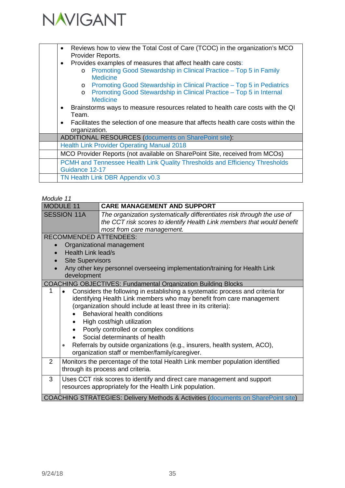

| Reviews how to view the Total Cost of Care (TCOC) in the organization's MCO<br>$\bullet$<br>Provider Reports. |
|---------------------------------------------------------------------------------------------------------------|
| Provides examples of measures that affect health care costs:<br>$\bullet$                                     |
| Promoting Good Stewardship in Clinical Practice - Top 5 in Family<br>$\circ$<br><b>Medicine</b>               |
| Promoting Good Stewardship in Clinical Practice – Top 5 in Pediatrics<br>$\circ$                              |
| Promoting Good Stewardship in Clinical Practice - Top 5 in Internal<br>$\circ$<br><b>Medicine</b>             |
| Brainstorms ways to measure resources related to health care costs with the QI<br>$\bullet$                   |
| Team.                                                                                                         |
| Facilitates the selection of one measure that affects health care costs within the<br>$\bullet$               |
| organization.                                                                                                 |
| <b>ADDITIONAL RESOURCES (documents on SharePoint site):</b>                                                   |
| <b>Health Link Provider Operating Manual 2018</b>                                                             |
| MCO Provider Reports (not available on SharePoint Site, received from MCOs)                                   |
| PCMH and Tennessee Health Link Quality Thresholds and Efficiency Thresholds                                   |
| Guidance 12-17                                                                                                |
| TN Health Link DBR Appendix v0.3                                                                              |
|                                                                                                               |

| <b>MODULE 11</b>              | <b>CARE MANAGEMENT AND SUPPORT</b>                                                           |
|-------------------------------|----------------------------------------------------------------------------------------------|
| <b>SESSION 11A</b>            | The organization systematically differentiates risk through the use of                       |
|                               | the CCT risk scores to identify Health Link members that would benefit                       |
|                               | most from care management.                                                                   |
| <b>RECOMMENDED ATTENDEES:</b> |                                                                                              |
|                               | Organizational management                                                                    |
| Health Link lead/s            |                                                                                              |
| <b>Site Supervisors</b>       |                                                                                              |
|                               | Any other key personnel overseeing implementation/training for Health Link                   |
| development                   |                                                                                              |
|                               | <b>COACHING OBJECTIVES: Fundamental Organization Building Blocks</b>                         |
| 1                             | Considers the following in establishing a systematic process and criteria for                |
|                               | identifying Health Link members who may benefit from care management                         |
|                               | (organization should include at least three in its criteria):                                |
|                               | Behavioral health conditions                                                                 |
|                               | High cost/high utilization                                                                   |
|                               | Poorly controlled or complex conditions                                                      |
|                               | Social determinants of health                                                                |
| ٠                             | Referrals by outside organizations (e.g., insurers, health system, ACO),                     |
|                               | organization staff or member/family/caregiver.                                               |
| $\overline{2}$                | Monitors the percentage of the total Health Link member population identified                |
|                               | through its process and criteria.                                                            |
| 3                             | Uses CCT risk scores to identify and direct care management and support                      |
|                               | resources appropriately for the Health Link population.                                      |
|                               | <b>COACHING STRATEGIES: Delivery Methods &amp; Activities (documents on SharePoint site)</b> |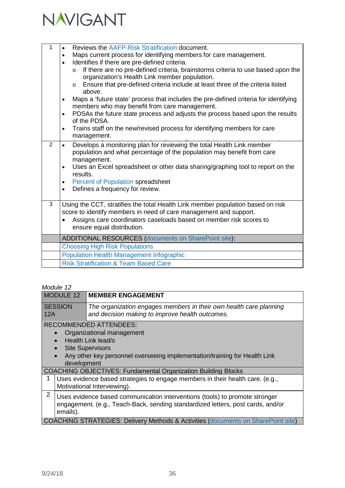

| 1 | Reviews the AAFP-Risk Stratification document.<br>Maps current process for identifying members for care management.<br>$\bullet$<br>Identifies if there are pre-defined criteria.<br>$\bullet$                                                                             |
|---|----------------------------------------------------------------------------------------------------------------------------------------------------------------------------------------------------------------------------------------------------------------------------|
|   | If there are no pre-defined criteria, brainstorms criteria to use based upon the<br>$\circ$<br>organization's Health Link member population.<br>Ensure that pre-defined criteria include at least three of the criteria listed<br>$\circ$<br>above.                        |
|   | Maps a 'future state' process that includes the pre-defined criteria for identifying<br>$\bullet$<br>members who may benefit from care management.                                                                                                                         |
|   | PDSAs the future state process and adjusts the process based upon the results<br>$\bullet$<br>of the PDSA.                                                                                                                                                                 |
|   | Trains staff on the new/revised process for identifying members for care<br>$\bullet$<br>management.                                                                                                                                                                       |
| 2 | Develops a monitoring plan for reviewing the total Health Link member<br>$\bullet$<br>population and what percentage of the population may benefit from care<br>management.<br>Uses an Excel spreadsheet or other data sharing/graphing tool to report on the<br>$\bullet$ |
|   | results.<br><b>Percent of Population spreadsheet</b><br>$\bullet$                                                                                                                                                                                                          |
|   | Defines a frequency for review.<br>$\bullet$                                                                                                                                                                                                                               |
| 3 | Using the CCT, stratifies the total Health Link member population based on risk<br>score to identify members in need of care management and support.                                                                                                                       |
|   | Assigns care coordinators caseloads based on member risk scores to<br>$\bullet$<br>ensure equal distribution.                                                                                                                                                              |
|   | <b>ADDITIONAL RESOURCES (documents on SharePoint site):</b>                                                                                                                                                                                                                |
|   | <b>Choosing High Risk Populations</b>                                                                                                                                                                                                                                      |
|   | <b>Population Health Management Infographic</b>                                                                                                                                                                                                                            |
|   | <b>Risk Stratification &amp; Team Based Care</b>                                                                                                                                                                                                                           |

|                | MUUULT IZ      |                                                                                                                                                                                           |
|----------------|----------------|-------------------------------------------------------------------------------------------------------------------------------------------------------------------------------------------|
|                | MODULE 12      | <b>MEMBER ENGAGEMENT</b>                                                                                                                                                                  |
| 12A            | <b>SESSION</b> | The organization engages members in their own health care planning<br>and decision making to improve health outcomes.                                                                     |
|                | development    | <b>RECOMMENDED ATTENDEES:</b><br>Organizational management<br>Health Link lead/s<br><b>Site Supervisors</b><br>Any other key personnel overseeing implementation/training for Health Link |
|                |                | <b>COACHING OBJECTIVES: Fundamental Organization Building Blocks</b>                                                                                                                      |
| 1              |                | Uses evidence based strategies to engage members in their health care. (e.g.,<br>Motivational Interviewing).                                                                              |
| $\overline{2}$ | emails).       | Uses evidence based communication interventions (tools) to promote stronger<br>engagement. (e.g., Teach-Back, sending standardized letters, post cards, and/or                            |
|                |                | <b>COACHING STRATEGIES: Delivery Methods &amp; Activities (documents on SharePoint site)</b>                                                                                              |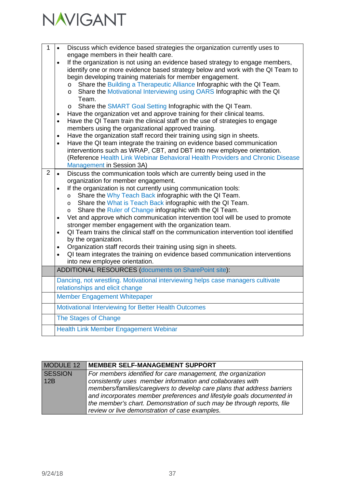

| 1              | Discuss which evidence based strategies the organization currently uses to<br>$\bullet$                                                                   |
|----------------|-----------------------------------------------------------------------------------------------------------------------------------------------------------|
|                | engage members in their health care.                                                                                                                      |
|                | If the organization is not using an evidence based strategy to engage members,<br>$\bullet$                                                               |
|                | identify one or more evidence based strategy below and work with the QI Team to<br>begin developing training materials for member engagement.             |
|                | Share the Building a Therapeutic Alliance Infographic with the QI Team.<br>$\circ$                                                                        |
|                | Share the Motivational Interviewing using OARS Infographic with the QI<br>$\circ$                                                                         |
|                | Team.                                                                                                                                                     |
|                | Share the SMART Goal Setting Infographic with the QI Team.<br>$\circ$                                                                                     |
|                | Have the organization vet and approve training for their clinical teams.<br>$\bullet$                                                                     |
|                | Have the QI Team train the clinical staff on the use of strategies to engage<br>$\bullet$                                                                 |
|                | members using the organizational approved training.                                                                                                       |
|                | Have the organization staff record their training using sign in sheets.<br>$\bullet$                                                                      |
|                | Have the QI team integrate the training on evidence based communication<br>$\bullet$                                                                      |
|                | interventions such as WRAP, CBT, and DBT into new employee orientation.<br>(Reference Health Link Webinar Behavioral Health Providers and Chronic Disease |
|                | <b>Management in Session 3A)</b>                                                                                                                          |
| $\overline{2}$ | Discuss the communication tools which are currently being used in the<br>$\bullet$                                                                        |
|                | organization for member engagement.                                                                                                                       |
|                | If the organization is not currently using communication tools:<br>$\bullet$                                                                              |
|                | Share the Why Teach Back infographic with the QI Team.<br>$\circ$                                                                                         |
|                | Share the What is Teach Back infographic with the QI Team.<br>$\circ$                                                                                     |
|                | Share the Ruler of Change infographic with the QI Team.<br>$\circ$                                                                                        |
|                | Vet and approve which communication intervention tool will be used to promote<br>$\bullet$                                                                |
|                | stronger member engagement with the organization team.                                                                                                    |
|                | QI Team trains the clinical staff on the communication intervention tool identified<br>$\bullet$<br>by the organization.                                  |
|                | Organization staff records their training using sign in sheets.<br>$\bullet$                                                                              |
|                | QI team integrates the training on evidence based communication interventions<br>$\bullet$                                                                |
|                | into new employee orientation.                                                                                                                            |
|                | <b>ADDITIONAL RESOURCES (documents on SharePoint site):</b>                                                                                               |
|                | Dancing, not wrestling. Motivational interviewing helps case managers cultivate                                                                           |
|                | relationships and elicit change                                                                                                                           |
|                | <b>Member Engagement Whitepaper</b>                                                                                                                       |
|                | Motivational Interviewing for Better Health Outcomes                                                                                                      |
|                | The Stages of Change                                                                                                                                      |
|                | Health Link Member Engagement Webinar                                                                                                                     |
|                |                                                                                                                                                           |

| MODULE 12      | MEMBER SELF-MANAGEMENT SUPPORT                                          |
|----------------|-------------------------------------------------------------------------|
| <b>SESSION</b> | For members identified for care management, the organization            |
| 12B            | consistently uses member information and collaborates with              |
|                | members/families/caregivers to develop care plans that address barriers |
|                | and incorporates member preferences and lifestyle goals documented in   |
|                | the member's chart. Demonstration of such may be through reports, file  |
|                | review or live demonstration of case examples.                          |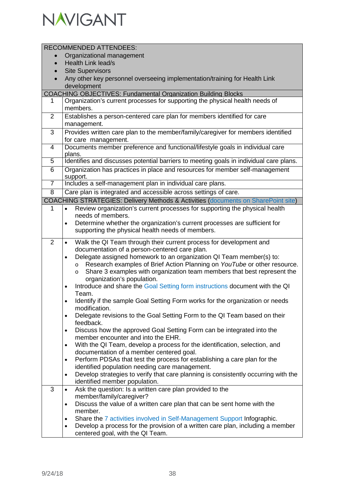

|                | <b>RECOMMENDED ATTENDEES:</b>                                                                                                   |
|----------------|---------------------------------------------------------------------------------------------------------------------------------|
|                | Organizational management                                                                                                       |
|                | Health Link lead/s                                                                                                              |
|                | <b>Site Supervisors</b>                                                                                                         |
|                | Any other key personnel overseeing implementation/training for Health Link                                                      |
|                | development                                                                                                                     |
|                | <b>COACHING OBJECTIVES: Fundamental Organization Building Blocks</b>                                                            |
| $\mathbf 1$    | Organization's current processes for supporting the physical health needs of<br>members.                                        |
|                |                                                                                                                                 |
| $\overline{2}$ | Establishes a person-centered care plan for members identified for care                                                         |
| 3              | management.<br>Provides written care plan to the member/family/caregiver for members identified                                 |
|                | for care management.                                                                                                            |
| $\overline{4}$ | Documents member preference and functional/lifestyle goals in individual care                                                   |
|                | plans.                                                                                                                          |
| 5              | Identifies and discusses potential barriers to meeting goals in individual care plans.                                          |
| $\overline{6}$ | Organization has practices in place and resources for member self-management                                                    |
|                | support.                                                                                                                        |
| $\overline{7}$ | Includes a self-management plan in individual care plans.                                                                       |
| $\overline{8}$ | Care plan is integrated and accessible across settings of care.                                                                 |
|                | <b>COACHING STRATEGIES: Delivery Methods &amp; Activities (documents on SharePoint site)</b>                                    |
| 1              | Review organization's current processes for supporting the physical health<br>$\bullet$                                         |
|                | needs of members.                                                                                                               |
|                | Determine whether the organization's current processes are sufficient for<br>$\bullet$                                          |
|                | supporting the physical health needs of members.                                                                                |
| 2              | Walk the QI Team through their current process for development and<br>$\bullet$                                                 |
|                | documentation of a person-centered care plan.                                                                                   |
|                | Delegate assigned homework to an organization QI Team member(s) to:<br>$\bullet$                                                |
|                | Research examples of Brief Action Planning on YouTube or other resource.<br>$\circ$                                             |
|                | Share 3 examples with organization team members that best represent the<br>O                                                    |
|                | organization's population.<br>Introduce and share the Goal Setting form instructions document with the QI                       |
|                | ٠<br>Team.                                                                                                                      |
|                | Identify if the sample Goal Setting Form works for the organization or needs                                                    |
|                | modification.                                                                                                                   |
|                | Delegate revisions to the Goal Setting Form to the QI Team based on their<br>$\bullet$                                          |
|                | feedback.                                                                                                                       |
|                | Discuss how the approved Goal Setting Form can be integrated into the<br>٠                                                      |
|                | member encounter and into the EHR.                                                                                              |
|                | With the QI Team, develop a process for the identification, selection, and<br>٠                                                 |
|                | documentation of a member centered goal.                                                                                        |
|                | Perform PDSAs that test the process for establishing a care plan for the<br>٠<br>identified population needing care management. |
|                | Develop strategies to verify that care planning is consistently occurring with the<br>$\bullet$                                 |
|                | identified member population.                                                                                                   |
| 3              | Ask the question: Is a written care plan provided to the<br>$\bullet$                                                           |
|                | member/family/caregiver?                                                                                                        |
|                | Discuss the value of a written care plan that can be sent home with the<br>٠                                                    |
|                | member.                                                                                                                         |
|                | Share the 7 activities involved in Self-Management Support Infographic.<br>$\bullet$                                            |
|                | Develop a process for the provision of a written care plan, including a member<br>٠                                             |
|                | centered goal, with the QI Team.                                                                                                |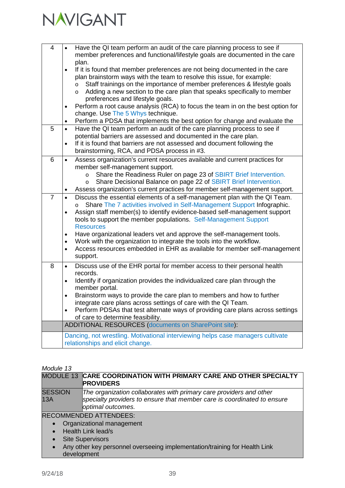| $\overline{4}$ | Have the QI team perform an audit of the care planning process to see if<br>$\bullet$<br>member preferences and functional/lifestyle goals are documented in the care<br>plan.<br>If it is found that member preferences are not being documented in the care<br>$\bullet$<br>plan brainstorm ways with the team to resolve this issue, for example:<br>Staff trainings on the importance of member preferences & lifestyle goals<br>$\circ$<br>Adding a new section to the care plan that speaks specifically to member<br>$\circ$<br>preferences and lifestyle goals.                                                                          |
|----------------|--------------------------------------------------------------------------------------------------------------------------------------------------------------------------------------------------------------------------------------------------------------------------------------------------------------------------------------------------------------------------------------------------------------------------------------------------------------------------------------------------------------------------------------------------------------------------------------------------------------------------------------------------|
|                | Perform a root cause analysis (RCA) to focus the team in on the best option for<br>$\bullet$<br>change. Use The 5 Whys technique.<br>Perform a PDSA that implements the best option for change and evaluate the<br>$\bullet$                                                                                                                                                                                                                                                                                                                                                                                                                     |
| 5              | Have the QI team perform an audit of the care planning process to see if<br>$\bullet$<br>potential barriers are assessed and documented in the care plan.<br>If it is found that barriers are not assessed and document following the<br>$\bullet$<br>brainstorming, RCA, and PDSA process in #3.                                                                                                                                                                                                                                                                                                                                                |
| 6              | Assess organization's current resources available and current practices for<br>$\bullet$<br>member self-management support.<br>Share the Readiness Ruler on page 23 of SBIRT Brief Intervention.<br>$\circ$<br>Share Decisional Balance on page 22 of SBIRT Brief Intervention.<br>$\circ$<br>Assess organization's current practices for member self-management support.<br>$\bullet$                                                                                                                                                                                                                                                           |
| $\overline{7}$ | Discuss the essential elements of a self-management plan with the QI Team.<br>$\bullet$<br>Share The 7 activities involved in Self-Management Support Infographic.<br>$\circ$<br>Assign staff member(s) to identify evidence-based self-management support<br>$\bullet$<br>tools to support the member populations. Self-Management Support<br><b>Resources</b><br>Have organizational leaders vet and approve the self-management tools.<br>$\bullet$<br>Work with the organization to integrate the tools into the workflow.<br>$\bullet$<br>Access resources embedded in EHR as available for member self-management<br>$\bullet$<br>support. |
| 8              | Discuss use of the EHR portal for member access to their personal health<br>$\bullet$<br>records.<br>Identify if organization provides the individualized care plan through the<br>$\bullet$<br>member portal.<br>Brainstorm ways to provide the care plan to members and how to further<br>$\bullet$<br>integrate care plans across settings of care with the QI Team.<br>Perform PDSAs that test alternate ways of providing care plans across settings<br>$\bullet$<br>of care to determine feasibility.<br>ADDITIONAL RESOURCES (documents on SharePoint site):                                                                              |
|                | Dancing, not wrestling. Motivational interviewing helps case managers cultivate<br>relationships and elicit change.                                                                                                                                                                                                                                                                                                                                                                                                                                                                                                                              |

### *Module 13*

|                       | MODULE 13 CARE COORDINATION WITH PRIMARY CARE AND OTHER SPECIALTY<br><b>PROVIDERS</b>                                                                               |
|-----------------------|---------------------------------------------------------------------------------------------------------------------------------------------------------------------|
| <b>SESSION</b><br>13A | The organization collaborates with primary care providers and other<br>specialty providers to ensure that member care is coordinated to ensure<br>optimal outcomes. |
|                       | RECOMMENDED ATTENDEES:                                                                                                                                              |

• Organizational management

- Health Link lead/s
- Site Supervisors
- Any other key personnel overseeing implementation/training for Health Link development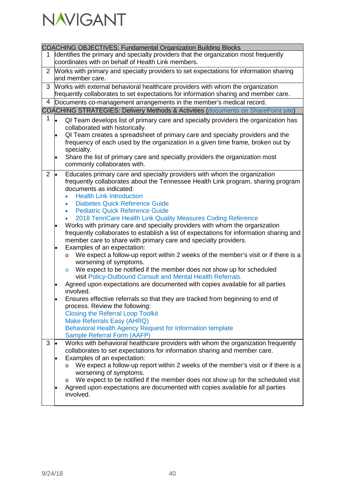

| <b>COACHING OBJECTIVES: Fundamental Organization Building Blocks</b><br>Identifies the primary and specialty providers that the organization most frequently<br>1<br>coordinates with on behalf of Health Link members.<br>2 Works with primary and specialty providers to set expectations for information sharing<br>and member care.<br>Works with external behavioral healthcare providers with whom the organization<br>3<br>frequently collaborates to set expectations for information sharing and member care.<br>Documents co-management arrangements in the member's medical record.<br>4<br><b>COACHING STRATEGIES: Delivery Methods &amp; Activities (documents on SharePoint site)</b><br>1<br>l.<br>QI Team develops list of primary care and specialty providers the organization has<br>collaborated with historically.<br>QI Team creates a spreadsheet of primary care and specialty providers and the<br>frequency of each used by the organization in a given time frame, broken out by<br>specialty.<br>Share the list of primary care and specialty providers the organization most<br>$\bullet$<br>commonly collaborates with.<br>$\overline{2}$<br>Educates primary care and specialty providers with whom the organization<br>$\bullet$<br>frequently collaborates about the Tennessee Health Link program, sharing program<br>documents as indicated: |
|---------------------------------------------------------------------------------------------------------------------------------------------------------------------------------------------------------------------------------------------------------------------------------------------------------------------------------------------------------------------------------------------------------------------------------------------------------------------------------------------------------------------------------------------------------------------------------------------------------------------------------------------------------------------------------------------------------------------------------------------------------------------------------------------------------------------------------------------------------------------------------------------------------------------------------------------------------------------------------------------------------------------------------------------------------------------------------------------------------------------------------------------------------------------------------------------------------------------------------------------------------------------------------------------------------------------------------------------------------------------------------|
|                                                                                                                                                                                                                                                                                                                                                                                                                                                                                                                                                                                                                                                                                                                                                                                                                                                                                                                                                                                                                                                                                                                                                                                                                                                                                                                                                                                 |
|                                                                                                                                                                                                                                                                                                                                                                                                                                                                                                                                                                                                                                                                                                                                                                                                                                                                                                                                                                                                                                                                                                                                                                                                                                                                                                                                                                                 |
|                                                                                                                                                                                                                                                                                                                                                                                                                                                                                                                                                                                                                                                                                                                                                                                                                                                                                                                                                                                                                                                                                                                                                                                                                                                                                                                                                                                 |
|                                                                                                                                                                                                                                                                                                                                                                                                                                                                                                                                                                                                                                                                                                                                                                                                                                                                                                                                                                                                                                                                                                                                                                                                                                                                                                                                                                                 |
|                                                                                                                                                                                                                                                                                                                                                                                                                                                                                                                                                                                                                                                                                                                                                                                                                                                                                                                                                                                                                                                                                                                                                                                                                                                                                                                                                                                 |
|                                                                                                                                                                                                                                                                                                                                                                                                                                                                                                                                                                                                                                                                                                                                                                                                                                                                                                                                                                                                                                                                                                                                                                                                                                                                                                                                                                                 |
|                                                                                                                                                                                                                                                                                                                                                                                                                                                                                                                                                                                                                                                                                                                                                                                                                                                                                                                                                                                                                                                                                                                                                                                                                                                                                                                                                                                 |
|                                                                                                                                                                                                                                                                                                                                                                                                                                                                                                                                                                                                                                                                                                                                                                                                                                                                                                                                                                                                                                                                                                                                                                                                                                                                                                                                                                                 |
|                                                                                                                                                                                                                                                                                                                                                                                                                                                                                                                                                                                                                                                                                                                                                                                                                                                                                                                                                                                                                                                                                                                                                                                                                                                                                                                                                                                 |
|                                                                                                                                                                                                                                                                                                                                                                                                                                                                                                                                                                                                                                                                                                                                                                                                                                                                                                                                                                                                                                                                                                                                                                                                                                                                                                                                                                                 |
|                                                                                                                                                                                                                                                                                                                                                                                                                                                                                                                                                                                                                                                                                                                                                                                                                                                                                                                                                                                                                                                                                                                                                                                                                                                                                                                                                                                 |
|                                                                                                                                                                                                                                                                                                                                                                                                                                                                                                                                                                                                                                                                                                                                                                                                                                                                                                                                                                                                                                                                                                                                                                                                                                                                                                                                                                                 |
|                                                                                                                                                                                                                                                                                                                                                                                                                                                                                                                                                                                                                                                                                                                                                                                                                                                                                                                                                                                                                                                                                                                                                                                                                                                                                                                                                                                 |
|                                                                                                                                                                                                                                                                                                                                                                                                                                                                                                                                                                                                                                                                                                                                                                                                                                                                                                                                                                                                                                                                                                                                                                                                                                                                                                                                                                                 |
|                                                                                                                                                                                                                                                                                                                                                                                                                                                                                                                                                                                                                                                                                                                                                                                                                                                                                                                                                                                                                                                                                                                                                                                                                                                                                                                                                                                 |
|                                                                                                                                                                                                                                                                                                                                                                                                                                                                                                                                                                                                                                                                                                                                                                                                                                                                                                                                                                                                                                                                                                                                                                                                                                                                                                                                                                                 |
|                                                                                                                                                                                                                                                                                                                                                                                                                                                                                                                                                                                                                                                                                                                                                                                                                                                                                                                                                                                                                                                                                                                                                                                                                                                                                                                                                                                 |
|                                                                                                                                                                                                                                                                                                                                                                                                                                                                                                                                                                                                                                                                                                                                                                                                                                                                                                                                                                                                                                                                                                                                                                                                                                                                                                                                                                                 |
|                                                                                                                                                                                                                                                                                                                                                                                                                                                                                                                                                                                                                                                                                                                                                                                                                                                                                                                                                                                                                                                                                                                                                                                                                                                                                                                                                                                 |
|                                                                                                                                                                                                                                                                                                                                                                                                                                                                                                                                                                                                                                                                                                                                                                                                                                                                                                                                                                                                                                                                                                                                                                                                                                                                                                                                                                                 |
|                                                                                                                                                                                                                                                                                                                                                                                                                                                                                                                                                                                                                                                                                                                                                                                                                                                                                                                                                                                                                                                                                                                                                                                                                                                                                                                                                                                 |
| <b>Health Link Introduction</b>                                                                                                                                                                                                                                                                                                                                                                                                                                                                                                                                                                                                                                                                                                                                                                                                                                                                                                                                                                                                                                                                                                                                                                                                                                                                                                                                                 |
|                                                                                                                                                                                                                                                                                                                                                                                                                                                                                                                                                                                                                                                                                                                                                                                                                                                                                                                                                                                                                                                                                                                                                                                                                                                                                                                                                                                 |
| <b>Diabetes Quick Reference Guide</b><br>$\bullet$                                                                                                                                                                                                                                                                                                                                                                                                                                                                                                                                                                                                                                                                                                                                                                                                                                                                                                                                                                                                                                                                                                                                                                                                                                                                                                                              |
| <b>Pediatric Quick Reference Guide</b><br>$\bullet$                                                                                                                                                                                                                                                                                                                                                                                                                                                                                                                                                                                                                                                                                                                                                                                                                                                                                                                                                                                                                                                                                                                                                                                                                                                                                                                             |
| 2018 TennCare Health Link Quality Measures Coding Reference<br>$\bullet$                                                                                                                                                                                                                                                                                                                                                                                                                                                                                                                                                                                                                                                                                                                                                                                                                                                                                                                                                                                                                                                                                                                                                                                                                                                                                                        |
| Works with primary care and specialty providers with whom the organization                                                                                                                                                                                                                                                                                                                                                                                                                                                                                                                                                                                                                                                                                                                                                                                                                                                                                                                                                                                                                                                                                                                                                                                                                                                                                                      |
| frequently collaborates to establish a list of expectations for information sharing and                                                                                                                                                                                                                                                                                                                                                                                                                                                                                                                                                                                                                                                                                                                                                                                                                                                                                                                                                                                                                                                                                                                                                                                                                                                                                         |
| member care to share with primary care and specialty providers.                                                                                                                                                                                                                                                                                                                                                                                                                                                                                                                                                                                                                                                                                                                                                                                                                                                                                                                                                                                                                                                                                                                                                                                                                                                                                                                 |
| Examples of an expectation:<br>$\bullet$                                                                                                                                                                                                                                                                                                                                                                                                                                                                                                                                                                                                                                                                                                                                                                                                                                                                                                                                                                                                                                                                                                                                                                                                                                                                                                                                        |
| We expect a follow-up report within 2 weeks of the member's visit or if there is a<br>$\circ$                                                                                                                                                                                                                                                                                                                                                                                                                                                                                                                                                                                                                                                                                                                                                                                                                                                                                                                                                                                                                                                                                                                                                                                                                                                                                   |
| worsening of symptoms.                                                                                                                                                                                                                                                                                                                                                                                                                                                                                                                                                                                                                                                                                                                                                                                                                                                                                                                                                                                                                                                                                                                                                                                                                                                                                                                                                          |
| We expect to be notified if the member does not show up for scheduled                                                                                                                                                                                                                                                                                                                                                                                                                                                                                                                                                                                                                                                                                                                                                                                                                                                                                                                                                                                                                                                                                                                                                                                                                                                                                                           |
| $\circ$                                                                                                                                                                                                                                                                                                                                                                                                                                                                                                                                                                                                                                                                                                                                                                                                                                                                                                                                                                                                                                                                                                                                                                                                                                                                                                                                                                         |
| visit Policy-Outbound Consult and Mental Health Referrals.                                                                                                                                                                                                                                                                                                                                                                                                                                                                                                                                                                                                                                                                                                                                                                                                                                                                                                                                                                                                                                                                                                                                                                                                                                                                                                                      |
| Agreed upon expectations are documented with copies available for all parties                                                                                                                                                                                                                                                                                                                                                                                                                                                                                                                                                                                                                                                                                                                                                                                                                                                                                                                                                                                                                                                                                                                                                                                                                                                                                                   |
| involved.                                                                                                                                                                                                                                                                                                                                                                                                                                                                                                                                                                                                                                                                                                                                                                                                                                                                                                                                                                                                                                                                                                                                                                                                                                                                                                                                                                       |
| Ensures effective referrals so that they are tracked from beginning to end of                                                                                                                                                                                                                                                                                                                                                                                                                                                                                                                                                                                                                                                                                                                                                                                                                                                                                                                                                                                                                                                                                                                                                                                                                                                                                                   |
| process. Review the following:                                                                                                                                                                                                                                                                                                                                                                                                                                                                                                                                                                                                                                                                                                                                                                                                                                                                                                                                                                                                                                                                                                                                                                                                                                                                                                                                                  |
| <b>Closing the Referral Loop Toolkit</b>                                                                                                                                                                                                                                                                                                                                                                                                                                                                                                                                                                                                                                                                                                                                                                                                                                                                                                                                                                                                                                                                                                                                                                                                                                                                                                                                        |
| Make Referrals Easy (AHRQ)                                                                                                                                                                                                                                                                                                                                                                                                                                                                                                                                                                                                                                                                                                                                                                                                                                                                                                                                                                                                                                                                                                                                                                                                                                                                                                                                                      |
| Behavioral Health Agency Request for Information template                                                                                                                                                                                                                                                                                                                                                                                                                                                                                                                                                                                                                                                                                                                                                                                                                                                                                                                                                                                                                                                                                                                                                                                                                                                                                                                       |
| Sample Referral Form (AAFP)                                                                                                                                                                                                                                                                                                                                                                                                                                                                                                                                                                                                                                                                                                                                                                                                                                                                                                                                                                                                                                                                                                                                                                                                                                                                                                                                                     |
| Works with behavioral healthcare providers with whom the organization frequently<br>3                                                                                                                                                                                                                                                                                                                                                                                                                                                                                                                                                                                                                                                                                                                                                                                                                                                                                                                                                                                                                                                                                                                                                                                                                                                                                           |
|                                                                                                                                                                                                                                                                                                                                                                                                                                                                                                                                                                                                                                                                                                                                                                                                                                                                                                                                                                                                                                                                                                                                                                                                                                                                                                                                                                                 |
| collaborates to set expectations for information sharing and member care.                                                                                                                                                                                                                                                                                                                                                                                                                                                                                                                                                                                                                                                                                                                                                                                                                                                                                                                                                                                                                                                                                                                                                                                                                                                                                                       |
| Examples of an expectation:                                                                                                                                                                                                                                                                                                                                                                                                                                                                                                                                                                                                                                                                                                                                                                                                                                                                                                                                                                                                                                                                                                                                                                                                                                                                                                                                                     |
| We expect a follow-up report within 2 weeks of the member's visit or if there is a<br>$\circ$                                                                                                                                                                                                                                                                                                                                                                                                                                                                                                                                                                                                                                                                                                                                                                                                                                                                                                                                                                                                                                                                                                                                                                                                                                                                                   |
| worsening of symptoms.                                                                                                                                                                                                                                                                                                                                                                                                                                                                                                                                                                                                                                                                                                                                                                                                                                                                                                                                                                                                                                                                                                                                                                                                                                                                                                                                                          |
| We expect to be notified if the member does not show up for the scheduled visit<br>$\circ$                                                                                                                                                                                                                                                                                                                                                                                                                                                                                                                                                                                                                                                                                                                                                                                                                                                                                                                                                                                                                                                                                                                                                                                                                                                                                      |
| Agreed upon expectations are documented with copies available for all parties                                                                                                                                                                                                                                                                                                                                                                                                                                                                                                                                                                                                                                                                                                                                                                                                                                                                                                                                                                                                                                                                                                                                                                                                                                                                                                   |
| involved.                                                                                                                                                                                                                                                                                                                                                                                                                                                                                                                                                                                                                                                                                                                                                                                                                                                                                                                                                                                                                                                                                                                                                                                                                                                                                                                                                                       |
|                                                                                                                                                                                                                                                                                                                                                                                                                                                                                                                                                                                                                                                                                                                                                                                                                                                                                                                                                                                                                                                                                                                                                                                                                                                                                                                                                                                 |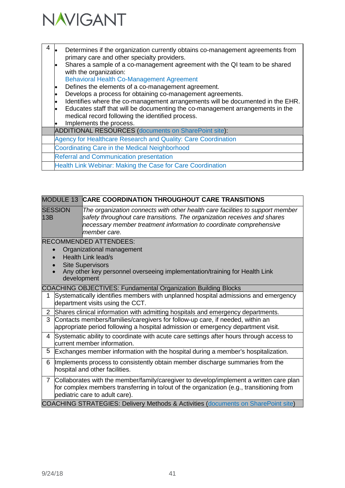

Г

| 4 | Determines if the organization currently obtains co-management agreements from<br>primary care and other specialty providers.<br>Shares a sample of a co-management agreement with the QI team to be shared<br>with the organization:<br><b>Behavioral Health Co-Management Agreement</b><br>Defines the elements of a co-management agreement.<br>$\bullet$<br>Develops a process for obtaining co-management agreements.<br>Identifies where the co-management arrangements will be documented in the EHR.<br>$\bullet$<br>Educates staff that will be documenting the co-management arrangements in the<br>medical record following the identified process.<br>Implements the process. |
|---|-------------------------------------------------------------------------------------------------------------------------------------------------------------------------------------------------------------------------------------------------------------------------------------------------------------------------------------------------------------------------------------------------------------------------------------------------------------------------------------------------------------------------------------------------------------------------------------------------------------------------------------------------------------------------------------------|
|   | <b>ADDITIONAL RESOURCES (documents on SharePoint site):</b>                                                                                                                                                                                                                                                                                                                                                                                                                                                                                                                                                                                                                               |
|   | Agency for Healthcare Research and Quality: Care Coordination                                                                                                                                                                                                                                                                                                                                                                                                                                                                                                                                                                                                                             |
|   | Coordinating Care in the Medical Neighborhood                                                                                                                                                                                                                                                                                                                                                                                                                                                                                                                                                                                                                                             |
|   | <b>Referral and Communication presentation</b>                                                                                                                                                                                                                                                                                                                                                                                                                                                                                                                                                                                                                                            |
|   | Health Link Webinar: Making the Case for Care Coordination                                                                                                                                                                                                                                                                                                                                                                                                                                                                                                                                                                                                                                |

|                       | MODULE 13 CARE COORDINATION THROUGHOUT CARE TRANSITIONS                                                                                                                                                                                         |
|-----------------------|-------------------------------------------------------------------------------------------------------------------------------------------------------------------------------------------------------------------------------------------------|
| <b>SESSION</b><br>13B | The organization connects with other health care facilities to support member<br>safety throughout care transitions. The organization receives and shares<br>necessary member treatment information to coordinate comprehensive<br>member care. |
|                       | <b>RECOMMENDED ATTENDEES:</b><br>Organizational management<br>Health Link lead/s<br><b>Site Supervisors</b><br>Any other key personnel overseeing implementation/training for Health Link<br>development                                        |
|                       | COACHING OBJECTIVES: Fundamental Organization Building Blocks                                                                                                                                                                                   |
| 1                     | Systematically identifies members with unplanned hospital admissions and emergency<br>department visits using the CCT.                                                                                                                          |
| $\overline{2}$        | Shares clinical information with admitting hospitals and emergency departments.                                                                                                                                                                 |
| 3                     | Contacts members/families/caregivers for follow-up care, if needed, within an<br>appropriate period following a hospital admission or emergency department visit.                                                                               |
| 4                     | Systematic ability to coordinate with acute care settings after hours through access to<br>current member information.                                                                                                                          |
| 5                     | Exchanges member information with the hospital during a member's hospitalization.                                                                                                                                                               |
| 6                     | Implements process to consistently obtain member discharge summaries from the<br>hospital and other facilities.                                                                                                                                 |
| $\overline{7}$        | Collaborates with the member/family/caregiver to develop/implement a written care plan<br>for complex members transferring in to/out of the organization (e.g., transitioning from<br>pediatric care to adult care).                            |
|                       | <b>COACHING STRATEGIES: Delivery Methods &amp; Activities (documents on SharePoint site)</b>                                                                                                                                                    |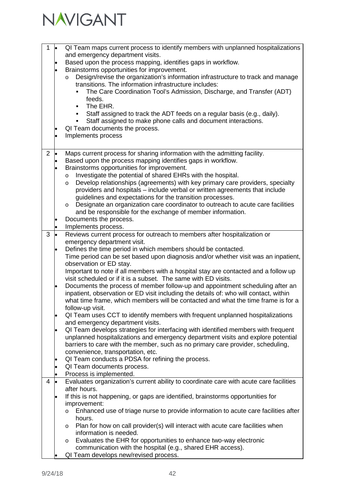

| 1              | $\bullet$      | QI Team maps current process to identify members with unplanned hospitalizations<br>and emergency department visits.<br>Based upon the process mapping, identifies gaps in workflow.<br>Brainstorms opportunities for improvement.<br>Design/revise the organization's information infrastructure to track and manage<br>$\circ$<br>transitions. The information infrastructure includes:<br>The Care Coordination Tool's Admission, Discharge, and Transfer (ADT)<br>feeds.<br>The EHR.<br>٠<br>Staff assigned to track the ADT feeds on a regular basis (e.g., daily).<br>Staff assigned to make phone calls and document interactions.<br>٠<br>QI Team documents the process.<br>Implements process                |
|----------------|----------------|-----------------------------------------------------------------------------------------------------------------------------------------------------------------------------------------------------------------------------------------------------------------------------------------------------------------------------------------------------------------------------------------------------------------------------------------------------------------------------------------------------------------------------------------------------------------------------------------------------------------------------------------------------------------------------------------------------------------------|
| $\overline{2}$ | <b>le</b><br>٠ | Maps current process for sharing information with the admitting facility.<br>Based upon the process mapping identifies gaps in workflow.<br>Brainstorms opportunities for improvement.<br>Investigate the potential of shared EHRs with the hospital.<br>$\circ$<br>Develop relationships (agreements) with key primary care providers, specialty<br>$\circ$<br>providers and hospitals - include verbal or written agreements that include<br>guidelines and expectations for the transition processes.<br>Designate an organization care coordinator to outreach to acute care facilities<br>$\circ$<br>and be responsible for the exchange of member information.<br>Documents the process.<br>Implements process. |
| 3              | $\bullet$      | Reviews current process for outreach to members after hospitalization or<br>emergency department visit.<br>Defines the time period in which members should be contacted.<br>Time period can be set based upon diagnosis and/or whether visit was an inpatient,<br>observation or ED stay.<br>Important to note if all members with a hospital stay are contacted and a follow up<br>visit scheduled or if it is a subset. The same with ED visits.                                                                                                                                                                                                                                                                    |
|                |                | Documents the process of member follow-up and appointment scheduling after an<br>inpatient, observation or ED visit including the details of: who will contact, within<br>what time frame, which members will be contacted and what the time frame is for a<br>follow-up visit.                                                                                                                                                                                                                                                                                                                                                                                                                                       |
|                | $\bullet$      | QI Team uses CCT to identify members with frequent unplanned hospitalizations<br>and emergency department visits.                                                                                                                                                                                                                                                                                                                                                                                                                                                                                                                                                                                                     |
|                |                | QI Team develops strategies for interfacing with identified members with frequent<br>unplanned hospitalizations and emergency department visits and explore potential<br>barriers to care with the member, such as no primary care provider, scheduling,<br>convenience, transportation, etc.                                                                                                                                                                                                                                                                                                                                                                                                                         |
|                | $\bullet$      | QI Team conducts a PDSA for refining the process.<br>QI Team documents process.<br>Process is implemented.                                                                                                                                                                                                                                                                                                                                                                                                                                                                                                                                                                                                            |
| 4              |                | Evaluates organization's current ability to coordinate care with acute care facilities<br>after hours.<br>If this is not happening, or gaps are identified, brainstorms opportunities for<br>improvement:<br>Enhanced use of triage nurse to provide information to acute care facilities after<br>$\circ$<br>hours.<br>Plan for how on call provider(s) will interact with acute care facilities when<br>$\circ$<br>information is needed.<br>Evaluates the EHR for opportunities to enhance two-way electronic<br>$\circ$<br>communication with the hospital (e.g., shared EHR access).<br>QI Team develops new/revised process.                                                                                    |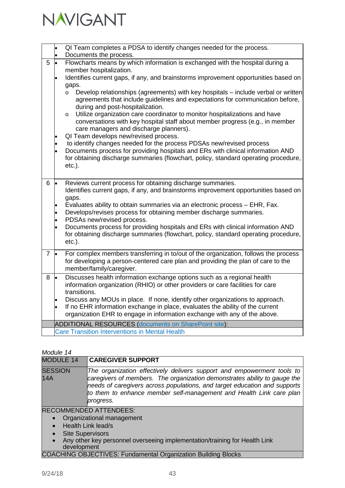

|                |           | QI Team completes a PDSA to identify changes needed for the process.                                                                                                                                                                                                                                                                                                                                                                                                                                                                                                                                                                                                                                                                         |
|----------------|-----------|----------------------------------------------------------------------------------------------------------------------------------------------------------------------------------------------------------------------------------------------------------------------------------------------------------------------------------------------------------------------------------------------------------------------------------------------------------------------------------------------------------------------------------------------------------------------------------------------------------------------------------------------------------------------------------------------------------------------------------------------|
|                |           | Documents the process.                                                                                                                                                                                                                                                                                                                                                                                                                                                                                                                                                                                                                                                                                                                       |
| 5              | l.        | Flowcharts means by which information is exchanged with the hospital during a                                                                                                                                                                                                                                                                                                                                                                                                                                                                                                                                                                                                                                                                |
|                |           | member hospitalization.                                                                                                                                                                                                                                                                                                                                                                                                                                                                                                                                                                                                                                                                                                                      |
|                |           | Identifies current gaps, if any, and brainstorms improvement opportunities based on                                                                                                                                                                                                                                                                                                                                                                                                                                                                                                                                                                                                                                                          |
|                |           | gaps.                                                                                                                                                                                                                                                                                                                                                                                                                                                                                                                                                                                                                                                                                                                                        |
|                |           | Develop relationships (agreements) with key hospitals - include verbal or written<br>$\circ$<br>agreements that include guidelines and expectations for communication before,<br>during and post-hospitalization.<br>Utilize organization care coordinator to monitor hospitalizations and have<br>$\circ$<br>conversations with key hospital staff about member progress (e.g., in member<br>care managers and discharge planners).<br>QI Team develops new/revised process.<br>to identify changes needed for the process PDSAs new/revised process<br>Documents process for providing hospitals and ERs with clinical information AND<br>for obtaining discharge summaries (flowchart, policy, standard operating procedure,<br>$etc.$ ). |
| 6              | l.        | Reviews current process for obtaining discharge summaries.<br>Identifies current gaps, if any, and brainstorms improvement opportunities based on<br>gaps.                                                                                                                                                                                                                                                                                                                                                                                                                                                                                                                                                                                   |
|                |           | Evaluates ability to obtain summaries via an electronic process - EHR, Fax.<br>Develops/revises process for obtaining member discharge summaries.<br>PDSAs new/revised process.                                                                                                                                                                                                                                                                                                                                                                                                                                                                                                                                                              |
|                |           | Documents process for providing hospitals and ERs with clinical information AND<br>for obtaining discharge summaries (flowchart, policy, standard operating procedure,<br>$etc.$ ).                                                                                                                                                                                                                                                                                                                                                                                                                                                                                                                                                          |
| $\overline{7}$ | $\cdot$   | For complex members transferring in to/out of the organization, follows the process                                                                                                                                                                                                                                                                                                                                                                                                                                                                                                                                                                                                                                                          |
|                |           | for developing a person-centered care plan and providing the plan of care to the<br>member/family/caregiver.                                                                                                                                                                                                                                                                                                                                                                                                                                                                                                                                                                                                                                 |
| 8              | $\bullet$ | Discusses health information exchange options such as a regional health                                                                                                                                                                                                                                                                                                                                                                                                                                                                                                                                                                                                                                                                      |
|                |           | information organization (RHIO) or other providers or care facilities for care                                                                                                                                                                                                                                                                                                                                                                                                                                                                                                                                                                                                                                                               |
|                |           | transitions.                                                                                                                                                                                                                                                                                                                                                                                                                                                                                                                                                                                                                                                                                                                                 |
|                |           | Discuss any MOUs in place. If none, identify other organizations to approach.                                                                                                                                                                                                                                                                                                                                                                                                                                                                                                                                                                                                                                                                |
|                |           | If no EHR information exchange in place, evaluates the ability of the current<br>organization EHR to engage in information exchange with any of the above.                                                                                                                                                                                                                                                                                                                                                                                                                                                                                                                                                                                   |
|                |           |                                                                                                                                                                                                                                                                                                                                                                                                                                                                                                                                                                                                                                                                                                                                              |
|                |           | <b>ADDITIONAL RESOURCES (documents on SharePoint site):</b><br><b>Care Transition Interventions in Mental Health</b>                                                                                                                                                                                                                                                                                                                                                                                                                                                                                                                                                                                                                         |
|                |           |                                                                                                                                                                                                                                                                                                                                                                                                                                                                                                                                                                                                                                                                                                                                              |

| <b>MODULE 14</b><br><b>CAREGIVER SUPPORT</b><br><b>SESSION</b><br>The organization effectively delivers support and empowerment tools to<br><b>14A</b><br>caregivers of members. The organization demonstrates ability to gauge the<br>needs of caregivers across populations, and target education and supports<br>to them to enhance member self-management and Health Link care plan<br>progress. |  |
|------------------------------------------------------------------------------------------------------------------------------------------------------------------------------------------------------------------------------------------------------------------------------------------------------------------------------------------------------------------------------------------------------|--|
|                                                                                                                                                                                                                                                                                                                                                                                                      |  |
|                                                                                                                                                                                                                                                                                                                                                                                                      |  |

#### RECOMMENDED ATTENDEES:

- Organizational management
- Health Link lead/s
- Site Supervisors
- Any other key personnel overseeing implementation/training for Health Link development

### COACHING OBJECTIVES: Fundamental Organization Building Blocks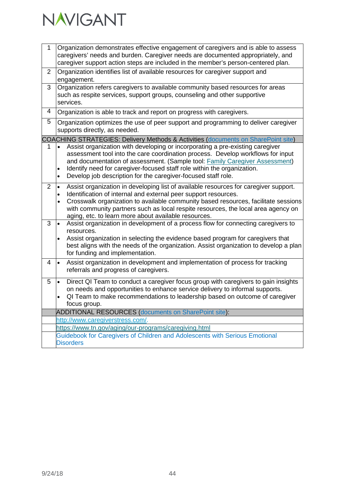

| 1              | Organization demonstrates effective engagement of caregivers and is able to assess<br>caregivers' needs and burden. Caregiver needs are documented appropriately, and                                                                                                                                                                                                                                                              |
|----------------|------------------------------------------------------------------------------------------------------------------------------------------------------------------------------------------------------------------------------------------------------------------------------------------------------------------------------------------------------------------------------------------------------------------------------------|
|                | caregiver support action steps are included in the member's person-centered plan.                                                                                                                                                                                                                                                                                                                                                  |
| $\overline{2}$ | Organization identifies list of available resources for caregiver support and<br>engagement.                                                                                                                                                                                                                                                                                                                                       |
| 3              | Organization refers caregivers to available community based resources for areas<br>such as respite services, support groups, counseling and other supportive<br>services.                                                                                                                                                                                                                                                          |
| 4              | Organization is able to track and report on progress with caregivers.                                                                                                                                                                                                                                                                                                                                                              |
| $\overline{5}$ | Organization optimizes the use of peer support and programming to deliver caregiver<br>supports directly, as needed.                                                                                                                                                                                                                                                                                                               |
|                | COACHING STRATEGIES: Delivery Methods & Activities (documents on SharePoint site)                                                                                                                                                                                                                                                                                                                                                  |
| 1              | Assist organization with developing or incorporating a pre-existing caregiver<br>$\bullet$<br>assessment tool into the care coordination process. Develop workflows for input<br>and documentation of assessment. (Sample tool: Family Caregiver Assessment)<br>Identify need for caregiver-focused staff role within the organization.<br>$\bullet$<br>Develop job description for the caregiver-focused staff role.<br>$\bullet$ |
| $\overline{2}$ | Assist organization in developing list of available resources for caregiver support.<br>$\bullet$<br>Identification of internal and external peer support resources.<br>$\bullet$<br>Crosswalk organization to available community based resources, facilitate sessions<br>with community partners such as local respite resources, the local area agency on<br>aging, etc. to learn more about available resources.               |
| 3              | Assist organization in development of a process flow for connecting caregivers to<br>$\bullet$<br>resources.<br>Assist organization in selecting the evidence based program for caregivers that<br>best aligns with the needs of the organization. Assist organization to develop a plan<br>for funding and implementation.                                                                                                        |
| 4              | Assist organization in development and implementation of process for tracking<br>$\bullet$<br>referrals and progress of caregivers.                                                                                                                                                                                                                                                                                                |
| 5              | Direct QI Team to conduct a caregiver focus group with caregivers to gain insights<br>$\bullet$<br>on needs and opportunities to enhance service delivery to informal supports.<br>QI Team to make recommendations to leadership based on outcome of caregiver<br>focus group.                                                                                                                                                     |
|                | <b>ADDITIONAL RESOURCES (documents on SharePoint site):</b>                                                                                                                                                                                                                                                                                                                                                                        |
|                | http://www.caregiverstress.com/.                                                                                                                                                                                                                                                                                                                                                                                                   |
|                | https://www.tn.gov/aging/our-programs/caregiving.html                                                                                                                                                                                                                                                                                                                                                                              |
|                | Guidebook for Caregivers of Children and Adolescents with Serious Emotional<br><b>Disorders</b>                                                                                                                                                                                                                                                                                                                                    |